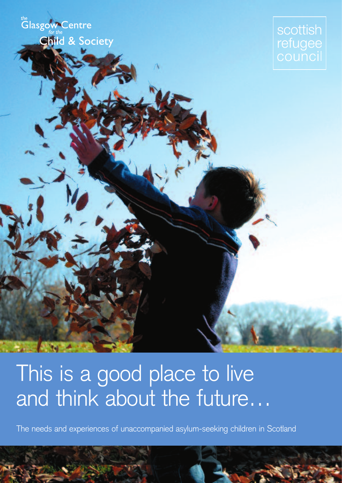the<br>Glasgow Centre **Child & Society** 

scottish refugee

# This is a good place to live and think about the future…

The needs and experiences of unaccompanied asylum-seeking children in Scotland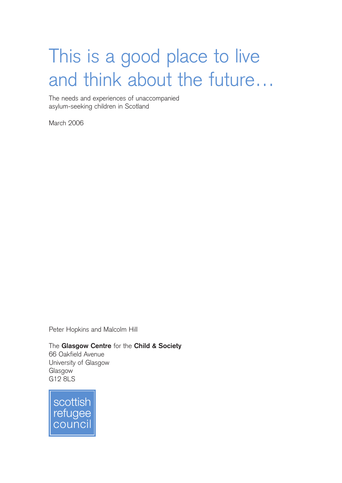# This is a good place to live and think about the future…

The needs and experiences of unaccompanied asylum-seeking children in Scotland

March 2006

Peter Hopkins and Malcolm Hill

The **Glasgow Centre** for the **Child & Society** 66 Oakfield Avenue University of Glasgow Glasgow G12 8LS

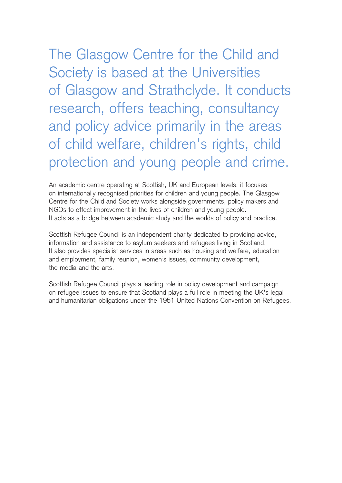The Glasgow Centre for the Child and Society is based at the Universities of Glasgow and Strathclyde. It conducts research, offers teaching, consultancy and policy advice primarily in the areas of child welfare, children's rights, child protection and young people and crime.

An academic centre operating at Scottish, UK and European levels, it focuses on internationally recognised priorities for children and young people. The Glasgow Centre for the Child and Society works alongside governments, policy makers and NGOs to effect improvement in the lives of children and young people. It acts as a bridge between academic study and the worlds of policy and practice.

Scottish Refugee Council is an independent charity dedicated to providing advice, information and assistance to asylum seekers and refugees living in Scotland. It also provides specialist services in areas such as housing and welfare, education and employment, family reunion, women's issues, community development, the media and the arts.

Scottish Refugee Council plays a leading role in policy development and campaign on refugee issues to ensure that Scotland plays a full role in meeting the UK's legal and humanitarian obligations under the 1951 United Nations Convention on Refugees.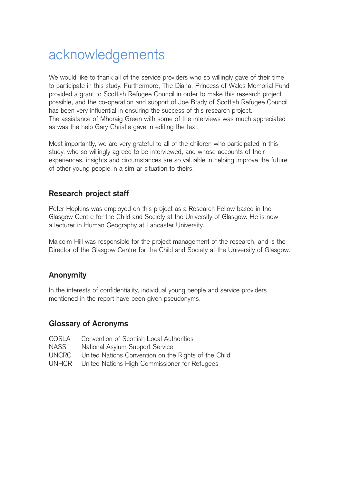# acknowledgements

We would like to thank all of the service providers who so willingly gave of their time to participate in this study. Furthermore, The Diana, Princess of Wales Memorial Fund provided a grant to Scottish Refugee Council in order to make this research project possible, and the co-operation and support of Joe Brady of Scottish Refugee Council has been very influential in ensuring the success of this research project. The assistance of Mhoraig Green with some of the interviews was much appreciated as was the help Gary Christie gave in editing the text.

Most importantly, we are very grateful to all of the children who participated in this study, who so willingly agreed to be interviewed, and whose accounts of their experiences, insights and circumstances are so valuable in helping improve the future of other young people in a similar situation to theirs.

# **Research project staff**

Peter Hopkins was employed on this project as a Research Fellow based in the Glasgow Centre for the Child and Society at the University of Glasgow. He is now a lecturer in Human Geography at Lancaster University.

Malcolm Hill was responsible for the project management of the research, and is the Director of the Glasgow Centre for the Child and Society at the University of Glasgow.

### **Anonymity**

In the interests of confidentiality, individual young people and service providers mentioned in the report have been given pseudonyms.

### **Glossary of Acronyms**

| COSLA        | Convention of Scottish Local Authorities             |
|--------------|------------------------------------------------------|
| NASS         | National Asylum Support Service                      |
| <b>UNCRC</b> | United Nations Convention on the Rights of the Child |
|              | UNHCR United Nations High Commissioner for Refugees  |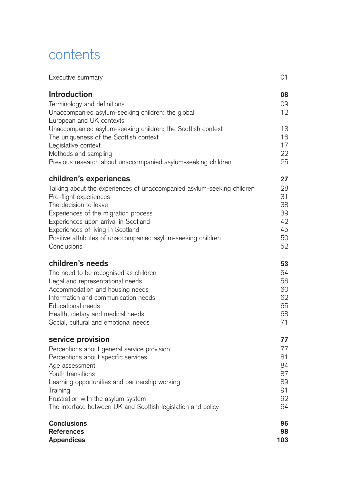# contents

| Executive summary                                                                                                                                                                                                                                 | 01                         |
|---------------------------------------------------------------------------------------------------------------------------------------------------------------------------------------------------------------------------------------------------|----------------------------|
| <b>Introduction</b>                                                                                                                                                                                                                               | 08                         |
| Terminology and definitions                                                                                                                                                                                                                       | 09                         |
| Unaccompanied asylum-seeking children: the global,                                                                                                                                                                                                | 12                         |
| European and UK contexts<br>Unaccompanied asylum-seeking children: the Scottish context<br>The uniqueness of the Scottish context<br>Legislative context<br>Methods and sampling<br>Previous research about unaccompanied asylum-seeking children | 13<br>16<br>17<br>22<br>25 |
| children's experiences                                                                                                                                                                                                                            | 27                         |
| Talking about the experiences of unaccompanied asylum-seeking children                                                                                                                                                                            | 28                         |
| Pre-flight experiences                                                                                                                                                                                                                            | 31                         |
| The decision to leave                                                                                                                                                                                                                             | 38                         |
| Experiences of the migration process                                                                                                                                                                                                              | 39                         |
| Experiences upon arrival in Scotland                                                                                                                                                                                                              | 42                         |
| Experiences of living in Scotland                                                                                                                                                                                                                 | 45                         |
| Positive attributes of unaccompanied asylum-seeking children                                                                                                                                                                                      | 50                         |
| Conclusions                                                                                                                                                                                                                                       | 52                         |
| children's needs                                                                                                                                                                                                                                  | 53                         |
| The need to be recognised as children                                                                                                                                                                                                             | 54                         |
| Legal and representational needs                                                                                                                                                                                                                  | 56                         |
| Accommodation and housing needs                                                                                                                                                                                                                   | 60                         |
| Information and communication needs                                                                                                                                                                                                               | 62                         |
| Educational needs                                                                                                                                                                                                                                 | 65                         |
| Health, dietary and medical needs                                                                                                                                                                                                                 | 68                         |
| Social, cultural and emotional needs                                                                                                                                                                                                              | 71                         |
| service provision                                                                                                                                                                                                                                 | 77                         |
| Perceptions about general service provision                                                                                                                                                                                                       | 77                         |
| Perceptions about specific services                                                                                                                                                                                                               | 81                         |
| Age assessment                                                                                                                                                                                                                                    | 84                         |
| Youth transitions                                                                                                                                                                                                                                 | 87                         |
| Learning opportunities and partnership working                                                                                                                                                                                                    | 89                         |
| Training                                                                                                                                                                                                                                          | 91                         |
| Frustration with the asylum system                                                                                                                                                                                                                | 92                         |
| The interface between UK and Scottish legislation and policy                                                                                                                                                                                      | 94                         |
| <b>Conclusions</b>                                                                                                                                                                                                                                | 96                         |
| <b>References</b>                                                                                                                                                                                                                                 | 98                         |
| <b>Appendices</b>                                                                                                                                                                                                                                 | 103                        |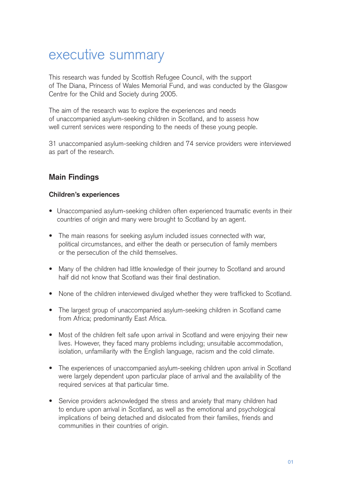# executive summary

This research was funded by Scottish Refugee Council, with the support of The Diana, Princess of Wales Memorial Fund, and was conducted by the Glasgow Centre for the Child and Society during 2005.

The aim of the research was to explore the experiences and needs of unaccompanied asylum-seeking children in Scotland, and to assess how well current services were responding to the needs of these young people.

31 unaccompanied asylum-seeking children and 74 service providers were interviewed as part of the research.

# **Main Findings**

#### **Children's experiences**

- Unaccompanied asylum-seeking children often experienced traumatic events in their countries of origin and many were brought to Scotland by an agent.
- The main reasons for seeking asylum included issues connected with war, political circumstances, and either the death or persecution of family members or the persecution of the child themselves.
- Many of the children had little knowledge of their journey to Scotland and around half did not know that Scotland was their final destination.
- None of the children interviewed divulged whether they were trafficked to Scotland.
- The largest group of unaccompanied asylum-seeking children in Scotland came from Africa; predominantly East Africa.
- Most of the children felt safe upon arrival in Scotland and were enjoying their new lives. However, they faced many problems including; unsuitable accommodation, isolation, unfamiliarity with the English language, racism and the cold climate.
- The experiences of unaccompanied asylum-seeking children upon arrival in Scotland were largely dependent upon particular place of arrival and the availability of the required services at that particular time.
- Service providers acknowledged the stress and anxiety that many children had to endure upon arrival in Scotland, as well as the emotional and psychological implications of being detached and dislocated from their families, friends and communities in their countries of origin.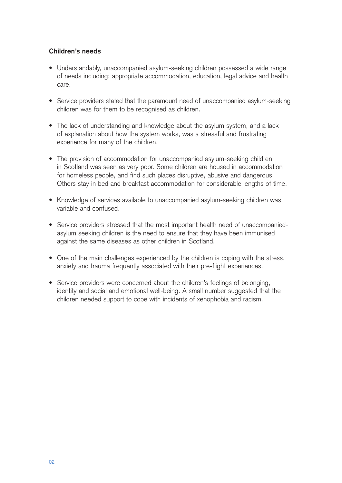#### **Children's needs**

- Understandably, unaccompanied asylum-seeking children possessed a wide range of needs including: appropriate accommodation, education, legal advice and health care.
- Service providers stated that the paramount need of unaccompanied asylum-seeking children was for them to be recognised as children.
- The lack of understanding and knowledge about the asylum system, and a lack of explanation about how the system works, was a stressful and frustrating experience for many of the children.
- The provision of accommodation for unaccompanied asylum-seeking children in Scotland was seen as very poor. Some children are housed in accommodation for homeless people, and find such places disruptive, abusive and dangerous. Others stay in bed and breakfast accommodation for considerable lengths of time.
- Knowledge of services available to unaccompanied asylum-seeking children was variable and confused.
- Service providers stressed that the most important health need of unaccompaniedasylum seeking children is the need to ensure that they have been immunised against the same diseases as other children in Scotland.
- One of the main challenges experienced by the children is coping with the stress, anxiety and trauma frequently associated with their pre-flight experiences.
- Service providers were concerned about the children's feelings of belonging, identity and social and emotional well-being. A small number suggested that the children needed support to cope with incidents of xenophobia and racism.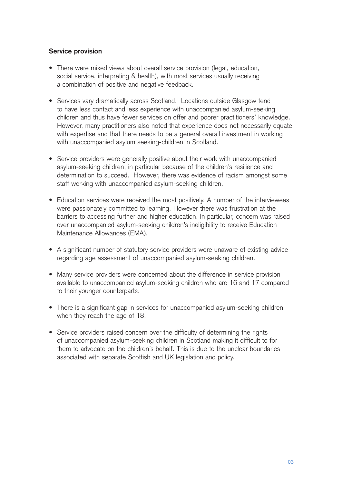#### **Service provision**

- There were mixed views about overall service provision (legal, education, social service, interpreting & health), with most services usually receiving a combination of positive and negative feedback.
- Services vary dramatically across Scotland. Locations outside Glasgow tend to have less contact and less experience with unaccompanied asylum-seeking children and thus have fewer services on offer and poorer practitioners' knowledge. However, many practitioners also noted that experience does not necessarily equate with expertise and that there needs to be a general overall investment in working with unaccompanied asylum seeking-children in Scotland.
- Service providers were generally positive about their work with unaccompanied asylum-seeking children, in particular because of the children's resilience and determination to succeed. However, there was evidence of racism amongst some staff working with unaccompanied asylum-seeking children.
- Education services were received the most positively. A number of the interviewees were passionately committed to learning. However there was frustration at the barriers to accessing further and higher education. In particular, concern was raised over unaccompanied asylum-seeking children's ineligibility to receive Education Maintenance Allowances (EMA).
- A significant number of statutory service providers were unaware of existing advice regarding age assessment of unaccompanied asylum-seeking children.
- Many service providers were concerned about the difference in service provision available to unaccompanied asylum-seeking children who are 16 and 17 compared to their younger counterparts.
- There is a significant gap in services for unaccompanied asylum-seeking children when they reach the age of 18.
- Service providers raised concern over the difficulty of determining the rights of unaccompanied asylum-seeking children in Scotland making it difficult to for them to advocate on the children's behalf. This is due to the unclear boundaries associated with separate Scottish and UK legislation and policy.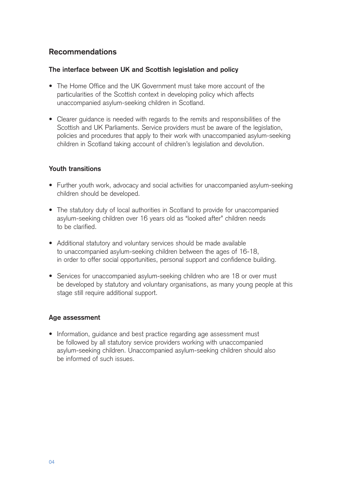# **Recommendations**

#### **The interface between UK and Scottish legislation and policy**

- The Home Office and the UK Government must take more account of the particularities of the Scottish context in developing policy which affects unaccompanied asylum-seeking children in Scotland.
- Clearer guidance is needed with regards to the remits and responsibilities of the Scottish and UK Parliaments. Service providers must be aware of the legislation, policies and procedures that apply to their work with unaccompanied asylum-seeking children in Scotland taking account of children's legislation and devolution.

#### **Youth transitions**

- Further youth work, advocacy and social activities for unaccompanied asylum-seeking children should be developed.
- The statutory duty of local authorities in Scotland to provide for unaccompanied asylum-seeking children over 16 years old as "looked after" children needs to be clarified.
- Additional statutory and voluntary services should be made available to unaccompanied asylum-seeking children between the ages of 16-18, in order to offer social opportunities, personal support and confidence building.
- Services for unaccompanied asylum-seeking children who are 18 or over must be developed by statutory and voluntary organisations, as many young people at this stage still require additional support.

#### **Age assessment**

• Information, guidance and best practice regarding age assessment must be followed by all statutory service providers working with unaccompanied asylum-seeking children. Unaccompanied asylum-seeking children should also be informed of such issues.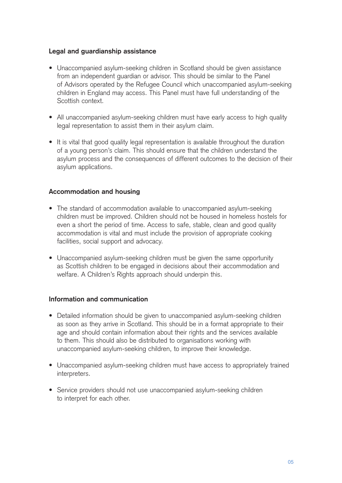#### **Legal and guardianship assistance**

- Unaccompanied asylum-seeking children in Scotland should be given assistance from an independent guardian or advisor. This should be similar to the Panel of Advisors operated by the Refugee Council which unaccompanied asylum-seeking children in England may access. This Panel must have full understanding of the Scottish context.
- All unaccompanied asylum-seeking children must have early access to high quality legal representation to assist them in their asylum claim.
- It is vital that good quality legal representation is available throughout the duration of a young person's claim. This should ensure that the children understand the asylum process and the consequences of different outcomes to the decision of their asylum applications.

#### **Accommodation and housing**

- The standard of accommodation available to unaccompanied asylum-seeking children must be improved. Children should not be housed in homeless hostels for even a short the period of time. Access to safe, stable, clean and good quality accommodation is vital and must include the provision of appropriate cooking facilities, social support and advocacy.
- Unaccompanied asylum-seeking children must be given the same opportunity as Scottish children to be engaged in decisions about their accommodation and welfare. A Children's Rights approach should underpin this.

#### **Information and communication**

- Detailed information should be given to unaccompanied asylum-seeking children as soon as they arrive in Scotland. This should be in a format appropriate to their age and should contain information about their rights and the services available to them. This should also be distributed to organisations working with unaccompanied asylum-seeking children, to improve their knowledge.
- Unaccompanied asylum-seeking children must have access to appropriately trained interpreters.
- Service providers should not use unaccompanied asylum-seeking children to interpret for each other.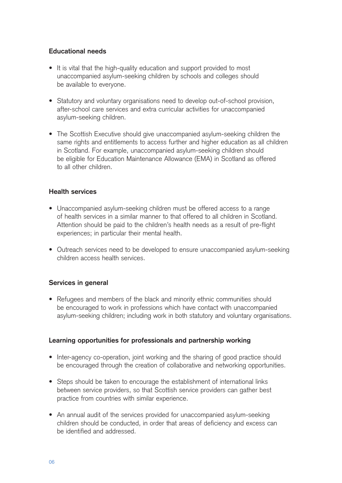#### **Educational needs**

- It is vital that the high-quality education and support provided to most unaccompanied asylum-seeking children by schools and colleges should be available to everyone.
- Statutory and voluntary organisations need to develop out-of-school provision, after-school care services and extra curricular activities for unaccompanied asylum-seeking children.
- The Scottish Executive should give unaccompanied asylum-seeking children the same rights and entitlements to access further and higher education as all children in Scotland. For example, unaccompanied asylum-seeking children should be eligible for Education Maintenance Allowance (EMA) in Scotland as offered to all other children.

#### **Health services**

- Unaccompanied asylum-seeking children must be offered access to a range of health services in a similar manner to that offered to all children in Scotland. Attention should be paid to the children's health needs as a result of pre-flight experiences; in particular their mental health.
- Outreach services need to be developed to ensure unaccompanied asylum-seeking children access health services.

#### **Services in general**

• Refugees and members of the black and minority ethnic communities should be encouraged to work in professions which have contact with unaccompanied asylum-seeking children; including work in both statutory and voluntary organisations.

#### **Learning opportunities for professionals and partnership working**

- Inter-agency co-operation, joint working and the sharing of good practice should be encouraged through the creation of collaborative and networking opportunities.
- Steps should be taken to encourage the establishment of international links between service providers, so that Scottish service providers can gather best practice from countries with similar experience.
- An annual audit of the services provided for unaccompanied asylum-seeking children should be conducted, in order that areas of deficiency and excess can be identified and addressed.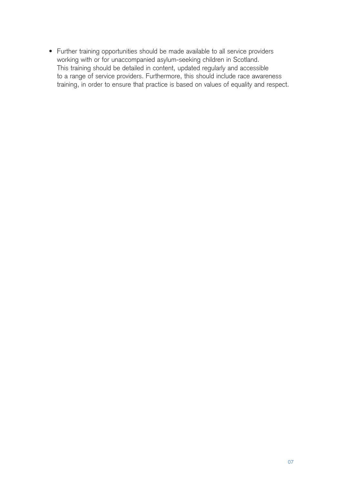• Further training opportunities should be made available to all service providers working with or for unaccompanied asylum-seeking children in Scotland. This training should be detailed in content, updated regularly and accessible to a range of service providers. Furthermore, this should include race awareness training, in order to ensure that practice is based on values of equality and respect.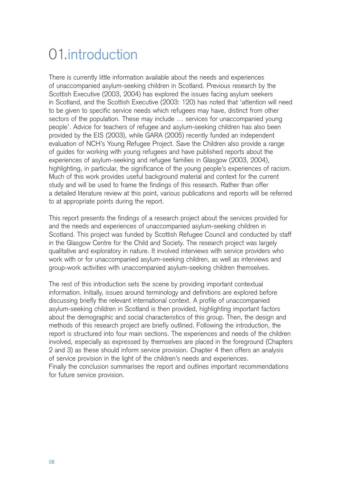# 01.introduction

There is currently little information available about the needs and experiences of unaccompanied asylum-seeking children in Scotland. Previous research by the Scottish Executive (2003, 2004) has explored the issues facing asylum seekers in Scotland, and the Scottish Executive (2003: 120) has noted that 'attention will need to be given to specific service needs which refugees may have, distinct from other sectors of the population. These may include … services for unaccompanied young people'. Advice for teachers of refugee and asylum-seeking children has also been provided by the EIS (2003), while GARA (2005) recently funded an independent evaluation of NCH's Young Refugee Project. Save the Children also provide a range of guides for working with young refugees and have published reports about the experiences of asylum-seeking and refugee families in Glasgow (2003, 2004), highlighting, in particular, the significance of the young people's experiences of racism. Much of this work provides useful background material and context for the current study and will be used to frame the findings of this research. Rather than offer a detailed literature review at this point, various publications and reports will be referred to at appropriate points during the report.

This report presents the findings of a research project about the services provided for and the needs and experiences of unaccompanied asylum-seeking children in Scotland. This project was funded by Scottish Refugee Council and conducted by staff in the Glasgow Centre for the Child and Society. The research project was largely qualitative and exploratory in nature. It involved interviews with service providers who work with or for unaccompanied asylum-seeking children, as well as interviews and group-work activities with unaccompanied asylum-seeking children themselves.

The rest of this introduction sets the scene by providing important contextual information. Initially, issues around terminology and definitions are explored before discussing briefly the relevant international context. A profile of unaccompanied asylum-seeking children in Scotland is then provided, highlighting important factors about the demographic and social characteristics of this group. Then, the design and methods of this research project are briefly outlined. Following the introduction, the report is structured into four main sections. The experiences and needs of the children involved, especially as expressed by themselves are placed in the foreground (Chapters 2 and 3) as these should inform service provision. Chapter 4 then offers an analysis of service provision in the light of the children's needs and experiences. Finally the conclusion summarises the report and outlines important recommendations for future service provision.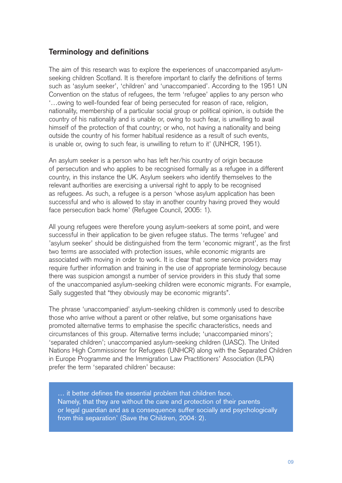### **Terminology and definitions**

The aim of this research was to explore the experiences of unaccompanied asylumseeking children Scotland. It is therefore important to clarify the definitions of terms such as 'asylum seeker', 'children' and 'unaccompanied'. According to the 1951 UN Convention on the status of refugees, the term 'refugee' applies to any person who '…owing to well-founded fear of being persecuted for reason of race, religion, nationality, membership of a particular social group or political opinion, is outside the country of his nationality and is unable or, owing to such fear, is unwilling to avail himself of the protection of that country; or who, not having a nationality and being outside the country of his former habitual residence as a result of such events, is unable or, owing to such fear, is unwilling to return to it' (UNHCR, 1951).

An asylum seeker is a person who has left her/his country of origin because of persecution and who applies to be recognised formally as a refugee in a different country, in this instance the UK. Asylum seekers who identify themselves to the relevant authorities are exercising a universal right to apply to be recognised as refugees. As such, a refugee is a person 'whose asylum application has been successful and who is allowed to stay in another country having proved they would face persecution back home' (Refugee Council, 2005: 1).

All young refugees were therefore young asylum-seekers at some point, and were successful in their application to be given refugee status. The terms 'refugee' and 'asylum seeker' should be distinguished from the term 'economic migrant', as the first two terms are associated with protection issues, while economic migrants are associated with moving in order to work. It is clear that some service providers may require further information and training in the use of appropriate terminology because there was suspicion amongst a number of service providers in this study that some of the unaccompanied asylum-seeking children were economic migrants. For example, Sally suggested that "they obviously may be economic migrants".

The phrase 'unaccompanied' asylum-seeking children is commonly used to describe those who arrive without a parent or other relative, but some organisations have promoted alternative terms to emphasise the specific characteristics, needs and circumstances of this group. Alternative terms include; 'unaccompanied minors'; 'separated children'; unaccompanied asylum-seeking children (UASC). The United Nations High Commissioner for Refugees (UNHCR) along with the Separated Children in Europe Programme and the Immigration Law Practitioners' Association (ILPA) prefer the term 'separated children' because:

… it better defines the essential problem that children face. Namely, that they are without the care and protection of their parents or legal guardian and as a consequence suffer socially and psychologically from this separation' (Save the Children, 2004: 2).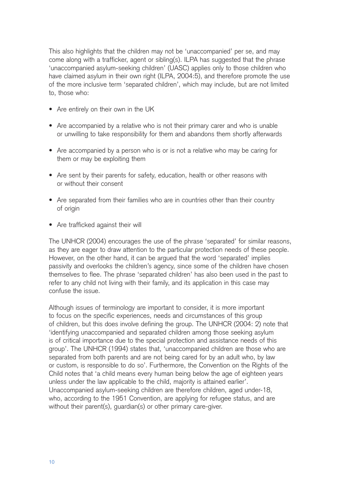This also highlights that the children may not be 'unaccompanied' per se, and may come along with a trafficker, agent or sibling(s). ILPA has suggested that the phrase 'unaccompanied asylum-seeking children' (UASC) applies only to those children who have claimed asylum in their own right (ILPA, 2004:5), and therefore promote the use of the more inclusive term 'separated children', which may include, but are not limited to, those who:

- Are entirely on their own in the UK
- Are accompanied by a relative who is not their primary carer and who is unable or unwilling to take responsibility for them and abandons them shortly afterwards
- Are accompanied by a person who is or is not a relative who may be caring for them or may be exploiting them
- Are sent by their parents for safety, education, health or other reasons with or without their consent
- Are separated from their families who are in countries other than their country of origin
- Are trafficked against their will

The UNHCR (2004) encourages the use of the phrase 'separated' for similar reasons, as they are eager to draw attention to the particular protection needs of these people. However, on the other hand, it can be argued that the word 'separated' implies passivity and overlooks the children's agency, since some of the children have chosen themselves to flee. The phrase 'separated children' has also been used in the past to refer to any child not living with their family, and its application in this case may confuse the issue.

Although issues of terminology are important to consider, it is more important to focus on the specific experiences, needs and circumstances of this group of children, but this does involve defining the group. The UNHCR (2004: 2) note that 'identifying unaccompanied and separated children among those seeking asylum is of critical importance due to the special protection and assistance needs of this group'. The UNHCR (1994) states that, 'unaccompanied children are those who are separated from both parents and are not being cared for by an adult who, by law or custom, is responsible to do so'. Furthermore, the Convention on the Rights of the Child notes that 'a child means every human being below the age of eighteen years unless under the law applicable to the child, majority is attained earlier'. Unaccompanied asylum-seeking children are therefore children, aged under-18, who, according to the 1951 Convention, are applying for refugee status, and are without their parent(s), guardian(s) or other primary care-giver.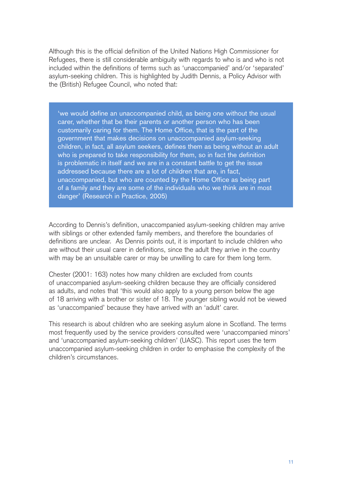Although this is the official definition of the United Nations High Commissioner for Refugees, there is still considerable ambiguity with regards to who is and who is not included within the definitions of terms such as 'unaccompanied' and/or 'separated' asylum-seeking children. This is highlighted by Judith Dennis, a Policy Advisor with the (British) Refugee Council, who noted that:

'we would define an unaccompanied child, as being one without the usual carer, whether that be their parents or another person who has been customarily caring for them. The Home Office, that is the part of the government that makes decisions on unaccompanied asylum-seeking children, in fact, all asylum seekers, defines them as being without an adult who is prepared to take responsibility for them, so in fact the definition is problematic in itself and we are in a constant battle to get the issue addressed because there are a lot of children that are, in fact, unaccompanied, but who are counted by the Home Office as being part of a family and they are some of the individuals who we think are in most danger' (Research in Practice, 2005)

According to Dennis's definition, unaccompanied asylum-seeking children may arrive with siblings or other extended family members, and therefore the boundaries of definitions are unclear. As Dennis points out, it is important to include children who are without their usual carer in definitions, since the adult they arrive in the country with may be an unsuitable carer or may be unwilling to care for them long term.

Chester (2001: 163) notes how many children are excluded from counts of unaccompanied asylum-seeking children because they are officially considered as adults, and notes that 'this would also apply to a young person below the age of 18 arriving with a brother or sister of 18. The younger sibling would not be viewed as 'unaccompanied' because they have arrived with an 'adult' carer.

This research is about children who are seeking asylum alone in Scotland. The terms most frequently used by the service providers consulted were 'unaccompanied minors' and 'unaccompanied asylum-seeking children' (UASC). This report uses the term unaccompanied asylum-seeking children in order to emphasise the complexity of the children's circumstances.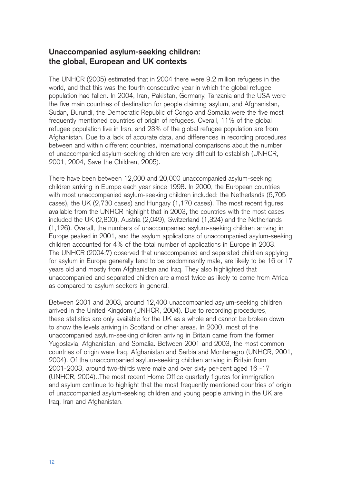### **Unaccompanied asylum-seeking children: the global, European and UK contexts**

The UNHCR (2005) estimated that in 2004 there were 9.2 million refugees in the world, and that this was the fourth consecutive year in which the global refugee population had fallen. In 2004, Iran, Pakistan, Germany, Tanzania and the USA were the five main countries of destination for people claiming asylum, and Afghanistan, Sudan, Burundi, the Democratic Republic of Congo and Somalia were the five most frequently mentioned countries of origin of refugees. Overall, 11% of the global refugee population live in Iran, and 23% of the global refugee population are from Afghanistan. Due to a lack of accurate data, and differences in recording procedures between and within different countries, international comparisons about the number of unaccompanied asylum-seeking children are very difficult to establish (UNHCR, 2001, 2004, Save the Children, 2005).

There have been between 12,000 and 20,000 unaccompanied asylum-seeking children arriving in Europe each year since 1998. In 2000, the European countries with most unaccompanied asylum-seeking children included: the Netherlands (6,705 cases), the UK (2,730 cases) and Hungary (1,170 cases). The most recent figures available from the UNHCR highlight that in 2003, the countries with the most cases included the UK (2,800), Austria (2,049), Switzerland (1,324) and the Netherlands (1,126). Overall, the numbers of unaccompanied asylum-seeking children arriving in Europe peaked in 2001, and the asylum applications of unaccompanied asylum-seeking children accounted for 4% of the total number of applications in Europe in 2003. The UNHCR (2004:7) observed that unaccompanied and separated children applying for asylum in Europe generally tend to be predominantly male, are likely to be 16 or 17 years old and mostly from Afghanistan and Iraq. They also highlighted that unaccompanied and separated children are almost twice as likely to come from Africa as compared to asylum seekers in general.

Between 2001 and 2003, around 12,400 unaccompanied asylum-seeking children arrived in the United Kingdom (UNHCR, 2004). Due to recording procedures, these statistics are only available for the UK as a whole and cannot be broken down to show the levels arriving in Scotland or other areas. In 2000, most of the unaccompanied asylum-seeking children arriving in Britain came from the former Yugoslavia, Afghanistan, and Somalia. Between 2001 and 2003, the most common countries of origin were Iraq, Afghanistan and Serbia and Montenegro (UNHCR, 2001, 2004). Of the unaccompanied asylum-seeking children arriving in Britain from 2001-2003, around two-thirds were male and over sixty per-cent aged 16 -17 (UNHCR, 2004)..The most recent Home Office quarterly figures for immigration and asylum continue to highlight that the most frequently mentioned countries of origin of unaccompanied asylum-seeking children and young people arriving in the UK are Iraq, Iran and Afghanistan.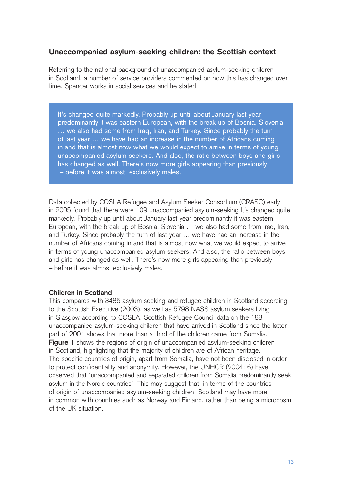# **Unaccompanied asylum-seeking children: the Scottish context**

Referring to the national background of unaccompanied asylum-seeking children in Scotland, a number of service providers commented on how this has changed over time. Spencer works in social services and he stated:

It's changed quite markedly. Probably up until about January last year predominantly it was eastern European, with the break up of Bosnia, Slovenia … we also had some from Iraq, Iran, and Turkey. Since probably the turn of last year … we have had an increase in the number of Africans coming in and that is almost now what we would expect to arrive in terms of young unaccompanied asylum seekers. And also, the ratio between boys and girls has changed as well. There's now more girls appearing than previously – before it was almost exclusively males.

Data collected by COSLA Refugee and Asylum Seeker Consortium (CRASC) early in 2005 found that there were 109 unaccompanied asylum-seeking It's changed quite markedly. Probably up until about January last year predominantly it was eastern European, with the break up of Bosnia, Slovenia … we also had some from Iraq, Iran, and Turkey. Since probably the turn of last year … we have had an increase in the number of Africans coming in and that is almost now what we would expect to arrive in terms of young unaccompanied asylum seekers. And also, the ratio between boys and girls has changed as well. There's now more girls appearing than previously – before it was almost exclusively males.

#### **Children in Scotland**

This compares with 3485 asylum seeking and refugee children in Scotland according to the Scottish Executive (2003), as well as 5798 NASS asylum seekers living in Glasgow according to COSLA. Scottish Refugee Council data on the 188 unaccompanied asylum-seeking children that have arrived in Scotland since the latter part of 2001 shows that more than a third of the children came from Somalia. **Figure 1** shows the regions of origin of unaccompanied asylum-seeking children in Scotland, highlighting that the majority of children are of African heritage. The specific countries of origin, apart from Somalia, have not been disclosed in order to protect confidentiality and anonymity. However, the UNHCR (2004: 6) have observed that 'unaccompanied and separated children from Somalia predominantly seek asylum in the Nordic countries'. This may suggest that, in terms of the countries of origin of unaccompanied asylum-seeking children, Scotland may have more in common with countries such as Norway and Finland, rather than being a microcosm of the UK situation.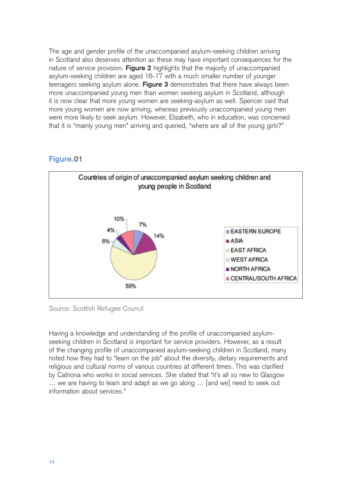The age and gender profile of the unaccompanied asylum-seeking children arriving in Scotland also deserves attention as these may have important consequences for the nature of service provision. **Figure 2** highlights that the majority of unaccompanied asylum-seeking children are aged 16-17 with a much smaller number of younger teenagers seeking asylum alone. **Figure 3** demonstrates that there have always been more unaccompanied young men than women seeking asylum in Scotland, although it is now clear that more young women are seeking-asylum as well. Spencer said that more young women are now arriving, whereas previously unaccompanied young men were more likely to seek asylum. However, Elizabeth, who in education, was concerned that it is "mainly young men" arriving and queried, "where are all of the young girls?"

#### **Figure.01**



Source: Scottish Refugee Council

Having a knowledge and understanding of the profile of unaccompanied asylumseeking children in Scotland is important for service providers. However, as a result of the changing profile of unaccompanied asylum-seeking children in Scotland, many noted how they had to "learn on the job" about the diversity, dietary requirements and religious and cultural norms of various countries at different times. This was clarified by Catriona who works in social services. She stated that "it's all so new to Glasgow … we are having to learn and adapt as we go along … [and we] need to seek out information about services."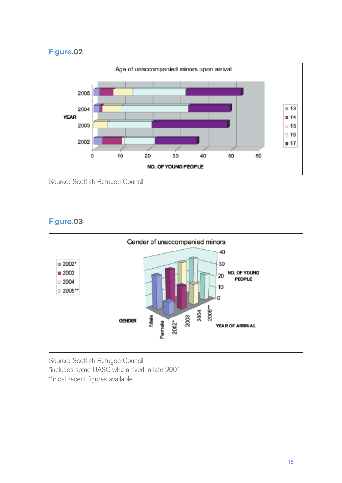# **Figure.02**



Source: Scottish Refugee Council

# **Figure.03**



Source: Scottish Refugee Council \*includes some UASC who arrived in late 2001 \*\*most recent figures available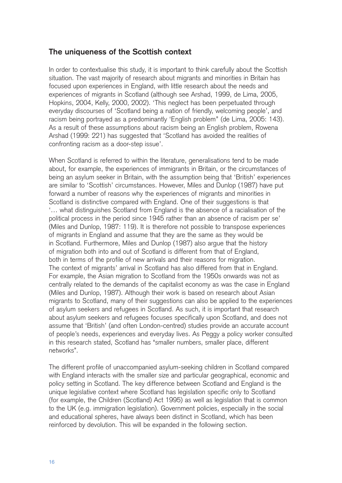# **The uniqueness of the Scottish context**

In order to contextualise this study, it is important to think carefully about the Scottish situation. The vast majority of research about migrants and minorities in Britain has focused upon experiences in England, with little research about the needs and experiences of migrants in Scotland (although see Arshad, 1999, de Lima, 2005, Hopkins, 2004, Kelly, 2000, 2002). 'This neglect has been perpetuated through everyday discourses of 'Scotland being a nation of friendly, welcoming people', and racism being portrayed as a predominantly 'English problem'' (de Lima, 2005: 143). As a result of these assumptions about racism being an English problem, Rowena Arshad (1999: 221) has suggested that 'Scotland has avoided the realities of confronting racism as a door-step issue'.

When Scotland is referred to within the literature, generalisations tend to be made about, for example, the experiences of immigrants in Britain, or the circumstances of being an asylum seeker in Britain, with the assumption being that 'British' experiences are similar to 'Scottish' circumstances. However, Miles and Dunlop (1987) have put forward a number of reasons why the experiences of migrants and minorities in Scotland is distinctive compared with England. One of their suggestions is that '… what distinguishes Scotland from England is the absence of a racialisation of the political process in the period since 1945 rather than an absence of racism per se' (Miles and Dunlop, 1987: 119). It is therefore not possible to transpose experiences of migrants in England and assume that they are the same as they would be in Scotland. Furthermore, Miles and Dunlop (1987) also argue that the history of migration both into and out of Scotland is different from that of England, both in terms of the profile of new arrivals and their reasons for migration. The context of migrants' arrival in Scotland has also differed from that in England. For example, the Asian migration to Scotland from the 1950s onwards was not as centrally related to the demands of the capitalist economy as was the case in England (Miles and Dunlop, 1987). Although their work is based on research about Asian migrants to Scotland, many of their suggestions can also be applied to the experiences of asylum seekers and refugees in Scotland. As such, it is important that research about asylum seekers and refugees focuses specifically upon Scotland, and does not assume that 'British' (and often London-centred) studies provide an accurate account of people's needs, experiences and everyday lives. As Peggy a policy worker consulted in this research stated, Scotland has "smaller numbers, smaller place, different networks".

The different profile of unaccompanied asylum-seeking children in Scotland compared with England interacts with the smaller size and particular geographical, economic and policy setting in Scotland. The key difference between Scotland and England is the unique legislative context where Scotland has legislation specific only to Scotland (for example, the Children (Scotland) Act 1995) as well as legislation that is common to the UK (e.g. immigration legislation). Government policies, especially in the social and educational spheres, have always been distinct in Scotland, which has been reinforced by devolution. This will be expanded in the following section.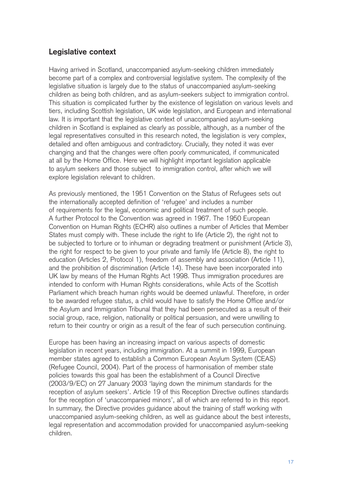# **Legislative context**

Having arrived in Scotland, unaccompanied asylum-seeking children immediately become part of a complex and controversial legislative system. The complexity of the legislative situation is largely due to the status of unaccompanied asylum-seeking children as being both children, and as asylum-seekers subject to immigration control. This situation is complicated further by the existence of legislation on various levels and tiers, including Scottish legislation, UK wide legislation, and European and international law. It is important that the legislative context of unaccompanied asylum-seeking children in Scotland is explained as clearly as possible, although, as a number of the legal representatives consulted in this research noted, the legislation is very complex, detailed and often ambiguous and contradictory. Crucially, they noted it was ever changing and that the changes were often poorly communicated, if communicated at all by the Home Office. Here we will highlight important legislation applicable to asylum seekers and those subject to immigration control, after which we will explore legislation relevant to children.

As previously mentioned, the 1951 Convention on the Status of Refugees sets out the internationally accepted definition of 'refugee' and includes a number of requirements for the legal, economic and political treatment of such people. A further Protocol to the Convention was agreed in 1967. The 1950 European Convention on Human Rights (ECHR) also outlines a number of Articles that Member States must comply with. These include the right to life (Article 2), the right not to be subjected to torture or to inhuman or degrading treatment or punishment (Article 3), the right for respect to be given to your private and family life (Article 8), the right to education (Articles 2, Protocol 1), freedom of assembly and association (Article 11), and the prohibition of discrimination (Article 14). These have been incorporated into UK law by means of the Human Rights Act 1998. Thus immigration procedures are intended to conform with Human Rights considerations, while Acts of the Scottish Parliament which breach human rights would be deemed unlawful. Therefore, in order to be awarded refugee status, a child would have to satisfy the Home Office and/or the Asylum and Immigration Tribunal that they had been persecuted as a result of their social group, race, religion, nationality or political persuasion, and were unwilling to return to their country or origin as a result of the fear of such persecution continuing.

Europe has been having an increasing impact on various aspects of domestic legislation in recent years, including immigration. At a summit in 1999, European member states agreed to establish a Common European Asylum System (CEAS) (Refugee Council, 2004). Part of the process of harmonisation of member state policies towards this goal has been the establishment of a Council Directive (2003/9/EC) on 27 January 2003 'laying down the minimum standards for the reception of asylum seekers'. Article 19 of this Reception Directive outlines standards for the reception of 'unaccompanied minors', all of which are referred to in this report. In summary, the Directive provides guidance about the training of staff working with unaccompanied asylum-seeking children, as well as guidance about the best interests, legal representation and accommodation provided for unaccompanied asylum-seeking children.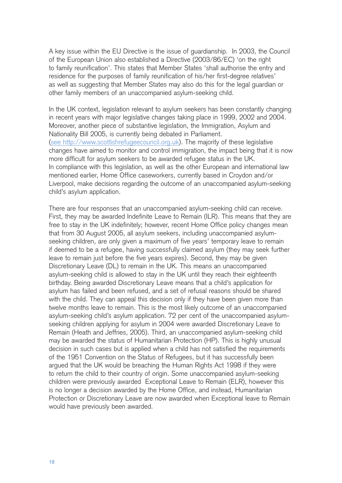A key issue within the EU Directive is the issue of guardianship. In 2003, the Council of the European Union also established a Directive (2003/86/EC) 'on the right to family reunification'. This states that Member States 'shall authorise the entry and residence for the purposes of family reunification of his/her first-degree relatives' as well as suggesting that Member States may also do this for the legal guardian or other family members of an unaccompanied asylum-seeking child.

In the UK context, legislation relevant to asylum seekers has been constantly changing in recent years with major legislative changes taking place in 1999, 2002 and 2004. Moreover, another piece of substantive legislation, the Immigration, Asylum and Nationality Bill 2005, is currently being debated in Parliament. (see http://www.scottishrefugeecouncil.org.uk). The majority of these legislative changes have aimed to monitor and control immigration, the impact being that it is now more difficult for asylum seekers to be awarded refugee status in the UK. In compliance with this legislation, as well as the other European and international law mentioned earlier, Home Office caseworkers, currently based in Croydon and/or Liverpool, make decisions regarding the outcome of an unaccompanied asylum-seeking child's asylum application.

There are four responses that an unaccompanied asylum-seeking child can receive. First, they may be awarded Indefinite Leave to Remain (ILR). This means that they are free to stay in the UK indefinitely; however, recent Home Office policy changes mean that from 30 August 2005, all asylum seekers, including unaccompanied asylumseeking children, are only given a maximum of five years' temporary leave to remain if deemed to be a refugee, having successfully claimed asylum (they may seek further leave to remain just before the five years expires). Second, they may be given Discretionary Leave (DL) to remain in the UK. This means an unaccompanied asylum-seeking child is allowed to stay in the UK until they reach their eighteenth birthday. Being awarded Discretionary Leave means that a child's application for asylum has failed and been refused, and a set of refusal reasons should be shared with the child. They can appeal this decision only if they have been given more than twelve months leave to remain. This is the most likely outcome of an unaccompanied asylum-seeking child's asylum application. 72 per cent of the unaccompanied asylumseeking children applying for asylum in 2004 were awarded Discretionary Leave to Remain (Heath and Jeffries, 2005). Third, an unaccompanied asylum-seeking child may be awarded the status of Humanitarian Protection (HP). This is highly unusual decision in such cases but is applied when a child has not satisfied the requirements of the 1951 Convention on the Status of Refugees, but it has successfully been argued that the UK would be breaching the Human Rights Act 1998 if they were to return the child to their country of origin. Some unaccompanied asylum-seeking children were previously awarded Exceptional Leave to Remain (ELR), however this is no longer a decision awarded by the Home Office, and instead, Humanitarian Protection or Discretionary Leave are now awarded when Exceptional leave to Remain would have previously been awarded.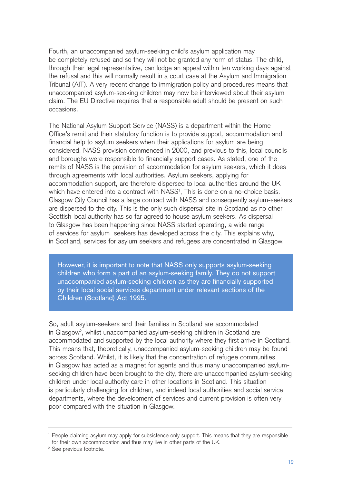Fourth, an unaccompanied asylum-seeking child's asylum application may be completely refused and so they will not be granted any form of status. The child, through their legal representative, can lodge an appeal within ten working days against the refusal and this will normally result in a court case at the Asylum and Immigration Tribunal (AIT). A very recent change to immigration policy and procedures means that unaccompanied asylum-seeking children may now be interviewed about their asylum claim. The EU Directive requires that a responsible adult should be present on such occasions.

The National Asylum Support Service (NASS) is a department within the Home Office's remit and their statutory function is to provide support, accommodation and financial help to asylum seekers when their applications for asylum are being considered. NASS provision commenced in 2000, and previous to this, local councils and boroughs were responsible to financially support cases. As stated, one of the remits of NASS is the provision of accommodation for asylum seekers, which it does through agreements with local authorities. Asylum seekers, applying for accommodation support, are therefore dispersed to local authorities around the UK which have entered into a contract with NASS<sup>1</sup>, This is done on a no-choice basis. Glasgow City Council has a large contract with NASS and consequently asylum-seekers are dispersed to the city. This is the only such dispersal site in Scotland as no other Scottish local authority has so far agreed to house asylum seekers. As dispersal to Glasgow has been happening since NASS started operating, a wide range of services for asylum seekers has developed across the city. This explains why, in Scotland, services for asylum seekers and refugees are concentrated in Glasgow.

However, it is important to note that NASS only supports asylum-seeking children who form a part of an asylum-seeking family. They do not support unaccompanied asylum-seeking children as they are financially supported by their local social services department under relevant sections of the Children (Scotland) Act 1995.

So, adult asylum-seekers and their families in Scotland are accommodated in Glasgow $^{\circ}$ , whilst unaccompanied asylum-seeking children in Scotland are accommodated and supported by the local authority where they first arrive in Scotland. This means that, theoretically, unaccompanied asylum-seeking children may be found across Scotland. Whilst, it is likely that the concentration of refugee communities in Glasgow has acted as a magnet for agents and thus many unaccompanied asylumseeking children have been brought to the city, there are unaccompanied asylum-seeking children under local authority care in other locations in Scotland. This situation is particularly challenging for children, and indeed local authorities and social service departments, where the development of services and current provision is often very poor compared with the situation in Glasgow.

<sup>&</sup>lt;sup>1</sup> People claiming asylum may apply for subsistence only support. This means that they are responsible for their own accommodation and thus may live in other parts of the UK.

<sup>&</sup>lt;sup>2</sup> See previous footnote.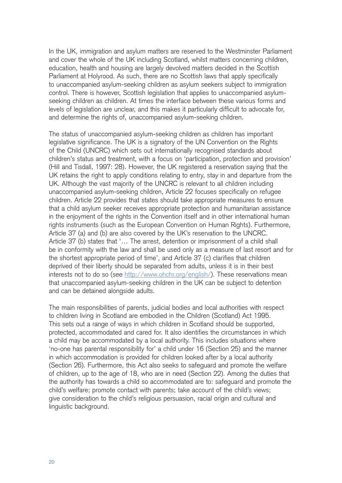In the UK, immigration and asylum matters are reserved to the Westminster Parliament and cover the whole of the UK including Scotland, whilst matters concerning children, education, health and housing are largely devolved matters decided in the Scottish Parliament at Holyrood. As such, there are no Scottish laws that apply specifically to unaccompanied asylum-seeking children as asylum seekers subject to immigration control. There is however, Scottish legislation that applies to unaccompanied asylumseeking children as children. At times the interface between these various forms and levels of legislation are unclear, and this makes it particularly difficult to advocate for, and determine the rights of, unaccompanied asylum-seeking children.

The status of unaccompanied asylum-seeking children as children has important legislative significance. The UK is a signatory of the UN Convention on the Rights of the Child (UNCRC) which sets out internationally recognised standards about children's status and treatment, with a focus on 'participation, protection and provision' (Hill and Tisdall, 1997: 28). However, the UK registered a reservation saying that the UK retains the right to apply conditions relating to entry, stay in and departure from the UK. Although the vast majority of the UNCRC is relevant to all children including unaccompanied asylum-seeking children, Article 22 focuses specifically on refugee children. Article 22 provides that states should take appropriate measures to ensure that a child asylum seeker receives appropriate protection and humanitarian assistance in the enjoyment of the rights in the Convention itself and in other international human rights instruments (such as the European Convention on Human Rights). Furthermore, Article 37 (a) and (b) are also covered by the UK's reservation to the UNCRC. Article 37 (b) states that '… The arrest, detention or imprisonment of a child shall be in conformity with the law and shall be used only as a measure of last resort and for the shortest appropriate period of time', and Article 37 (c) clarifies that children deprived of their liberty should be separated from adults, unless it is in their best interests not to do so (see http://www.ohchr.org/english/). These reservations mean that unaccompanied asylum-seeking children in the UK can be subject to detention and can be detained alongside adults.

The main responsibilities of parents, judicial bodies and local authorities with respect to children living in Scotland are embodied in the Children (Scotland) Act 1995. This sets out a range of ways in which children in Scotland should be supported, protected, accommodated and cared for. It also identifies the circumstances in which a child may be accommodated by a local authority. This includes situations where 'no-one has parental responsibility for' a child under 16 (Section 25) and the manner in which accommodation is provided for children looked after by a local authority (Section 26). Furthermore, this Act also seeks to safeguard and promote the welfare of children, up to the age of 18, who are in need (Section 22). Among the duties that the authority has towards a child so accommodated are to: safeguard and promote the child's welfare; promote contact with parents; take account of the child's views; give consideration to the child's religious persuasion, racial origin and cultural and linguistic background.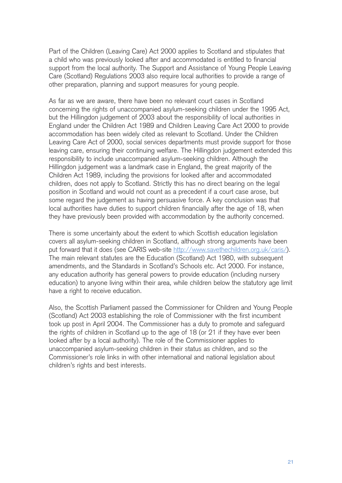Part of the Children (Leaving Care) Act 2000 applies to Scotland and stipulates that a child who was previously looked after and accommodated is entitled to financial support from the local authority. The Support and Assistance of Young People Leaving Care (Scotland) Regulations 2003 also require local authorities to provide a range of other preparation, planning and support measures for young people.

As far as we are aware, there have been no relevant court cases in Scotland concerning the rights of unaccompanied asylum-seeking children under the 1995 Act, but the Hillingdon judgement of 2003 about the responsibility of local authorities in England under the Children Act 1989 and Children Leaving Care Act 2000 to provide accommodation has been widely cited as relevant to Scotland. Under the Children Leaving Care Act of 2000, social services departments must provide support for those leaving care, ensuring their continuing welfare. The Hillingdon judgement extended this responsibility to include unaccompanied asylum-seeking children. Although the Hillingdon judgement was a landmark case in England, the great majority of the Children Act 1989, including the provisions for looked after and accommodated children, does not apply to Scotland. Strictly this has no direct bearing on the legal position in Scotland and would not count as a precedent if a court case arose, but some regard the judgement as having persuasive force. A key conclusion was that local authorities have duties to support children financially after the age of 18, when they have previously been provided with accommodation by the authority concerned.

There is some uncertainty about the extent to which Scottish education legislation covers all asylum-seeking children in Scotland, although strong arguments have been put forward that it does (see CARIS web-site http://www.savethechildren.org.uk/caris/). The main relevant statutes are the Education (Scotland) Act 1980, with subsequent amendments, and the Standards in Scotland's Schools etc. Act 2000. For instance, any education authority has general powers to provide education (including nursery education) to anyone living within their area, while children below the statutory age limit have a right to receive education.

Also, the Scottish Parliament passed the Commissioner for Children and Young People (Scotland) Act 2003 establishing the role of Commissioner with the first incumbent took up post in April 2004. The Commissioner has a duty to promote and safeguard the rights of children in Scotland up to the age of 18 (or 21 if they have ever been looked after by a local authority). The role of the Commissioner applies to unaccompanied asylum-seeking children in their status as children, and so the Commissioner's role links in with other international and national legislation about children's rights and best interests.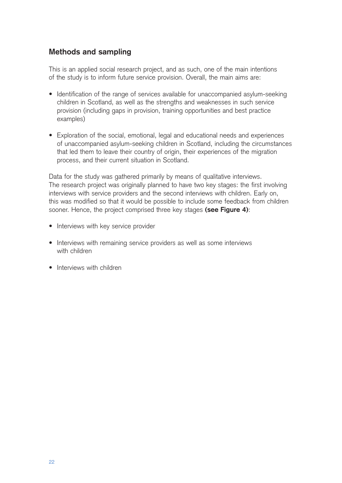# **Methods and sampling**

This is an applied social research project, and as such, one of the main intentions of the study is to inform future service provision. Overall, the main aims are:

- Identification of the range of services available for unaccompanied asylum-seeking children in Scotland, as well as the strengths and weaknesses in such service provision (including gaps in provision, training opportunities and best practice examples)
- Exploration of the social, emotional, legal and educational needs and experiences of unaccompanied asylum-seeking children in Scotland, including the circumstances that led them to leave their country of origin, their experiences of the migration process, and their current situation in Scotland.

Data for the study was gathered primarily by means of qualitative interviews. The research project was originally planned to have two key stages: the first involving interviews with service providers and the second interviews with children. Early on, this was modified so that it would be possible to include some feedback from children sooner. Hence, the project comprised three key stages **(see Figure 4)**:

- Interviews with key service provider
- Interviews with remaining service providers as well as some interviews with children
- Interviews with children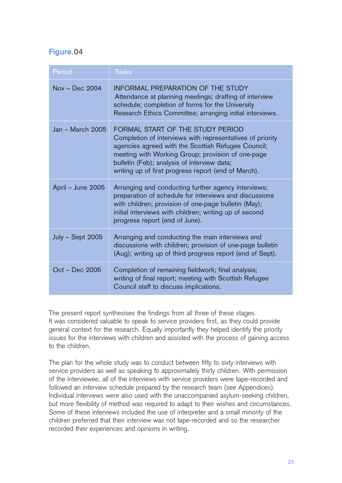# **Figure.04**

| Period                  | <b>Tasks</b>                                                                                                                                                                                                                                                                                                   |
|-------------------------|----------------------------------------------------------------------------------------------------------------------------------------------------------------------------------------------------------------------------------------------------------------------------------------------------------------|
| $Nov - Dec 2004$        | INFORMAL PREPARATION OF THE STUDY<br>Attendance at planning meetings; drafting of interview<br>schedule; completion of forms for the University<br>Research Ethics Committee; arranging initial interviews.                                                                                                    |
| Jan - March 2005        | FORMAL START OF THE STUDY PERIOD<br>Completion of interviews with representatives of priority<br>agencies agreed with the Scottish Refugee Council;<br>meeting with Working Group; provision of one-page<br>bulletin (Feb); analysis of interview data;<br>writing up of first progress report (end of March). |
| April - June 2005       | Arranging and conducting further agency interviews;<br>preparation of schedule for interviews and discussions<br>with children; provision of one-page bulletin (May);<br>initial interviews with children; writing up of second<br>progress report (end of June).                                              |
| <b>July - Sept 2005</b> | Arranging and conducting the main interviews and<br>discussions with children; provision of one-page bulletin<br>(Aug); writing up of third progress report (end of Sept).                                                                                                                                     |
| Oct - Dec 2005          | Completion of remaining fieldwork; final analysis;<br>writing of final report; meeting with Scottish Refugee<br>Council staff to discuss implications.                                                                                                                                                         |

The present report synthesises the findings from all three of these stages. It was considered valuable to speak to service providers first, as they could provide general context for the research. Equally importantly they helped identify the priority issues for the interviews with children and assisted with the process of gaining access to the children.

The plan for the whole study was to conduct between fifty to sixty interviews with service providers as well as speaking to approximately thirty children. With permission of the interviewee, all of the interviews with service providers were tape-recorded and followed an interview schedule prepared by the research team (see Appendices). Individual interviews were also used with the unaccompanied asylum-seeking children, but more flexibility of method was required to adapt to their wishes and circumstances. Some of these interviews included the use of interpreter and a small minority of the children preferred that their interview was not tape-recorded and so the researcher recorded their experiences and opinions in writing.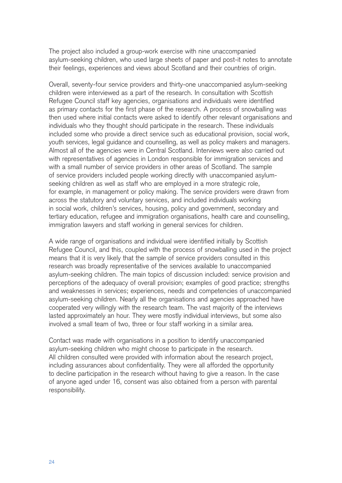The project also included a group-work exercise with nine unaccompanied asylum-seeking children, who used large sheets of paper and post-it notes to annotate their feelings, experiences and views about Scotland and their countries of origin.

Overall, seventy-four service providers and thirty-one unaccompanied asylum-seeking children were interviewed as a part of the research. In consultation with Scottish Refugee Council staff key agencies, organisations and individuals were identified as primary contacts for the first phase of the research. A process of snowballing was then used where initial contacts were asked to identify other relevant organisations and individuals who they thought should participate in the research. These individuals included some who provide a direct service such as educational provision, social work, youth services, legal guidance and counselling, as well as policy makers and managers. Almost all of the agencies were in Central Scotland. Interviews were also carried out with representatives of agencies in London responsible for immigration services and with a small number of service providers in other areas of Scotland. The sample of service providers included people working directly with unaccompanied asylumseeking children as well as staff who are employed in a more strategic role, for example, in management or policy making. The service providers were drawn from across the statutory and voluntary services, and included individuals working in social work, children's services, housing, policy and government, secondary and tertiary education, refugee and immigration organisations, health care and counselling, immigration lawyers and staff working in general services for children.

A wide range of organisations and individual were identified initially by Scottish Refugee Council, and this, coupled with the process of snowballing used in the project means that it is very likely that the sample of service providers consulted in this research was broadly representative of the services available to unaccompanied asylum-seeking children. The main topics of discussion included: service provision and perceptions of the adequacy of overall provision; examples of good practice; strengths and weaknesses in services; experiences, needs and competencies of unaccompanied asylum-seeking children. Nearly all the organisations and agencies approached have cooperated very willingly with the research team. The vast majority of the interviews lasted approximately an hour. They were mostly individual interviews, but some also involved a small team of two, three or four staff working in a similar area.

Contact was made with organisations in a position to identify unaccompanied asylum-seeking children who might choose to participate in the research. All children consulted were provided with information about the research project, including assurances about confidentiality. They were all afforded the opportunity to decline participation in the research without having to give a reason. In the case of anyone aged under 16, consent was also obtained from a person with parental responsibility.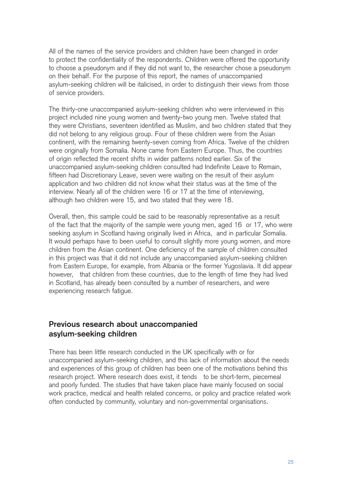All of the names of the service providers and children have been changed in order to protect the confidentiality of the respondents. Children were offered the opportunity to choose a pseudonym and if they did not want to, the researcher chose a pseudonym on their behalf. For the purpose of this report, the names of unaccompanied asylum-seeking children will be italicised, in order to distinguish their views from those of service providers.

The thirty-one unaccompanied asylum-seeking children who were interviewed in this project included nine young women and twenty-two young men. Twelve stated that they were Christians, seventeen identified as Muslim, and two children stated that they did not belong to any religious group. Four of these children were from the Asian continent, with the remaining twenty-seven coming from Africa. Twelve of the children were originally from Somalia. None came from Eastern Europe. Thus, the countries of origin reflected the recent shifts in wider patterns noted earlier. Six of the unaccompanied asylum-seeking children consulted had Indefinite Leave to Remain, fifteen had Discretionary Leave, seven were waiting on the result of their asylum application and two children did not know what their status was at the time of the interview. Nearly all of the children were 16 or 17 at the time of interviewing, although two children were 15, and two stated that they were 18.

Overall, then, this sample could be said to be reasonably representative as a result of the fact that the majority of the sample were young men, aged 16 or 17, who were seeking asylum in Scotland having originally lived in Africa, and in particular Somalia. It would perhaps have to been useful to consult slightly more young women, and more children from the Asian continent. One deficiency of the sample of children consulted in this project was that it did not include any unaccompanied asylum-seeking children from Eastern Europe, for example, from Albania or the former Yugoslavia. It did appear however, that children from these countries, due to the length of time they had lived in Scotland, has already been consulted by a number of researchers, and were experiencing research fatigue.

### **Previous research about unaccompanied asylum-seeking children**

There has been little research conducted in the UK specifically with or for unaccompanied asylum-seeking children, and this lack of information about the needs and experiences of this group of children has been one of the motivations behind this research project. Where research does exist, it tends to be short-term, piecemeal and poorly funded. The studies that have taken place have mainly focused on social work practice, medical and health related concerns, or policy and practice related work often conducted by community, voluntary and non-governmental organisations.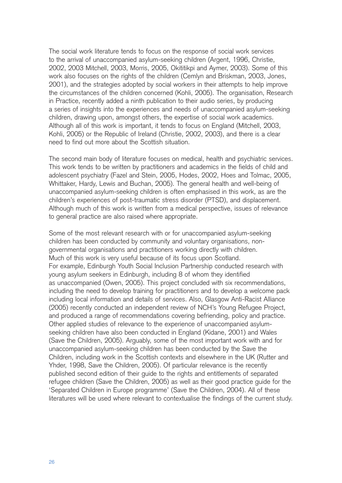The social work literature tends to focus on the response of social work services to the arrival of unaccompanied asylum-seeking children (Argent, 1996, Christie, 2002, 2003 Mitchell, 2003, Morris, 2005, Okititikpi and Aymer, 2003). Some of this work also focuses on the rights of the children (Cemlyn and Briskman, 2003, Jones, 2001), and the strategies adopted by social workers in their attempts to help improve the circumstances of the children concerned (Kohli, 2005). The organisation, Research in Practice, recently added a ninth publication to their audio series, by producing a series of insights into the experiences and needs of unaccompanied asylum-seeking children, drawing upon, amongst others, the expertise of social work academics. Although all of this work is important, it tends to focus on England (Mitchell, 2003, Kohli, 2005) or the Republic of Ireland (Christie, 2002, 2003), and there is a clear need to find out more about the Scottish situation.

The second main body of literature focuses on medical, health and psychiatric services. This work tends to be written by practitioners and academics in the fields of child and adolescent psychiatry (Fazel and Stein, 2005, Hodes, 2002, Hoes and Tolmac, 2005, Whittaker, Hardy, Lewis and Buchan, 2005). The general health and well-being of unaccompanied asylum-seeking children is often emphasised in this work, as are the children's experiences of post-traumatic stress disorder (PTSD), and displacement. Although much of this work is written from a medical perspective, issues of relevance to general practice are also raised where appropriate.

Some of the most relevant research with or for unaccompanied asylum-seeking children has been conducted by community and voluntary organisations, nongovernmental organisations and practitioners working directly with children. Much of this work is very useful because of its focus upon Scotland. For example, Edinburgh Youth Social Inclusion Partnership conducted research with young asylum seekers in Edinburgh, including 8 of whom they identified as unaccompanied (Owen, 2005). This project concluded with six recommendations, including the need to develop training for practitioners and to develop a welcome pack including local information and details of services. Also, Glasgow Anti-Racist Alliance (2005) recently conducted an independent review of NCH's Young Refugee Project, and produced a range of recommendations covering befriending, policy and practice. Other applied studies of relevance to the experience of unaccompanied asylumseeking children have also been conducted in England (Kidane, 2001) and Wales (Save the Children, 2005). Arguably, some of the most important work with and for unaccompanied asylum-seeking children has been conducted by the Save the Children, including work in the Scottish contexts and elsewhere in the UK (Rutter and Yhder, 1998, Save the Children, 2005). Of particular relevance is the recently published second edition of their guide to the rights and entitlements of separated refugee children (Save the Children, 2005) as well as their good practice guide for the 'Separated Children in Europe programme' (Save the Children, 2004). All of these literatures will be used where relevant to contextualise the findings of the current study.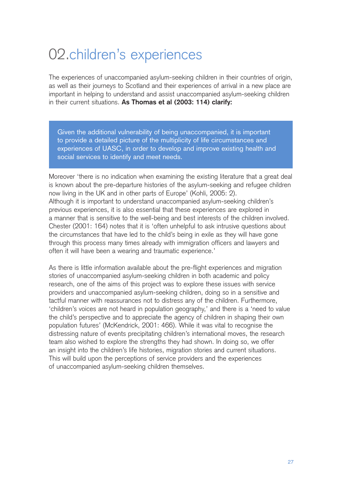# 02.children's experiences

The experiences of unaccompanied asylum-seeking children in their countries of origin, as well as their journeys to Scotland and their experiences of arrival in a new place are important in helping to understand and assist unaccompanied asylum-seeking children in their current situations. **As Thomas et al (2003: 114) clarify:**

Given the additional vulnerability of being unaccompanied, it is important to provide a detailed picture of the multiplicity of life circumstances and experiences of UASC, in order to develop and improve existing health and social services to identify and meet needs.

Moreover 'there is no indication when examining the existing literature that a great deal is known about the pre-departure histories of the asylum-seeking and refugee children now living in the UK and in other parts of Europe' (Kohli, 2005: 2). Although it is important to understand unaccompanied asylum-seeking children's previous experiences, it is also essential that these experiences are explored in a manner that is sensitive to the well-being and best interests of the children involved. Chester (2001: 164) notes that it is 'often unhelpful to ask intrusive questions about the circumstances that have led to the child's being in exile as they will have gone through this process many times already with immigration officers and lawyers and often it will have been a wearing and traumatic experience.'

As there is little information available about the pre-flight experiences and migration stories of unaccompanied asylum-seeking children in both academic and policy research, one of the aims of this project was to explore these issues with service providers and unaccompanied asylum-seeking children, doing so in a sensitive and tactful manner with reassurances not to distress any of the children. Furthermore, 'children's voices are not heard in population geography,' and there is a 'need to value the child's perspective and to appreciate the agency of children in shaping their own population futures' (McKendrick, 2001: 466). While it was vital to recognise the distressing nature of events precipitating children's international moves, the research team also wished to explore the strengths they had shown. In doing so, we offer an insight into the children's life histories, migration stories and current situations. This will build upon the perceptions of service providers and the experiences of unaccompanied asylum-seeking children themselves.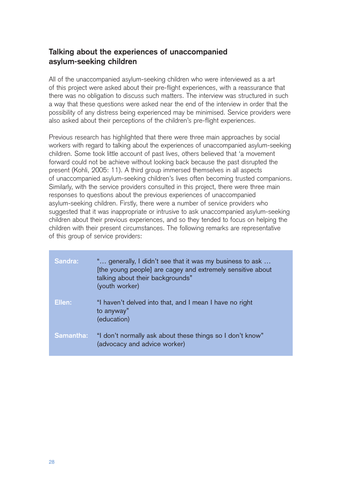# **Talking about the experiences of unaccompanied asylum-seeking children**

All of the unaccompanied asylum-seeking children who were interviewed as a art of this project were asked about their pre-flight experiences, with a reassurance that there was no obligation to discuss such matters. The interview was structured in such a way that these questions were asked near the end of the interview in order that the possibility of any distress being experienced may be minimised. Service providers were also asked about their perceptions of the children's pre-flight experiences.

Previous research has highlighted that there were three main approaches by social workers with regard to talking about the experiences of unaccompanied asylum-seeking children. Some took little account of past lives, others believed that 'a movement forward could not be achieve without looking back because the past disrupted the present (Kohli, 2005: 11). A third group immersed themselves in all aspects of unaccompanied asylum-seeking children's lives often becoming trusted companions. Similarly, with the service providers consulted in this project, there were three main responses to questions about the previous experiences of unaccompanied asylum-seeking children. Firstly, there were a number of service providers who suggested that it was inappropriate or intrusive to ask unaccompanied asylum-seeking children about their previous experiences, and so they tended to focus on helping the children with their present circumstances. The following remarks are representative of this group of service providers:

| <b>Sandra:</b>   | " generally, I didn't see that it was my business to ask<br>[the young people] are cagey and extremely sensitive about<br>talking about their backgrounds"<br>(youth worker) |
|------------------|------------------------------------------------------------------------------------------------------------------------------------------------------------------------------|
| Ellen:           | "I haven't delved into that, and I mean I have no right<br>to anyway"<br>(education)                                                                                         |
| <b>Samantha:</b> | "I don't normally ask about these things so I don't know"<br>(advocacy and advice worker)                                                                                    |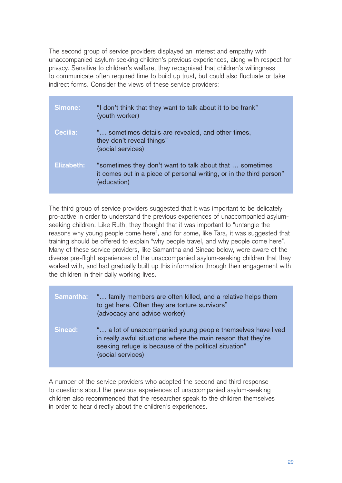The second group of service providers displayed an interest and empathy with unaccompanied asylum-seeking children's previous experiences, along with respect for privacy. Sensitive to children's welfare, they recognised that children's willingness to communicate often required time to build up trust, but could also fluctuate or take indirect forms. Consider the views of these service providers:

| Simone:         | "I don't think that they want to talk about it to be frank"<br>(youth worker)                                                                   |
|-----------------|-------------------------------------------------------------------------------------------------------------------------------------------------|
| <b>Cecilia:</b> | ' sometimes details are revealed, and other times,<br>they don't reveal things"<br>(social services)                                            |
| Elizabeth:      | "sometimes they don't want to talk about that  sometimes<br>it comes out in a piece of personal writing, or in the third person"<br>(education) |

The third group of service providers suggested that it was important to be delicately pro-active in order to understand the previous experiences of unaccompanied asylumseeking children. Like Ruth, they thought that it was important to "untangle the reasons why young people come here", and for some, like Tara, it was suggested that training should be offered to explain "why people travel, and why people come here". Many of these service providers, like Samantha and Sinead below, were aware of the diverse pre-flight experiences of the unaccompanied asylum-seeking children that they worked with, and had gradually built up this information through their engagement with the children in their daily working lives.

| Samantha: | " family members are often killed, and a relative helps them<br>to get here. Often they are torture survivors"<br>(advocacy and advice worker)                                                             |
|-----------|------------------------------------------------------------------------------------------------------------------------------------------------------------------------------------------------------------|
| Sinead:   | " a lot of unaccompanied young people themselves have lived<br>in really awful situations where the main reason that they're<br>seeking refuge is because of the political situation"<br>(social services) |

A number of the service providers who adopted the second and third response to questions about the previous experiences of unaccompanied asylum-seeking children also recommended that the researcher speak to the children themselves in order to hear directly about the children's experiences.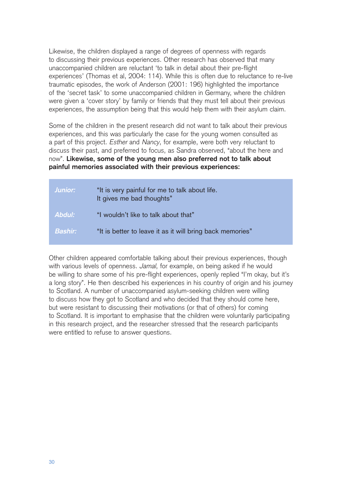Likewise, the children displayed a range of degrees of openness with regards to discussing their previous experiences. Other research has observed that many unaccompanied children are reluctant 'to talk in detail about their pre-flight experiences' (Thomas et al, 2004: 114). While this is often due to reluctance to re-live traumatic episodes, the work of Anderson (2001: 196) highlighted the importance of the 'secret task' to some unaccompanied children in Germany, where the children were given a 'cover story' by family or friends that they must tell about their previous experiences, the assumption being that this would help them with their asylum claim.

Some of the children in the present research did not want to talk about their previous experiences, and this was particularly the case for the young women consulted as a part of this project. Esther and Nancy, for example, were both very reluctant to discuss their past, and preferred to focus, as Sandra observed, "about the here and now". **Likewise, some of the young men also preferred not to talk about painful memories associated with their previous experiences:**

| Junior:   | "It is very painful for me to talk about life.<br>It gives me bad thoughts" |
|-----------|-----------------------------------------------------------------------------|
| Abdul:    | "I wouldn't like to talk about that"                                        |
| Bashir: \ | "It is better to leave it as it will bring back memories"                   |

Other children appeared comfortable talking about their previous experiences, though with various levels of openness. Jamal, for example, on being asked if he would be willing to share some of his pre-flight experiences, openly replied "I'm okay, but it's a long story". He then described his experiences in his country of origin and his journey to Scotland. A number of unaccompanied asylum-seeking children were willing to discuss how they got to Scotland and who decided that they should come here, but were resistant to discussing their motivations (or that of others) for coming to Scotland. It is important to emphasise that the children were voluntarily participating in this research project, and the researcher stressed that the research participants were entitled to refuse to answer questions.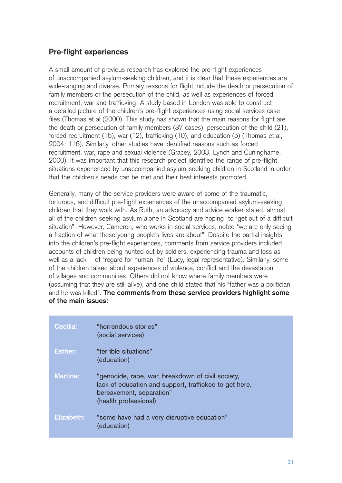# **Pre-flight experiences**

A small amount of previous research has explored the pre-flight experiences of unaccompanied asylum-seeking children, and it is clear that these experiences are wide-ranging and diverse. Primary reasons for flight include the death or persecution of family members or the persecution of the child, as well as experiences of forced recruitment, war and trafficking. A study based in London was able to construct a detailed picture of the children's pre-flight experiences using social services case files (Thomas et al (2000). This study has shown that the main reasons for flight are the death or persecution of family members (37 cases), persecution of the child (21), forced recruitment (15), war (12), trafficking (10), and education (5) (Thomas et al, 2004: 116). Similarly, other studies have identified reasons such as forced recruitment, war, rape and sexual violence (Gracey, 2003, Lynch and Cuninghame, 2000). It was important that this research project identified the range of pre-flight situations experienced by unaccompanied asylum-seeking children in Scotland in order that the children's needs can be met and their best interests promoted.

Generally, many of the service providers were aware of some of the traumatic, torturous, and difficult pre-flight experiences of the unaccompanied asylum-seeking children that they work with. As Ruth, an advocacy and advice worker stated, almost all of the children seeking asylum alone in Scotland are hoping to "get out of a difficult situation". However, Cameron, who works in social services, noted "we are only seeing a fraction of what these young people's lives are about". Despite the partial insights into the children's pre-flight experiences, comments from service providers included accounts of children being hunted out by soldiers, experiencing trauma and loss as well as a lack of "regard for human life" (Lucy, legal representative). Similarly, some of the children talked about experiences of violence, conflict and the devastation of villages and communities. Others did not know where family members were (assuming that they are still alive), and one child stated that his "father was a politician and he was killed". **The comments from these service providers highlight some of the main issues:** 

| <b>Cecilia:</b>   | "horrendous stories"<br>(social services)                                                                                                                        |
|-------------------|------------------------------------------------------------------------------------------------------------------------------------------------------------------|
| <b>Esther:</b>    | "terrible situations"<br>(education)                                                                                                                             |
| <b>Martine:</b>   | "genocide, rape, war, breakdown of civil society,<br>lack of education and support, trafficked to get here,<br>bereavement, separation"<br>(health professional) |
| <b>Elizabeth:</b> | "some have had a very disruptive education"<br>(education)                                                                                                       |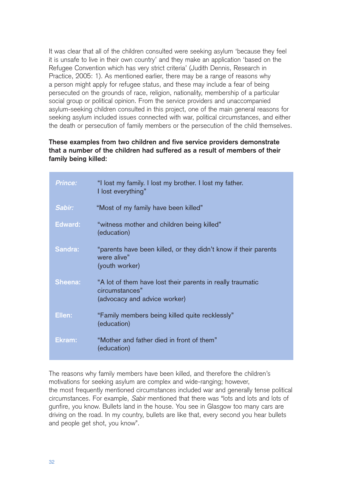It was clear that all of the children consulted were seeking asylum 'because they feel it is unsafe to live in their own country' and they make an application 'based on the Refugee Convention which has very strict criteria' (Judith Dennis, Research in Practice, 2005: 1). As mentioned earlier, there may be a range of reasons why a person might apply for refugee status, and these may include a fear of being persecuted on the grounds of race, religion, nationality, membership of a particular social group or political opinion. From the service providers and unaccompanied asylum-seeking children consulted in this project, one of the main general reasons for seeking asylum included issues connected with war, political circumstances, and either the death or persecution of family members or the persecution of the child themselves.

#### **These examples from two children and five service providers demonstrate that a number of the children had suffered as a result of members of their family being killed:**

| <b>Prince:</b> | "I lost my family. I lost my brother. I lost my father.<br>I lost everything"                                |
|----------------|--------------------------------------------------------------------------------------------------------------|
| Sabir:         | "Most of my family have been killed"                                                                         |
| Edward:        | "witness mother and children being killed"<br>(education)                                                    |
| Sandra:        | "parents have been killed, or they didn't know if their parents<br>were alive"<br>(youth worker)             |
| <b>Sheena:</b> | "A lot of them have lost their parents in really traumatic<br>circumstances"<br>(advocacy and advice worker) |
| Ellen:         | "Family members being killed quite recklessly"<br>(education)                                                |
| Ekram:         | "Mother and father died in front of them"<br>(education)                                                     |

The reasons why family members have been killed, and therefore the children's motivations for seeking asylum are complex and wide-ranging; however, the most frequently mentioned circumstances included war and generally tense political circumstances. For example, Sabir mentioned that there was "lots and lots and lots of gunfire, you know. Bullets land in the house. You see in Glasgow too many cars are driving on the road. In my country, bullets are like that, every second you hear bullets and people get shot, you know".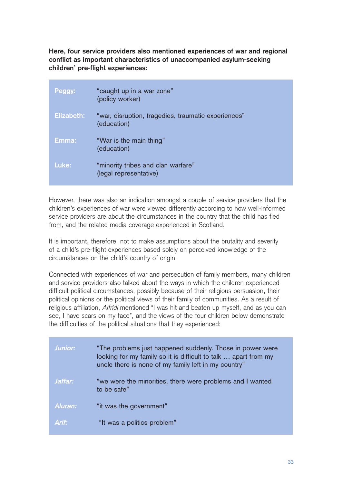**Here, four service providers also mentioned experiences of war and regional conflict as important characteristics of unaccompanied asylum-seeking children' pre-flight experiences:**

| Peggy:     | "caught up in a war zone"<br>(policy worker)                       |
|------------|--------------------------------------------------------------------|
| Elizabeth: | "war, disruption, tragedies, traumatic experiences"<br>(education) |
| Emma:      | "War is the main thing"<br>(education)                             |
| Luke:      | "minority tribes and clan warfare"<br>(legal representative)       |

However, there was also an indication amongst a couple of service providers that the children's experiences of war were viewed differently according to how well-informed service providers are about the circumstances in the country that the child has fled from, and the related media coverage experienced in Scotland.

It is important, therefore, not to make assumptions about the brutality and severity of a child's pre-flight experiences based solely on perceived knowledge of the circumstances on the child's country of origin.

Connected with experiences of war and persecution of family members, many children and service providers also talked about the ways in which the children experienced difficult political circumstances, possibly because of their religious persuasion, their political opinions or the political views of their family of communities. As a result of religious affiliation, Alfridi mentioned "I was hit and beaten up myself, and as you can see, I have scars on my face", and the views of the four children below demonstrate the difficulties of the political situations that they experienced:

| <b>Junior:</b> | "The problems just happened suddenly. Those in power were<br>looking for my family so it is difficult to talk  apart from my<br>uncle there is none of my family left in my country" |
|----------------|--------------------------------------------------------------------------------------------------------------------------------------------------------------------------------------|
| Jaffar:        | "we were the minorities, there were problems and I wanted<br>to be safe"                                                                                                             |
| Aluran:        | "it was the government"                                                                                                                                                              |
| Arif:          | "It was a politics problem"                                                                                                                                                          |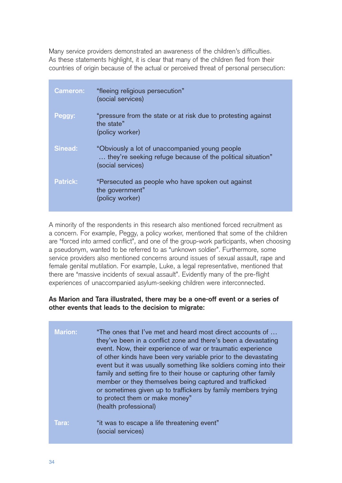Many service providers demonstrated an awareness of the children's difficulties. As these statements highlight, it is clear that many of the children fled from their countries of origin because of the actual or perceived threat of personal persecution:

| <b>Cameron:</b> | "fleeing religious persecution"<br>(social services)                                                                               |
|-----------------|------------------------------------------------------------------------------------------------------------------------------------|
| Peggy:          | "pressure from the state or at risk due to protesting against<br>the state"<br>(policy worker)                                     |
| <b>Sinead:</b>  | "Obviously a lot of unaccompanied young people"<br>they're seeking refuge because of the political situation"<br>(social services) |
| <b>Patrick:</b> | "Persecuted as people who have spoken out against<br>the government"<br>(policy worker)                                            |

A minority of the respondents in this research also mentioned forced recruitment as a concern. For example, Peggy, a policy worker, mentioned that some of the children are "forced into armed conflict", and one of the group-work participants, when choosing a pseudonym, wanted to be referred to as "unknown soldier". Furthermore, some service providers also mentioned concerns around issues of sexual assault, rape and female genital mutilation. For example, Luke, a legal representative, mentioned that there are "massive incidents of sexual assault". Evidently many of the pre-flight experiences of unaccompanied asylum-seeking children were interconnected.

#### **As Marion and Tara illustrated, there may be a one-off event or a series of other events that leads to the decision to migrate:**

| <b>Marion:</b> | "The ones that I've met and heard most direct accounts of<br>they've been in a conflict zone and there's been a devastating<br>event. Now, their experience of war or traumatic experience<br>of other kinds have been very variable prior to the devastating<br>event but it was usually something like soldiers coming into their<br>family and setting fire to their house or capturing other family<br>member or they themselves being captured and trafficked<br>or sometimes given up to traffickers by family members trying<br>to protect them or make money"<br>(health professional) |
|----------------|------------------------------------------------------------------------------------------------------------------------------------------------------------------------------------------------------------------------------------------------------------------------------------------------------------------------------------------------------------------------------------------------------------------------------------------------------------------------------------------------------------------------------------------------------------------------------------------------|
| Tara:          | "it was to escape a life threatening event"<br>(social services)                                                                                                                                                                                                                                                                                                                                                                                                                                                                                                                               |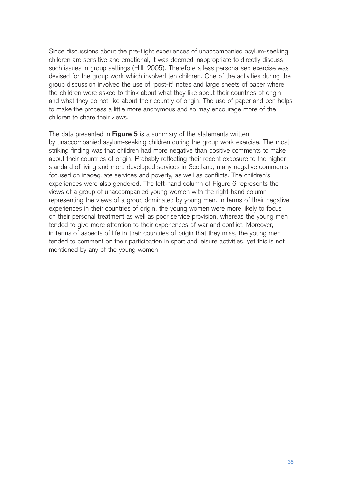Since discussions about the pre-flight experiences of unaccompanied asylum-seeking children are sensitive and emotional, it was deemed inappropriate to directly discuss such issues in group settings (Hill, 2005). Therefore a less personalised exercise was devised for the group work which involved ten children. One of the activities during the group discussion involved the use of 'post-it' notes and large sheets of paper where the children were asked to think about what they like about their countries of origin and what they do not like about their country of origin. The use of paper and pen helps to make the process a little more anonymous and so may encourage more of the children to share their views.

The data presented in **Figure 5** is a summary of the statements written by unaccompanied asylum-seeking children during the group work exercise. The most striking finding was that children had more negative than positive comments to make about their countries of origin. Probably reflecting their recent exposure to the higher standard of living and more developed services in Scotland, many negative comments focused on inadequate services and poverty, as well as conflicts. The children's experiences were also gendered. The left-hand column of Figure 6 represents the views of a group of unaccompanied young women with the right-hand column representing the views of a group dominated by young men. In terms of their negative experiences in their countries of origin, the young women were more likely to focus on their personal treatment as well as poor service provision, whereas the young men tended to give more attention to their experiences of war and conflict. Moreover, in terms of aspects of life in their countries of origin that they miss, the young men tended to comment on their participation in sport and leisure activities, yet this is not mentioned by any of the young women.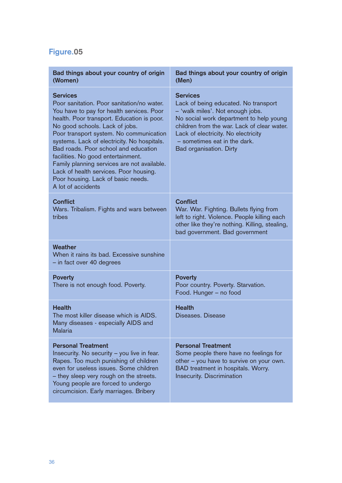# **Figure.05**

| Bad things about your country of origin<br>(Women)                                                                                                                                                                                                                                                                                                                                                                                                                                                                      | Bad things about your country of origin<br>(Men)                                                                                                                                                                                                                                        |  |
|-------------------------------------------------------------------------------------------------------------------------------------------------------------------------------------------------------------------------------------------------------------------------------------------------------------------------------------------------------------------------------------------------------------------------------------------------------------------------------------------------------------------------|-----------------------------------------------------------------------------------------------------------------------------------------------------------------------------------------------------------------------------------------------------------------------------------------|--|
| <b>Services</b><br>Poor sanitation. Poor sanitation/no water.<br>You have to pay for health services. Poor<br>health. Poor transport. Education is poor.<br>No good schools. Lack of jobs.<br>Poor transport system. No communication<br>systems. Lack of electricity. No hospitals.<br>Bad roads. Poor school and education<br>facilities. No good entertainment.<br>Family planning services are not available.<br>Lack of health services. Poor housing.<br>Poor housing. Lack of basic needs.<br>A lot of accidents | <b>Services</b><br>Lack of being educated. No transport<br>- 'walk miles'. Not enough jobs.<br>No social work department to help young<br>children from the war. Lack of clear water.<br>Lack of electricity. No electricity<br>- sometimes eat in the dark.<br>Bad organisation. Dirty |  |
| <b>Conflict</b><br>Wars. Tribalism. Fights and wars between<br>tribes                                                                                                                                                                                                                                                                                                                                                                                                                                                   | <b>Conflict</b><br>War. War. Fighting. Bullets flying from<br>left to right. Violence. People killing each<br>other like they're nothing. Killing, stealing,<br>bad government. Bad government                                                                                          |  |
| Weather<br>When it rains its bad. Excessive sunshine<br>- in fact over 40 degrees                                                                                                                                                                                                                                                                                                                                                                                                                                       |                                                                                                                                                                                                                                                                                         |  |
| <b>Poverty</b><br>There is not enough food. Poverty.                                                                                                                                                                                                                                                                                                                                                                                                                                                                    | <b>Poverty</b><br>Poor country. Poverty. Starvation.<br>Food. Hunger - no food                                                                                                                                                                                                          |  |
| <b>Health</b><br>The most killer disease which is AIDS.<br>Many diseases - especially AIDS and<br>Malaria                                                                                                                                                                                                                                                                                                                                                                                                               | <b>Health</b><br>Diseases. Disease                                                                                                                                                                                                                                                      |  |
| <b>Personal Treatment</b><br>Insecurity. No security - you live in fear.<br>Rapes. Too much punishing of children<br>even for useless issues. Some children<br>- they sleep very rough on the streets.<br>Young people are forced to undergo<br>circumcision. Early marriages. Bribery                                                                                                                                                                                                                                  | <b>Personal Treatment</b><br>Some people there have no feelings for<br>other - you have to survive on your own.<br>BAD treatment in hospitals. Worry.<br>Insecurity. Discrimination                                                                                                     |  |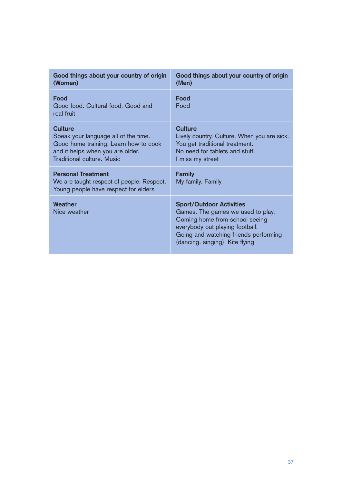| Good things about your country of origin<br>(Women)                                                                                                               | Good things about your country of origin<br>(Men)                                                                                                                                                                     |
|-------------------------------------------------------------------------------------------------------------------------------------------------------------------|-----------------------------------------------------------------------------------------------------------------------------------------------------------------------------------------------------------------------|
| Food<br>Good food. Cultural food. Good and<br>real fruit                                                                                                          | Food<br>Food                                                                                                                                                                                                          |
| Culture<br>Speak your language all of the time.<br>Good home training. Learn how to cook<br>and it helps when you are older.<br><b>Traditional culture. Music</b> | <b>Culture</b><br>Lively country. Culture. When you are sick.<br>You get traditional treatment.<br>No need for tablets and stuff.<br>I miss my street                                                                 |
| <b>Personal Treatment</b><br>We are taught respect of people. Respect.<br>Young people have respect for elders                                                    | <b>Family</b><br>My family. Family                                                                                                                                                                                    |
| Weather<br>Nice weather                                                                                                                                           | <b>Sport/Outdoor Activities</b><br>Games. The games we used to play.<br>Coming home from school seeing<br>everybody out playing football.<br>Going and watching friends performing<br>(dancing. singing). Kite flying |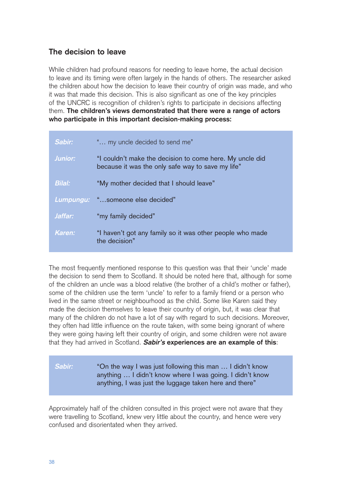# **The decision to leave**

While children had profound reasons for needing to leave home, the actual decision to leave and its timing were often largely in the hands of others. The researcher asked the children about how the decision to leave their country of origin was made, and who it was that made this decision. This is also significant as one of the key principles of the UNCRC is recognition of children's rights to participate in decisions affecting them. **The children's views demonstrated that there were a range of actors who participate in this important decision-making process:**

| Sabir:        | " my uncle decided to send me"                                                                                |
|---------------|---------------------------------------------------------------------------------------------------------------|
| Junior:       | "I couldn't make the decision to come here. My uncle did<br>because it was the only safe way to save my life" |
| <b>Bilal:</b> | "My mother decided that I should leave"                                                                       |
|               | Lumpungu: "someone else decided"                                                                              |
| Jaffar:       | "my family decided"                                                                                           |
| Karen:        | "I haven't got any family so it was other people who made<br>the decision"                                    |

The most frequently mentioned response to this question was that their 'uncle' made the decision to send them to Scotland. It should be noted here that, although for some of the children an uncle was a blood relative (the brother of a child's mother or father), some of the children use the term 'uncle' to refer to a family friend or a person who lived in the same street or neighbourhood as the child. Some like Karen said they made the decision themselves to leave their country of origin, but, it was clear that many of the children do not have a lot of say with regard to such decisions. Moreover, they often had little influence on the route taken, with some being ignorant of where they were going having left their country of origin, and some children were not aware that they had arrived in Scotland. **Sabir's experiences are an example of this**:

## **Sabir:** "On the way I was just following this man … I didn't know anything … I didn't know where I was going. I didn't know anything, I was just the luggage taken here and there"

Approximately half of the children consulted in this project were not aware that they were travelling to Scotland, knew very little about the country, and hence were very confused and disorientated when they arrived.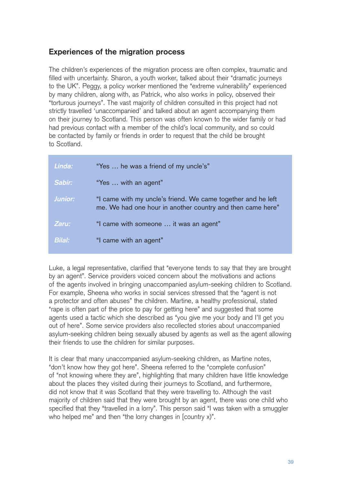# **Experiences of the migration process**

The children's experiences of the migration process are often complex, traumatic and filled with uncertainty. Sharon, a youth worker, talked about their "dramatic journeys to the UK". Peggy, a policy worker mentioned the "extreme vulnerability" experienced by many children, along with, as Patrick, who also works in policy, observed their "torturous journeys". The vast majority of children consulted in this project had not strictly travelled 'unaccompanied' and talked about an agent accompanying them on their journey to Scotland. This person was often known to the wider family or had had previous contact with a member of the child's local community, and so could be contacted by family or friends in order to request that the child be brought to Scotland.

| Linda:         | "Yes  he was a friend of my uncle's"                                                                                       |
|----------------|----------------------------------------------------------------------------------------------------------------------------|
| Sabir:         | "Yes  with an agent"                                                                                                       |
| <b>Junior:</b> | "I came with my uncle's friend. We came together and he left<br>me. We had one hour in another country and then came here" |
| Zaru:          | "I came with someone  it was an agent"                                                                                     |
| <b>Bilal:</b>  | "I came with an agent"                                                                                                     |

Luke, a legal representative, clarified that "everyone tends to say that they are brought by an agent". Service providers voiced concern about the motivations and actions of the agents involved in bringing unaccompanied asylum-seeking children to Scotland. For example, Sheena who works in social services stressed that the "agent is not a protector and often abuses" the children. Martine, a healthy professional, stated "rape is often part of the price to pay for getting here" and suggested that some agents used a tactic which she described as "you give me your body and I'll get you out of here". Some service providers also recollected stories about unaccompanied asylum-seeking children being sexually abused by agents as well as the agent allowing their friends to use the children for similar purposes.

It is clear that many unaccompanied asylum-seeking children, as Martine notes, "don't know how they got here". Sheena referred to the "complete confusion" of "not knowing where they are", highlighting that many children have little knowledge about the places they visited during their journeys to Scotland, and furthermore, did not know that it was Scotland that they were travelling to. Although the vast majority of children said that they were brought by an agent, there was one child who specified that they "travelled in a lorry". This person said "I was taken with a smuggler who helped me" and then "the lorry changes in [country x)".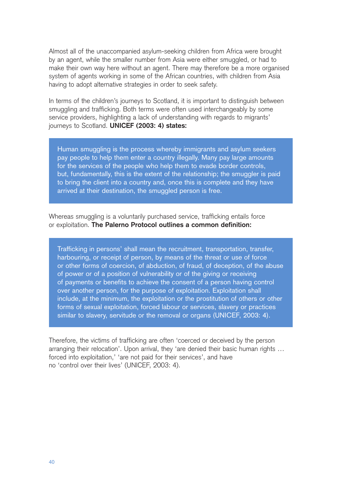Almost all of the unaccompanied asylum-seeking children from Africa were brought by an agent, while the smaller number from Asia were either smuggled, or had to make their own way here without an agent. There may therefore be a more organised system of agents working in some of the African countries, with children from Asia having to adopt alternative strategies in order to seek safety.

In terms of the children's journeys to Scotland, it is important to distinguish between smuggling and trafficking. Both terms were often used interchangeably by some service providers, highlighting a lack of understanding with regards to migrants' journeys to Scotland. **UNICEF (2003: 4) states:**

Human smuggling is the process whereby immigrants and asylum seekers pay people to help them enter a country illegally. Many pay large amounts for the services of the people who help them to evade border controls, but, fundamentally, this is the extent of the relationship; the smuggler is paid to bring the client into a country and, once this is complete and they have arrived at their destination, the smuggled person is free.

Whereas smuggling is a voluntarily purchased service, trafficking entails force or exploitation. **The Palerno Protocol outlines a common definition:**

Trafficking in persons' shall mean the recruitment, transportation, transfer, harbouring, or receipt of person, by means of the threat or use of force or other forms of coercion, of abduction, of fraud, of deception, of the abuse of power or of a position of vulnerability or of the giving or receiving of payments or benefits to achieve the consent of a person having control over another person, for the purpose of exploitation. Exploitation shall include, at the minimum, the exploitation or the prostitution of others or other forms of sexual exploitation, forced labour or services, slavery or practices similar to slavery, servitude or the removal or organs (UNICEF, 2003: 4).

Therefore, the victims of trafficking are often 'coerced or deceived by the person arranging their relocation'. Upon arrival, they 'are denied their basic human rights ... forced into exploitation,' 'are not paid for their services', and have no 'control over their lives' (UNICEF, 2003: 4).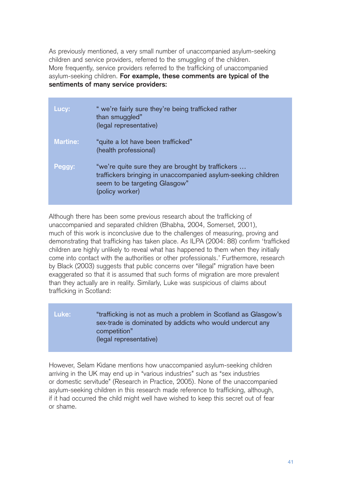As previously mentioned, a very small number of unaccompanied asylum-seeking children and service providers, referred to the smuggling of the children. More frequently, service providers referred to the trafficking of unaccompanied asylum-seeking children. **For example, these comments are typical of the sentiments of many service providers:**

| Lucy:           | " we're fairly sure they're being trafficked rather<br>than smuggled"<br>(legal representative)                                                                        |
|-----------------|------------------------------------------------------------------------------------------------------------------------------------------------------------------------|
| <b>Martine:</b> | "quite a lot have been trafficked"<br>(health professional)                                                                                                            |
| Peggy:          | "we're quite sure they are brought by traffickers<br>traffickers bringing in unaccompanied asylum-seeking children<br>seem to be targeting Glasgow"<br>(policy worker) |

Although there has been some previous research about the trafficking of unaccompanied and separated children (Bhabha, 2004, Somerset, 2001), much of this work is inconclusive due to the challenges of measuring, proving and demonstrating that trafficking has taken place. As ILPA (2004: 88) confirm 'trafficked children are highly unlikely to reveal what has happened to them when they initially come into contact with the authorities or other professionals.' Furthermore, research by Black (2003) suggests that public concerns over "illegal" migration have been exaggerated so that it is assumed that such forms of migration are more prevalent than they actually are in reality. Similarly, Luke was suspicious of claims about trafficking in Scotland:

## Luke: "trafficking is not as much a problem in Scotland as Glasgow's sex-trade is dominated by addicts who would undercut any competition" (legal representative)

However, Selam Kidane mentions how unaccompanied asylum-seeking children arriving in the UK may end up in "various industries" such as "sex industries or domestic servitude" (Research in Practice, 2005). None of the unaccompanied asylum-seeking children in this research made reference to trafficking, although, if it had occurred the child might well have wished to keep this secret out of fear or shame.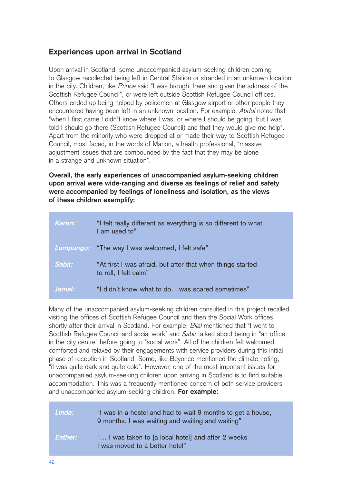# **Experiences upon arrival in Scotland**

Upon arrival in Scotland, some unaccompanied asylum-seeking children coming to Glasgow recollected being left in Central Station or stranded in an unknown location in the city. Children, like Prince said "I was brought here and given the address of the Scottish Refugee Council", or were left outside Scottish Refugee Council offices. Others ended up being helped by policemen at Glasgow airport or other people they encountered having been left in an unknown location. For example, Abdul noted that "when I first came I didn't know where I was, or where I should be going, but I was told I should go there (Scottish Refugee Council) and that they would give me help". Apart from the minority who were dropped at or made their way to Scottish Refugee Council, most faced, in the words of Marion, a health professional, "massive adjustment issues that are compounded by the fact that they may be alone in a strange and unknown situation".

**Overall, the early experiences of unaccompanied asylum-seeking children upon arrival were wide-ranging and diverse as feelings of relief and safety were accompanied by feelings of loneliness and isolation, as the views of these children exemplify:**

| Karen: | "I felt really different as everything is so different to what<br>I am used to"     |
|--------|-------------------------------------------------------------------------------------|
|        | Lumpungu: "The way I was welcomed, I felt safe"                                     |
| Sabir: | "At first I was afraid, but after that when things started<br>to roll, I felt calm" |
| Jamal: | "I didn't know what to do. I was scared sometimes"                                  |

Many of the unaccompanied asylum-seeking children consulted in this project recalled visiting the offices of Scottish Refugee Council and then the Social Work offices shortly after their arrival in Scotland. For example, *Bilal* mentioned that "I went to Scottish Refugee Council and social work" and Sabir talked about being in "an office in the city centre" before going to "social work". All of the children felt welcomed, comforted and relaxed by their engagements with service providers during this initial phase of reception in Scotland. Some, like Beyonce mentioned the climate noting, "it was quite dark and quite cold". However, one of the most important issues for unaccompanied asylum-seeking children upon arriving in Scotland is to find suitable accommodation. This was a frequently mentioned concern of both service providers and unaccompanied asylum-seeking children. **For example:**

| Linda:  | "I was in a hostel and had to wait 9 months to get a house,<br>9 months. I was waiting and waiting and waiting" |
|---------|-----------------------------------------------------------------------------------------------------------------|
| Esther: | " I was taken to [a local hotel] and after 2 weeks<br>I was moved to a better hotel"                            |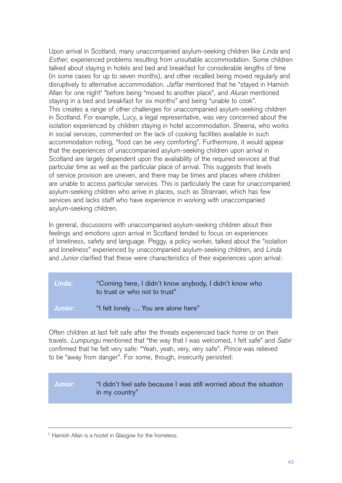Upon arrival in Scotland, many unaccompanied asylum-seeking children like Linda and Esther, experienced problems resulting from unsuitable accommodation. Some children talked about staying in hotels and bed and breakfast for considerable lengths of time (in some cases for up to seven months), and other recalled being moved regularly and disruptively to alternative accommodation. Jaffar mentioned that he "stayed in Hamish Allan for one night<sup>3</sup> "before being "moved to another place", and Aluran mentioned staying in a bed and breakfast for six months" and being "unable to cook". This creates a range of other challenges for unaccompanied asylum-seeking children in Scotland. For example, Lucy, a legal representative, was very concerned about the isolation experienced by children staying in hotel accommodation. Sheena, who works in social services, commented on the lack of cooking facilities available in such accommodation noting, "food can be very comforting". Furthermore, it would appear that the experiences of unaccompanied asylum-seeking children upon arrival in Scotland are largely dependent upon the availability of the required services at that particular time as well as the particular place of arrival. This suggests that levels of service provision are uneven, and there may be times and places where children are unable to access particular services. This is particularly the case for unaccompanied asylum-seeking children who arrive in places, such as Stranraer, which has few services and lacks staff who have experience in working with unaccompanied asylum-seeking children.

In general, discussions with unaccompanied asylum-seeking children about their feelings and emotions upon arrival in Scotland tended to focus on experiences of loneliness, safety and language. Peggy, a policy worker, talked about the "isolation and loneliness" experienced by unaccompanied asylum-seeking children, and Linda and Junior clarified that these were characteristics of their experiences upon arrival:

| Linda:  | "Coming here, I didn't know anybody, I didn't know who<br>to trust or who not to trust" |
|---------|-----------------------------------------------------------------------------------------|
| Junior: | "I felt lonely  You are alone here"                                                     |

Often children at last felt safe after the threats experienced back home or on their travels. Lumpungu mentioned that "the way that I was welcomed, I felt safe" and Sabir confirmed that he felt very safe: "Yeah, yeah, very, very safe". Prince was relieved to be "away from danger". For some, though, insecurity persisted:

#### **Junior:** "I didn't feel safe because I was still worried about the situation in my country"

<sup>&</sup>lt;sup>3</sup> Hamish Allan is a hostel in Glasgow for the homeless.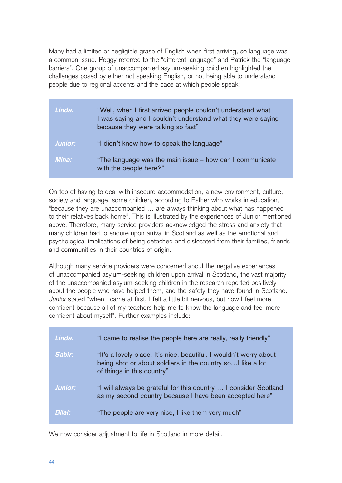Many had a limited or negligible grasp of English when first arriving, so language was a common issue. Peggy referred to the "different language" and Patrick the "language barriers". One group of unaccompanied asylum-seeking children highlighted the challenges posed by either not speaking English, or not being able to understand people due to regional accents and the pace at which people speak:

| Linda:  | "Well, when I first arrived people couldn't understand what<br>I was saying and I couldn't understand what they were saying<br>because they were talking so fast" |
|---------|-------------------------------------------------------------------------------------------------------------------------------------------------------------------|
| Junior: | "I didn't know how to speak the language"                                                                                                                         |
| Mina:   | "The language was the main issue - how can I communicate<br>with the people here?"                                                                                |

On top of having to deal with insecure accommodation, a new environment, culture, society and language, some children, according to Esther who works in education, "because they are unaccompanied … are always thinking about what has happened to their relatives back home". This is illustrated by the experiences of Junior mentioned above. Therefore, many service providers acknowledged the stress and anxiety that many children had to endure upon arrival in Scotland as well as the emotional and psychological implications of being detached and dislocated from their families, friends and communities in their countries of origin.

Although many service providers were concerned about the negative experiences of unaccompanied asylum-seeking children upon arrival in Scotland, the vast majority of the unaccompanied asylum-seeking children in the research reported positively about the people who have helped them, and the safety they have found in Scotland. Junior stated "when I came at first, I felt a little bit nervous, but now I feel more confident because all of my teachers help me to know the language and feel more confident about myself". Further examples include:

| Linda:        | "I came to realise the people here are really, really friendly"                                                                                                 |
|---------------|-----------------------------------------------------------------------------------------------------------------------------------------------------------------|
| Sabir:        | "It's a lovely place. It's nice, beautiful. I wouldn't worry about<br>being shot or about soldiers in the country so I like a lot<br>of things in this country" |
| Junior:       | "I will always be grateful for this country  I consider Scotland<br>as my second country because I have been accepted here"                                     |
| <b>Bilal:</b> | "The people are very nice, I like them very much"                                                                                                               |

We now consider adjustment to life in Scotland in more detail.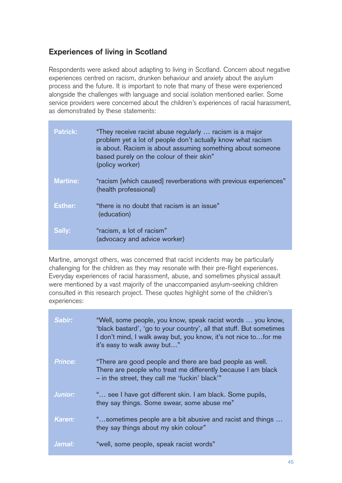# **Experiences of living in Scotland**

Respondents were asked about adapting to living in Scotland. Concern about negative experiences centred on racism, drunken behaviour and anxiety about the asylum process and the future. It is important to note that many of these were experienced alongside the challenges with language and social isolation mentioned earlier. Some service providers were concerned about the children's experiences of racial harassment, as demonstrated by these statements:

| <b>Patrick:</b> | "They receive racist abuse regularly  racism is a major<br>problem yet a lot of people don't actually know what racism<br>is about. Racism is about assuming something about someone<br>based purely on the colour of their skin"<br>(policy worker) |
|-----------------|------------------------------------------------------------------------------------------------------------------------------------------------------------------------------------------------------------------------------------------------------|
| <b>Martine:</b> | "racism [which caused] reverberations with previous experiences"<br>(health professional)                                                                                                                                                            |
| <b>Esther:</b>  | "there is no doubt that racism is an issue"<br>(education)                                                                                                                                                                                           |
| Sally:          | "racism, a lot of racism"<br>(advocacy and advice worker)                                                                                                                                                                                            |

Martine, amongst others, was concerned that racist incidents may be particularly challenging for the children as they may resonate with their pre-flight experiences. Everyday experiences of racial harassment, abuse, and sometimes physical assault were mentioned by a vast majority of the unaccompanied asylum-seeking children consulted in this research project. These quotes highlight some of the children's experiences:

| Sabir:         | "Well, some people, you know, speak racist words  you know,<br>'black bastard', 'go to your country', all that stuff. But sometimes<br>I don't mind, I walk away but, you know, it's not nice to for me<br>it's easy to walk away but" |
|----------------|----------------------------------------------------------------------------------------------------------------------------------------------------------------------------------------------------------------------------------------|
| <b>Prince:</b> | "There are good people and there are bad people as well.<br>There are people who treat me differently because I am black<br>- in the street, they call me 'fuckin' black'"                                                             |
| <b>Junior:</b> | " see I have got different skin. I am black. Some pupils,<br>they say things. Some swear, some abuse me"                                                                                                                               |
| Karen:         | "sometimes people are a bit abusive and racist and things<br>they say things about my skin colour"                                                                                                                                     |
| Jamal:         | "well, some people, speak racist words"                                                                                                                                                                                                |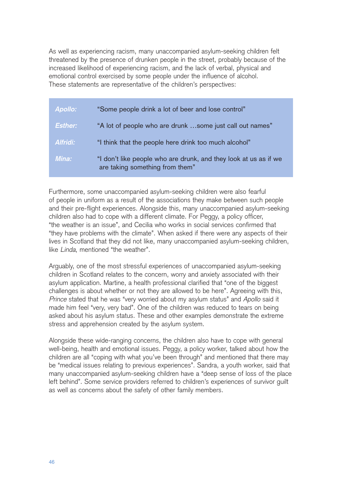As well as experiencing racism, many unaccompanied asylum-seeking children felt threatened by the presence of drunken people in the street, probably because of the increased likelihood of experiencing racism, and the lack of verbal, physical and emotional control exercised by some people under the influence of alcohol. These statements are representative of the children's perspectives:

| <b>Apollo:</b>  | "Some people drink a lot of beer and lose control"                                                  |
|-----------------|-----------------------------------------------------------------------------------------------------|
| <b>Esther:</b>  | "A lot of people who are drunk some just call out names"                                            |
| <b>Alfridi:</b> | "I think that the people here drink too much alcohol"                                               |
| Mina:           | "I don't like people who are drunk, and they look at us as if we<br>are taking something from them" |

Furthermore, some unaccompanied asylum-seeking children were also fearful of people in uniform as a result of the associations they make between such people and their pre-flight experiences. Alongside this, many unaccompanied asylum-seeking children also had to cope with a different climate. For Peggy, a policy officer, "the weather is an issue", and Cecilia who works in social services confirmed that "they have problems with the climate". When asked if there were any aspects of their lives in Scotland that they did not like, many unaccompanied asylum-seeking children, like Linda, mentioned "the weather".

Arguably, one of the most stressful experiences of unaccompanied asylum-seeking children in Scotland relates to the concern, worry and anxiety associated with their asylum application. Martine, a health professional clarified that "one of the biggest challenges is about whether or not they are allowed to be here". Agreeing with this, Prince stated that he was "very worried about my asylum status" and Apollo said it made him feel "very, very bad". One of the children was reduced to tears on being asked about his asylum status. These and other examples demonstrate the extreme stress and apprehension created by the asylum system.

Alongside these wide-ranging concerns, the children also have to cope with general well-being, health and emotional issues. Peggy, a policy worker, talked about how the children are all "coping with what you've been through" and mentioned that there may be "medical issues relating to previous experiences". Sandra, a youth worker, said that many unaccompanied asylum-seeking children have a "deep sense of loss of the place left behind". Some service providers referred to children's experiences of survivor guilt as well as concerns about the safety of other family members.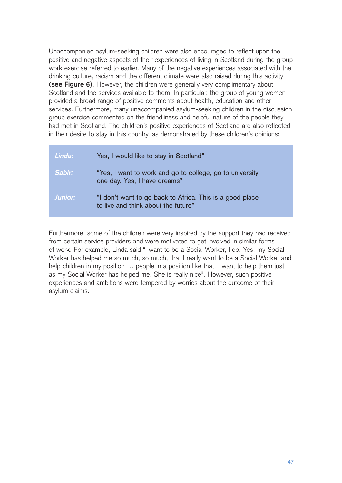Unaccompanied asylum-seeking children were also encouraged to reflect upon the positive and negative aspects of their experiences of living in Scotland during the group work exercise referred to earlier. Many of the negative experiences associated with the drinking culture, racism and the different climate were also raised during this activity **(see Figure 6)**. However, the children were generally very complimentary about Scotland and the services available to them. In particular, the group of young women provided a broad range of positive comments about health, education and other services. Furthermore, many unaccompanied asylum-seeking children in the discussion group exercise commented on the friendliness and helpful nature of the people they had met in Scotland. The children's positive experiences of Scotland are also reflected in their desire to stay in this country, as demonstrated by these children's opinions:

| Linda:  | Yes, I would like to stay in Scotland"                                                          |
|---------|-------------------------------------------------------------------------------------------------|
| Sabir:  | "Yes, I want to work and go to college, go to university<br>one day. Yes, I have dreams"        |
| Junior: | "I don't want to go back to Africa. This is a good place<br>to live and think about the future" |

Furthermore, some of the children were very inspired by the support they had received from certain service providers and were motivated to get involved in similar forms of work. For example, Linda said "I want to be a Social Worker, I do. Yes, my Social Worker has helped me so much, so much, that I really want to be a Social Worker and help children in my position ... people in a position like that. I want to help them just as my Social Worker has helped me. She is really nice". However, such positive experiences and ambitions were tempered by worries about the outcome of their asylum claims.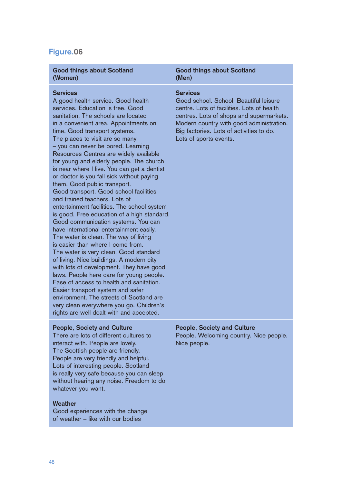# **Figure.06**

| <b>Good things about Scotland</b><br>(Women)                                                                                                                                                                                                                                                                                                                                                                                                                                                                                                                                                                                                                                                                                                                                                                                                                                                                                                                                                                                                                                                                                                                                                                                                        | <b>Good things about Scotland</b><br>(Men)                                                                                                                                                                                                                            |
|-----------------------------------------------------------------------------------------------------------------------------------------------------------------------------------------------------------------------------------------------------------------------------------------------------------------------------------------------------------------------------------------------------------------------------------------------------------------------------------------------------------------------------------------------------------------------------------------------------------------------------------------------------------------------------------------------------------------------------------------------------------------------------------------------------------------------------------------------------------------------------------------------------------------------------------------------------------------------------------------------------------------------------------------------------------------------------------------------------------------------------------------------------------------------------------------------------------------------------------------------------|-----------------------------------------------------------------------------------------------------------------------------------------------------------------------------------------------------------------------------------------------------------------------|
| <b>Services</b><br>A good health service. Good health<br>services. Education is free. Good<br>sanitation. The schools are located<br>in a convenient area. Appointments on<br>time. Good transport systems.<br>The places to visit are so many<br>- you can never be bored. Learning<br>Resources Centres are widely available<br>for young and elderly people. The church<br>is near where I live. You can get a dentist<br>or doctor is you fall sick without paying<br>them. Good public transport.<br>Good transport. Good school facilities<br>and trained teachers. Lots of<br>entertainment facilities. The school system<br>is good. Free education of a high standard.<br>Good communication systems. You can<br>have international entertainment easily.<br>The water is clean. The way of living<br>is easier than where I come from.<br>The water is very clean. Good standard<br>of living. Nice buildings. A modern city<br>with lots of development. They have good<br>laws. People here care for young people.<br>Ease of access to health and sanitation.<br>Easier transport system and safer<br>environment. The streets of Scotland are<br>very clean everywhere you go. Children's<br>rights are well dealt with and accepted. | <b>Services</b><br>Good school. School. Beautiful leisure<br>centre. Lots of facilities. Lots of health<br>centres. Lots of shops and supermarkets.<br>Modern country with good administration.<br>Big factories. Lots of activities to do.<br>Lots of sports events. |
| <b>People, Society and Culture</b><br>There are lots of different cultures to<br>interact with. People are lovely.<br>The Scottish people are friendly.<br>People are very friendly and helpful.<br>Lots of interesting people. Scotland<br>is really very safe because you can sleep<br>without hearing any noise. Freedom to do<br>whatever you want.                                                                                                                                                                                                                                                                                                                                                                                                                                                                                                                                                                                                                                                                                                                                                                                                                                                                                             | <b>People, Society and Culture</b><br>People. Welcoming country. Nice people.<br>Nice people.                                                                                                                                                                         |
| <b>Weather</b>                                                                                                                                                                                                                                                                                                                                                                                                                                                                                                                                                                                                                                                                                                                                                                                                                                                                                                                                                                                                                                                                                                                                                                                                                                      |                                                                                                                                                                                                                                                                       |

Good experiences with the change of weather – like with our bodies

# 48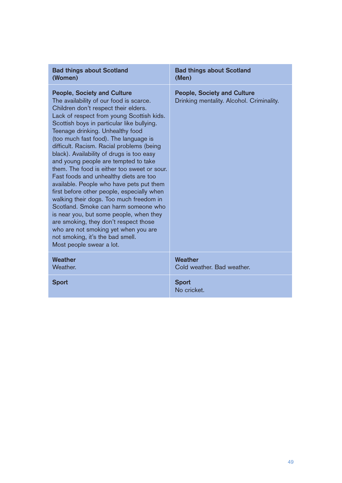| <b>Bad things about Scotland</b>                                                                                                                                                                                                                                                                                                                                                                                                                                                                                                                                                                                                                                                                                                                                                                                                                                                                  | <b>Bad things about Scotland</b>                                                |
|---------------------------------------------------------------------------------------------------------------------------------------------------------------------------------------------------------------------------------------------------------------------------------------------------------------------------------------------------------------------------------------------------------------------------------------------------------------------------------------------------------------------------------------------------------------------------------------------------------------------------------------------------------------------------------------------------------------------------------------------------------------------------------------------------------------------------------------------------------------------------------------------------|---------------------------------------------------------------------------------|
| (Women)                                                                                                                                                                                                                                                                                                                                                                                                                                                                                                                                                                                                                                                                                                                                                                                                                                                                                           | (Men)                                                                           |
| <b>People, Society and Culture</b><br>The availability of our food is scarce.<br>Children don't respect their elders.<br>Lack of respect from young Scottish kids.<br>Scottish boys in particular like bullying.<br>Teenage drinking. Unhealthy food<br>(too much fast food). The language is<br>difficult. Racism. Racial problems (being<br>black). Availability of drugs is too easy<br>and young people are tempted to take<br>them. The food is either too sweet or sour.<br>Fast foods and unhealthy diets are too<br>available. People who have pets put them<br>first before other people, especially when<br>walking their dogs. Too much freedom in<br>Scotland. Smoke can harm someone who<br>is near you, but some people, when they<br>are smoking, they don't respect those<br>who are not smoking yet when you are<br>not smoking, it's the bad smell.<br>Most people swear a lot. | <b>People, Society and Culture</b><br>Drinking mentality. Alcohol. Criminality. |
| Weather                                                                                                                                                                                                                                                                                                                                                                                                                                                                                                                                                                                                                                                                                                                                                                                                                                                                                           | Weather                                                                         |
| Weather.                                                                                                                                                                                                                                                                                                                                                                                                                                                                                                                                                                                                                                                                                                                                                                                                                                                                                          | Cold weather. Bad weather.                                                      |
| <b>Sport</b>                                                                                                                                                                                                                                                                                                                                                                                                                                                                                                                                                                                                                                                                                                                                                                                                                                                                                      | <b>Sport</b><br>No cricket.                                                     |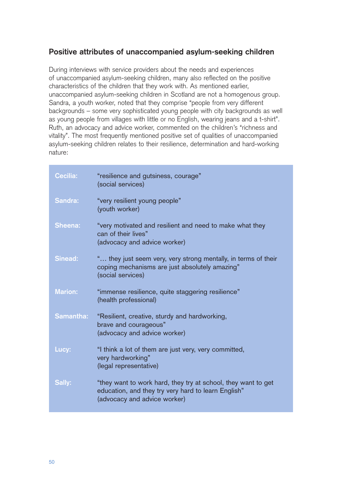# **Positive attributes of unaccompanied asylum-seeking children**

During interviews with service providers about the needs and experiences of unaccompanied asylum-seeking children, many also reflected on the positive characteristics of the children that they work with. As mentioned earlier, unaccompanied asylum-seeking children in Scotland are not a homogenous group. Sandra, a youth worker, noted that they comprise "people from very different backgrounds – some very sophisticated young people with city backgrounds as well as young people from villages with little or no English, wearing jeans and a t-shirt". Ruth, an advocacy and advice worker, commented on the children's "richness and vitality". The most frequently mentioned positive set of qualities of unaccompanied asylum-seeking children relates to their resilience, determination and hard-working nature:

| <b>Cecilia:</b> | "resilience and gutsiness, courage"<br>(social services)                                                                                             |
|-----------------|------------------------------------------------------------------------------------------------------------------------------------------------------|
| Sandra:         | "very resilient young people"<br>(youth worker)                                                                                                      |
| <b>Sheena:</b>  | "very motivated and resilient and need to make what they<br>can of their lives"<br>(advocacy and advice worker)                                      |
| <b>Sinead:</b>  | " they just seem very, very strong mentally, in terms of their<br>coping mechanisms are just absolutely amazing"<br>(social services)                |
| <b>Marion:</b>  | "immense resilience, quite staggering resilience"<br>(health professional)                                                                           |
| Samantha:       | "Resilient, creative, sturdy and hardworking,<br>brave and courageous"<br>(advocacy and advice worker)                                               |
| Lucy:           | "I think a lot of them are just very, very committed,<br>very hardworking"<br>(legal representative)                                                 |
| Sally:          | "they want to work hard, they try at school, they want to get<br>education, and they try very hard to learn English"<br>(advocacy and advice worker) |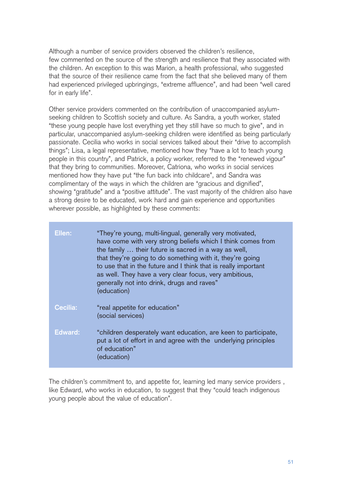Although a number of service providers observed the children's resilience, few commented on the source of the strength and resilience that they associated with the children. An exception to this was Marion, a health professional, who suggested that the source of their resilience came from the fact that she believed many of them had experienced privileged upbringings, "extreme affluence", and had been "well cared for in early life".

Other service providers commented on the contribution of unaccompanied asylumseeking children to Scottish society and culture. As Sandra, a youth worker, stated "these young people have lost everything yet they still have so much to give", and in particular, unaccompanied asylum-seeking children were identified as being particularly passionate. Cecilia who works in social services talked about their "drive to accomplish things"; Lisa, a legal representative, mentioned how they "have a lot to teach young people in this country", and Patrick, a policy worker, referred to the "renewed vigour" that they bring to communities. Moreover, Catriona, who works in social services mentioned how they have put "the fun back into childcare", and Sandra was complimentary of the ways in which the children are "gracious and dignified", showing "gratitude" and a "positive attitude". The vast majority of the children also have a strong desire to be educated, work hard and gain experience and opportunities wherever possible, as highlighted by these comments:

| Ellen:          | "They're young, multi-lingual, generally very motivated,<br>have come with very strong beliefs which I think comes from<br>the family  their future is sacred in a way as well,<br>that they're going to do something with it, they're going<br>to use that in the future and I think that is really important<br>as well. They have a very clear focus, very ambitious,<br>generally not into drink, drugs and raves"<br>(education) |
|-----------------|---------------------------------------------------------------------------------------------------------------------------------------------------------------------------------------------------------------------------------------------------------------------------------------------------------------------------------------------------------------------------------------------------------------------------------------|
| <b>Cecilia:</b> | "real appetite for education"<br>(social services)                                                                                                                                                                                                                                                                                                                                                                                    |
| Edward:         | "children desperately want education, are keen to participate,<br>put a lot of effort in and agree with the underlying principles<br>of education"<br>(education)                                                                                                                                                                                                                                                                     |

The children's commitment to, and appetite for, learning led many service providers , like Edward, who works in education, to suggest that they "could teach indigenous young people about the value of education".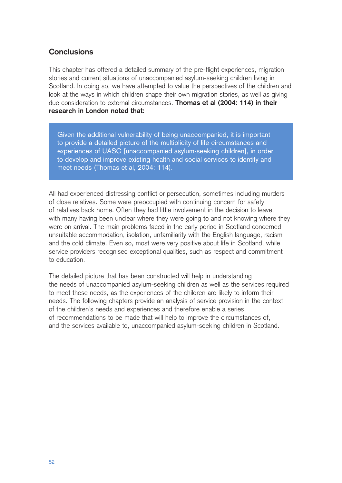## **Conclusions**

This chapter has offered a detailed summary of the pre-flight experiences, migration stories and current situations of unaccompanied asylum-seeking children living in Scotland. In doing so, we have attempted to value the perspectives of the children and look at the ways in which children shape their own migration stories, as well as giving due consideration to external circumstances. **Thomas et al (2004: 114) in their research in London noted that:**

Given the additional vulnerability of being unaccompanied, it is important to provide a detailed picture of the multiplicity of life circumstances and experiences of UASC [unaccompanied asylum-seeking children], in order to develop and improve existing health and social services to identify and meet needs (Thomas et al, 2004: 114).

All had experienced distressing conflict or persecution, sometimes including murders of close relatives. Some were preoccupied with continuing concern for safety of relatives back home. Often they had little involvement in the decision to leave, with many having been unclear where they were going to and not knowing where they were on arrival. The main problems faced in the early period in Scotland concerned unsuitable accommodation, isolation, unfamiliarity with the English language, racism and the cold climate. Even so, most were very positive about life in Scotland, while service providers recognised exceptional qualities, such as respect and commitment to education.

The detailed picture that has been constructed will help in understanding the needs of unaccompanied asylum-seeking children as well as the services required to meet these needs, as the experiences of the children are likely to inform their needs. The following chapters provide an analysis of service provision in the context of the children's needs and experiences and therefore enable a series of recommendations to be made that will help to improve the circumstances of, and the services available to, unaccompanied asylum-seeking children in Scotland.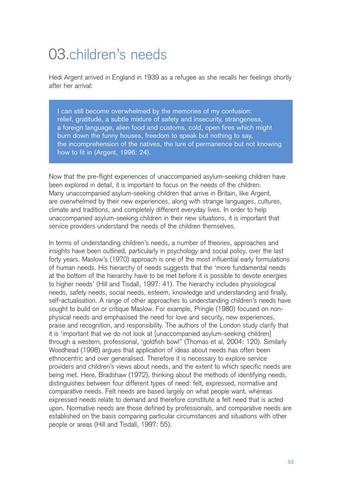# 03.children's needs

Hedi Argent arrived in England in 1939 as a refugee as she recalls her feelings shortly after her arrival:

I can still become overwhelmed by the memories of my confusion: relief, gratitude, a subtle mixture of safety and insecurity, strangeness, a foreign language, alien food and customs, cold, open fires which might burn down the funny houses, freedom to speak but nothing to say, the incomprehension of the natives, the lure of permanence but not knowing how to fit in (Argent, 1996: 24).

Now that the pre-flight experiences of unaccompanied asylum-seeking children have been explored in detail, it is important to focus on the needs of the children. Many unaccompanied asylum-seeking children that arrive in Britain, like Argent, are overwhelmed by their new experiences, along with strange languages, cultures, climate and traditions, and completely different everyday lives. In order to help unaccompanied asylum-seeking children in their new situations, it is important that service providers understand the needs of the children themselves.

In terms of understanding children's needs, a number of theories, approaches and insights have been outlined, particularly in psychology and social policy, over the last forty years. Maslow's (1970) approach is one of the most influential early formulations of human needs. His hierarchy of needs suggests that the 'more fundamental needs at the bottom of the hierarchy have to be met before it is possible to devote energies to higher needs' (Hill and Tisdall, 1997: 41). The hierarchy includes physiological needs, safety needs, social needs, esteem, knowledge and understanding and finally, self-actualisation. A range of other approaches to understanding children's needs have sought to build on or critique Maslow. For example, Pringle (1980) focused on nonphysical needs and emphasised the need for love and security, new experiences, praise and recognition, and responsibility. The authors of the London study clarify that it is 'important that we do not look at [unaccompanied asylum-seeking children] through a western, professional, 'goldfish bowl'' (Thomas et al, 2004: 120). Similarly Woodhead (1998) argues that application of ideas about needs has often been ethnocentric and over generalised. Therefore it is necessary to explore service providers and children's views about needs, and the extent to which specific needs are being met. Here, Bradshaw (1972), thinking about the methods of identifying needs, distinguishes between four different types of need: felt, expressed, normative and comparative needs. Felt needs are based largely on what people want, whereas expressed needs relate to demand and therefore constitute a felt need that is acted upon. Normative needs are those defined by professionals, and comparative needs are established on the basis comparing particular circumstances and situations with other people or areas (Hill and Tisdall, 1997: 55).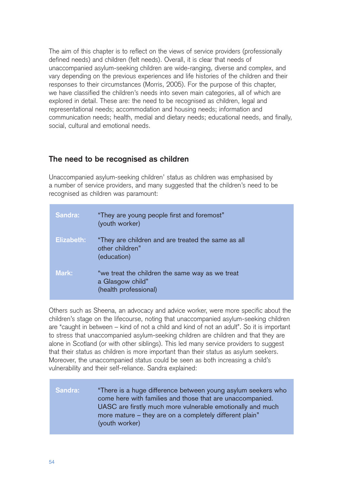The aim of this chapter is to reflect on the views of service providers (professionally defined needs) and children (felt needs). Overall, it is clear that needs of unaccompanied asylum-seeking children are wide-ranging, diverse and complex, and vary depending on the previous experiences and life histories of the children and their responses to their circumstances (Morris, 2005). For the purpose of this chapter, we have classified the children's needs into seven main categories, all of which are explored in detail. These are: the need to be recognised as children, legal and representational needs; accommodation and housing needs; information and communication needs; health, medial and dietary needs; educational needs, and finally, social, cultural and emotional needs.

## **The need to be recognised as children**

Unaccompanied asylum-seeking children' status as children was emphasised by a number of service providers, and many suggested that the children's need to be recognised as children was paramount:

| Sandra:    | "They are young people first and foremost"<br>(youth worker)                                 |
|------------|----------------------------------------------------------------------------------------------|
| Elizabeth: | "They are children and are treated the same as all<br>other children"<br>(education)         |
| Mark:      | "we treat the children the same way as we treat<br>a Glasgow child"<br>(health professional) |

Others such as Sheena, an advocacy and advice worker, were more specific about the children's stage on the lifecourse, noting that unaccompanied asylum-seeking children are "caught in between – kind of not a child and kind of not an adult". So it is important to stress that unaccompanied asylum-seeking children are children and that they are alone in Scotland (or with other siblings). This led many service providers to suggest that their status as children is more important than their status as asylum seekers. Moreover, the unaccompanied status could be seen as both increasing a child's vulnerability and their self-reliance. Sandra explained:

## **Sandra:** "There is a huge difference between young asylum seekers who come here with families and those that are unaccompanied. UASC are firstly much more vulnerable emotionally and much more mature – they are on a completely different plain" (youth worker)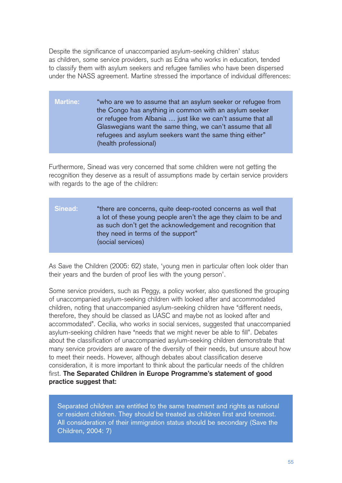Despite the significance of unaccompanied asylum-seeking children' status as children, some service providers, such as Edna who works in education, tended to classify them with asylum seekers and refugee families who have been dispersed under the NASS agreement. Martine stressed the importance of individual differences:

**Martine:** "who are we to assume that an asylum seeker or refugee from the Congo has anything in common with an asylum seeker or refugee from Albania … just like we can't assume that all Glaswegians want the same thing, we can't assume that all refugees and asylum seekers want the same thing either" (health professional)

Furthermore, Sinead was very concerned that some children were not getting the recognition they deserve as a result of assumptions made by certain service providers with regards to the age of the children:

**Sinead:** "there are concerns, quite deep-rooted concerns as well that a lot of these young people aren't the age they claim to be and as such don't get the acknowledgement and recognition that they need in terms of the support" (social services)

As Save the Children (2005: 62) state, 'young men in particular often look older than their years and the burden of proof lies with the young person'.

Some service providers, such as Peggy, a policy worker, also questioned the grouping of unaccompanied asylum-seeking children with looked after and accommodated children, noting that unaccompanied asylum-seeking children have "different needs, therefore, they should be classed as UASC and maybe not as looked after and accommodated". Cecilia, who works in social services, suggested that unaccompanied asylum-seeking children have "needs that we might never be able to fill". Debates about the classification of unaccompanied asylum-seeking children demonstrate that many service providers are aware of the diversity of their needs, but unsure about how to meet their needs. However, although debates about classification deserve consideration, it is more important to think about the particular needs of the children first. **The Separated Children in Europe Programme's statement of good practice suggest that:** 

Separated children are entitled to the same treatment and rights as national or resident children. They should be treated as children first and foremost. All consideration of their immigration status should be secondary (Save the Children, 2004: 7)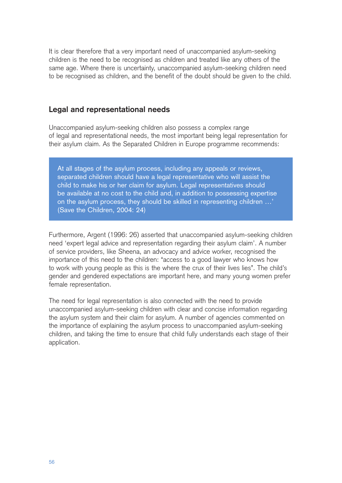It is clear therefore that a very important need of unaccompanied asylum-seeking children is the need to be recognised as children and treated like any others of the same age. Where there is uncertainty, unaccompanied asylum-seeking children need to be recognised as children, and the benefit of the doubt should be given to the child.

### **Legal and representational needs**

Unaccompanied asylum-seeking children also possess a complex range of legal and representational needs, the most important being legal representation for their asylum claim. As the Separated Children in Europe programme recommends:

At all stages of the asylum process, including any appeals or reviews, separated children should have a legal representative who will assist the child to make his or her claim for asylum. Legal representatives should be available at no cost to the child and, in addition to possessing expertise on the asylum process, they should be skilled in representing children …' (Save the Children, 2004: 24)

Furthermore, Argent (1996: 26) asserted that unaccompanied asylum-seeking children need 'expert legal advice and representation regarding their asylum claim'. A number of service providers, like Sheena, an advocacy and advice worker, recognised the importance of this need to the children: "access to a good lawyer who knows how to work with young people as this is the where the crux of their lives lies". The child's gender and gendered expectations are important here, and many young women prefer female representation.

The need for legal representation is also connected with the need to provide unaccompanied asylum-seeking children with clear and concise information regarding the asylum system and their claim for asylum. A number of agencies commented on the importance of explaining the asylum process to unaccompanied asylum-seeking children, and taking the time to ensure that child fully understands each stage of their application.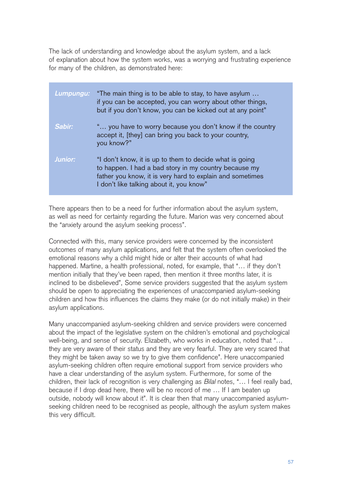The lack of understanding and knowledge about the asylum system, and a lack of explanation about how the system works, was a worrying and frustrating experience for many of the children, as demonstrated here:

| Lumpungu:      | "The main thing is to be able to stay, to have asylum<br>if you can be accepted, you can worry about other things,<br>but if you don't know, you can be kicked out at any point"                                          |
|----------------|---------------------------------------------------------------------------------------------------------------------------------------------------------------------------------------------------------------------------|
| Sabir:         | " you have to worry because you don't know if the country<br>accept it, [they] can bring you back to your country,<br>you know?"                                                                                          |
| <b>Junior:</b> | "I don't know, it is up to them to decide what is going<br>to happen. I had a bad story in my country because my<br>father you know, it is very hard to explain and sometimes<br>I don't like talking about it, you know" |

There appears then to be a need for further information about the asylum system, as well as need for certainty regarding the future. Marion was very concerned about the "anxiety around the asylum seeking process".

Connected with this, many service providers were concerned by the inconsistent outcomes of many asylum applications, and felt that the system often overlooked the emotional reasons why a child might hide or alter their accounts of what had happened. Martine, a health professional, noted, for example, that "… if they don't mention initially that they've been raped, then mention it three months later, it is inclined to be disbelieved", Some service providers suggested that the asylum system should be open to appreciating the experiences of unaccompanied asylum-seeking children and how this influences the claims they make (or do not initially make) in their asylum applications.

Many unaccompanied asylum-seeking children and service providers were concerned about the impact of the legislative system on the children's emotional and psychological well-being, and sense of security. Elizabeth, who works in education, noted that "… they are very aware of their status and they are very fearful. They are very scared that they might be taken away so we try to give them confidence". Here unaccompanied asylum-seeking children often require emotional support from service providers who have a clear understanding of the asylum system. Furthermore, for some of the children, their lack of recognition is very challenging as Bilal notes, "… l feel really bad, because if I drop dead here, there will be no record of me … If I am beaten up outside, nobody will know about it". It is clear then that many unaccompanied asylumseeking children need to be recognised as people, although the asylum system makes this very difficult.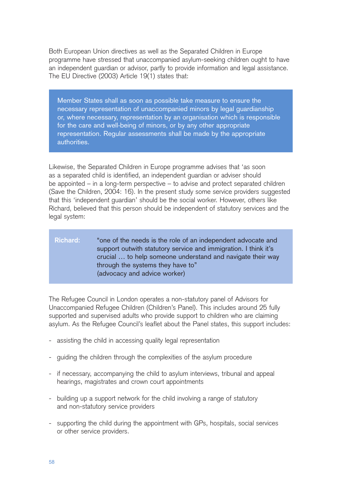Both European Union directives as well as the Separated Children in Europe programme have stressed that unaccompanied asylum-seeking children ought to have an independent guardian or advisor, partly to provide information and legal assistance. The EU Directive (2003) Article 19(1) states that:

Member States shall as soon as possible take measure to ensure the necessary representation of unaccompanied minors by legal guardianship or, where necessary, representation by an organisation which is responsible for the care and well-being of minors, or by any other appropriate representation. Regular assessments shall be made by the appropriate authorities.

Likewise, the Separated Children in Europe programme advises that 'as soon as a separated child is identified, an independent guardian or adviser should be appointed – in a long-term perspective – to advise and protect separated children (Save the Children, 2004: 16). In the present study some service providers suggested that this 'independent guardian' should be the social worker. However, others like Richard, believed that this person should be independent of statutory services and the legal system:

### **Richard:** "one of the needs is the role of an independent advocate and support outwith statutory service and immigration. I think it's crucial … to help someone understand and navigate their way through the systems they have to" (advocacy and advice worker)

The Refugee Council in London operates a non-statutory panel of Advisors for Unaccompanied Refugee Children (Children's Panel). This includes around 25 fully supported and supervised adults who provide support to children who are claiming asylum. As the Refugee Council's leaflet about the Panel states, this support includes:

- assisting the child in accessing quality legal representation
- guiding the children through the complexities of the asylum procedure
- if necessary, accompanying the child to asylum interviews, tribunal and appeal hearings, magistrates and crown court appointments
- building up a support network for the child involving a range of statutory and non-statutory service providers
- supporting the child during the appointment with GPs, hospitals, social services or other service providers.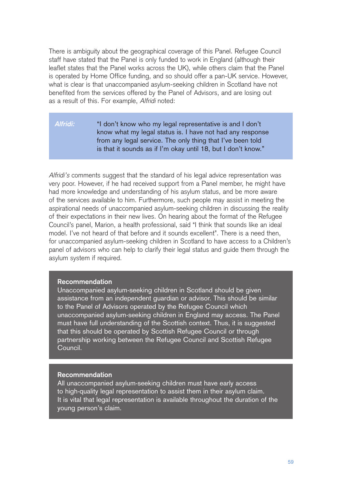There is ambiguity about the geographical coverage of this Panel. Refugee Council staff have stated that the Panel is only funded to work in England (although their leaflet states that the Panel works across the UK), while others claim that the Panel is operated by Home Office funding, and so should offer a pan-UK service. However, what is clear is that unaccompanied asylum-seeking children in Scotland have not benefited from the services offered by the Panel of Advisors, and are losing out as a result of this. For example, Alfridi noted:

#### **Alfridi:** "I don't know who my legal representative is and I don't know what my legal status is. I have not had any response from any legal service. The only thing that I've been told is that it sounds as if I'm okay until 18, but I don't know."

Alfridi's comments suggest that the standard of his legal advice representation was very poor. However, if he had received support from a Panel member, he might have had more knowledge and understanding of his asylum status, and be more aware of the services available to him. Furthermore, such people may assist in meeting the aspirational needs of unaccompanied asylum-seeking children in discussing the reality of their expectations in their new lives. On hearing about the format of the Refugee Council's panel, Marion, a health professional, said "I think that sounds like an ideal model. I've not heard of that before and it sounds excellent". There is a need then, for unaccompanied asylum-seeking children in Scotland to have access to a Children's panel of advisors who can help to clarify their legal status and guide them through the asylum system if required.

#### **Recommendation**

Unaccompanied asylum-seeking children in Scotland should be given assistance from an independent guardian or advisor. This should be similar to the Panel of Advisors operated by the Refugee Council which unaccompanied asylum-seeking children in England may access. The Panel must have full understanding of the Scottish context. Thus, it is suggested that this should be operated by Scottish Refugee Council or through partnership working between the Refugee Council and Scottish Refugee Council.

#### **Recommendation**

All unaccompanied asylum-seeking children must have early access to high-quality legal representation to assist them in their asylum claim. It is vital that legal representation is available throughout the duration of the young person's claim.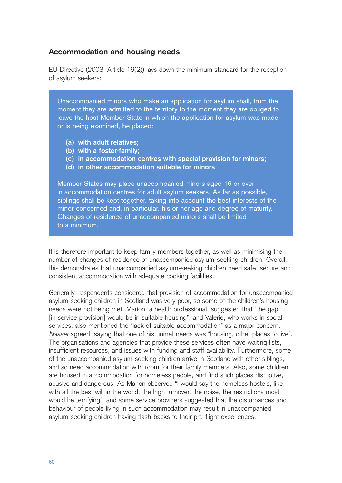## **Accommodation and housing needs**

EU Directive (2003, Article 19(2)) lays down the minimum standard for the reception of asylum seekers:

Unaccompanied minors who make an application for asylum shall, from the moment they are admitted to the territory to the moment they are obliged to leave the host Member State in which the application for asylum was made or is being examined, be placed:

- **(a) with adult relatives;**
- **(b) with a foster-family;**
- **(c) in accommodation centres with special provision for minors;**
- **(d) in other accommodation suitable for minors**

Member States may place unaccompanied minors aged 16 or over in accommodation centres for adult asylum seekers. As far as possible, siblings shall be kept together, taking into account the best interests of the minor concerned and, in particular, his or her age and degree of maturity. Changes of residence of unaccompanied minors shall be limited to a minimum.

It is therefore important to keep family members together, as well as minimising the number of changes of residence of unaccompanied asylum-seeking children. Overall, this demonstrates that unaccompanied asylum-seeking children need safe, secure and consistent accommodation with adequate cooking facilities.

Generally, respondents considered that provision of accommodation for unaccompanied asylum-seeking children in Scotland was very poor, so some of the children's housing needs were not being met. Marion, a health professional, suggested that "the gap [in service provision] would be in suitable housing", and Valerie, who works in social services, also mentioned the "lack of suitable accommodation" as a major concern. Nasser agreed, saying that one of his unmet needs was "housing, other places to live". The organisations and agencies that provide these services often have waiting lists, insufficient resources, and issues with funding and staff availability. Furthermore, some of the unaccompanied asylum-seeking children arrive in Scotland with other siblings, and so need accommodation with room for their family members. Also, some children are housed in accommodation for homeless people, and find such places disruptive, abusive and dangerous. As Marion observed "I would say the homeless hostels, like, with all the best will in the world, the high turnover, the noise, the restrictions most would be terrifying", and some service providers suggested that the disturbances and behaviour of people living in such accommodation may result in unaccompanied asylum-seeking children having flash-backs to their pre-flight experiences.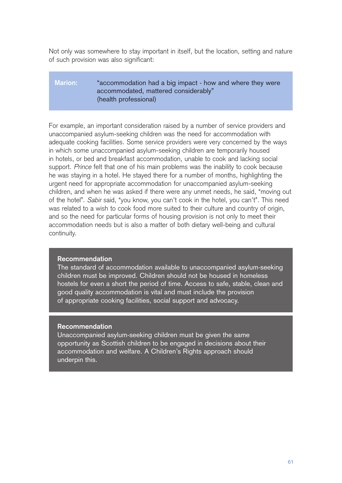Not only was somewhere to stay important in itself, but the location, setting and nature of such provision was also significant:

#### **Marion:** "accommodation had a big impact - how and where they were accommodated, mattered considerably" (health professional)

For example, an important consideration raised by a number of service providers and unaccompanied asylum-seeking children was the need for accommodation with adequate cooking facilities. Some service providers were very concerned by the ways in which some unaccompanied asylum-seeking children are temporarily housed in hotels, or bed and breakfast accommodation, unable to cook and lacking social support. Prince felt that one of his main problems was the inability to cook because he was staying in a hotel. He stayed there for a number of months, highlighting the urgent need for appropriate accommodation for unaccompanied asylum-seeking children, and when he was asked if there were any unmet needs, he said, "moving out of the hotel". Sabir said, "you know, you can't cook in the hotel, you can't". This need was related to a wish to cook food more suited to their culture and country of origin, and so the need for particular forms of housing provision is not only to meet their accommodation needs but is also a matter of both dietary well-being and cultural continuity.

#### **Recommendation**

The standard of accommodation available to unaccompanied asylum-seeking children must be improved. Children should not be housed in homeless hostels for even a short the period of time. Access to safe, stable, clean and good quality accommodation is vital and must include the provision of appropriate cooking facilities, social support and advocacy.

#### **Recommendation**

Unaccompanied asylum-seeking children must be given the same opportunity as Scottish children to be engaged in decisions about their accommodation and welfare. A Children's Rights approach should underpin this.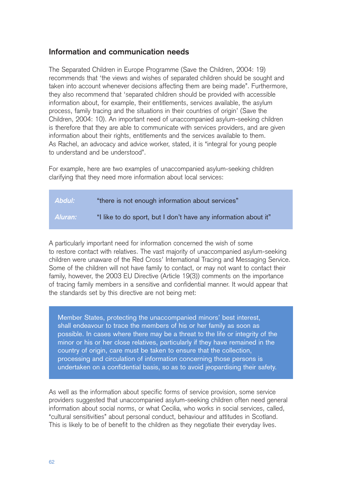## **Information and communication needs**

The Separated Children in Europe Programme (Save the Children, 2004: 19) recommends that 'the views and wishes of separated children should be sought and taken into account whenever decisions affecting them are being made". Furthermore, they also recommend that 'separated children should be provided with accessible information about, for example, their entitlements, services available, the asylum process, family tracing and the situations in their countries of origin' (Save the Children, 2004: 10). An important need of unaccompanied asylum-seeking children is therefore that they are able to communicate with services providers, and are given information about their rights, entitlements and the services available to them. As Rachel, an advocacy and advice worker, stated, it is "integral for young people to understand and be understood".

For example, here are two examples of unaccompanied asylum-seeking children clarifying that they need more information about local services:

# **Abdul:** "there is not enough information about services" **Aluran:** "I like to do sport, but I don't have any information about it"

A particularly important need for information concerned the wish of some to restore contact with relatives. The vast majority of unaccompanied asylum-seeking children were unaware of the Red Cross' International Tracing and Messaging Service. Some of the children will not have family to contact, or may not want to contact their family, however, the 2003 EU Directive (Article 19(3)) comments on the importance of tracing family members in a sensitive and confidential manner. It would appear that the standards set by this directive are not being met:

Member States, protecting the unaccompanied minors' best interest, shall endeavour to trace the members of his or her family as soon as possible. In cases where there may be a threat to the life or integrity of the minor or his or her close relatives, particularly if they have remained in the country of origin, care must be taken to ensure that the collection, processing and circulation of information concerning those persons is undertaken on a confidential basis, so as to avoid jeopardising their safety.

As well as the information about specific forms of service provision, some service providers suggested that unaccompanied asylum-seeking children often need general information about social norms, or what Cecilia, who works in social services, called, "cultural sensitivities" about personal conduct, behaviour and attitudes in Scotland. This is likely to be of benefit to the children as they negotiate their everyday lives.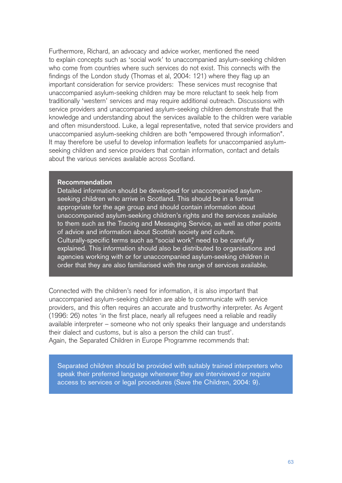Furthermore, Richard, an advocacy and advice worker, mentioned the need to explain concepts such as 'social work' to unaccompanied asylum-seeking children who come from countries where such services do not exist. This connects with the findings of the London study (Thomas et al, 2004: 121) where they flag up an important consideration for service providers: These services must recognise that unaccompanied asylum-seeking children may be more reluctant to seek help from traditionally 'western' services and may require additional outreach. Discussions with service providers and unaccompanied asylum-seeking children demonstrate that the knowledge and understanding about the services available to the children were variable and often misunderstood. Luke, a legal representative, noted that service providers and unaccompanied asylum-seeking children are both "empowered through information". It may therefore be useful to develop information leaflets for unaccompanied asylumseeking children and service providers that contain information, contact and details about the various services available across Scotland.

#### **Recommendation**

Detailed information should be developed for unaccompanied asylumseeking children who arrive in Scotland. This should be in a format appropriate for the age group and should contain information about unaccompanied asylum-seeking children's rights and the services available to them such as the Tracing and Messaging Service, as well as other points of advice and information about Scottish society and culture. Culturally-specific terms such as "social work" need to be carefully explained. This information should also be distributed to organisations and agencies working with or for unaccompanied asylum-seeking children in order that they are also familiarised with the range of services available.

Connected with the children's need for information, it is also important that unaccompanied asylum-seeking children are able to communicate with service providers, and this often requires an accurate and trustworthy interpreter. As Argent (1996: 26) notes 'in the first place, nearly all refugees need a reliable and readily available interpreter – someone who not only speaks their language and understands their dialect and customs, but is also a person the child can trust'.

Again, the Separated Children in Europe Programme recommends that:

Separated children should be provided with suitably trained interpreters who speak their preferred language whenever they are interviewed or require access to services or legal procedures (Save the Children, 2004: 9).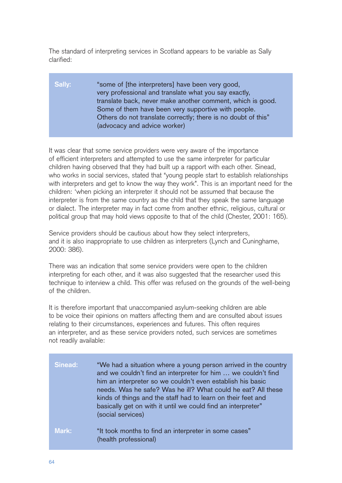The standard of interpreting services in Scotland appears to be variable as Sally clarified:

### **Sally:** "some of [the interpreters] have been very good, very professional and translate what you say exactly, translate back, never make another comment, which is good. Some of them have been very supportive with people. Others do not translate correctly; there is no doubt of this" (advocacy and advice worker)

It was clear that some service providers were very aware of the importance of efficient interpreters and attempted to use the same interpreter for particular children having observed that they had built up a rapport with each other. Sinead, who works in social services, stated that "young people start to establish relationships with interpreters and get to know the way they work". This is an important need for the children: 'when picking an interpreter it should not be assumed that because the interpreter is from the same country as the child that they speak the same language or dialect. The interpreter may in fact come from another ethnic, religious, cultural or political group that may hold views opposite to that of the child (Chester, 2001: 165).

Service providers should be cautious about how they select interpreters, and it is also inappropriate to use children as interpreters (Lynch and Cuninghame, 2000: 386).

There was an indication that some service providers were open to the children interpreting for each other, and it was also suggested that the researcher used this technique to interview a child. This offer was refused on the grounds of the well-being of the children.

It is therefore important that unaccompanied asylum-seeking children are able to be voice their opinions on matters affecting them and are consulted about issues relating to their circumstances, experiences and futures. This often requires an interpreter, and as these service providers noted, such services are sometimes not readily available:

| Sinead:      | "We had a situation where a young person arrived in the country<br>and we couldn't find an interpreter for him  we couldn't find<br>him an interpreter so we couldn't even establish his basic<br>needs. Was he safe? Was he ill? What could he eat? All these<br>kinds of things and the staff had to learn on their feet and<br>basically get on with it until we could find an interpreter"<br>(social services) |
|--------------|---------------------------------------------------------------------------------------------------------------------------------------------------------------------------------------------------------------------------------------------------------------------------------------------------------------------------------------------------------------------------------------------------------------------|
| <b>Mark:</b> | "It took months to find an interpreter in some cases"<br>(health professional)                                                                                                                                                                                                                                                                                                                                      |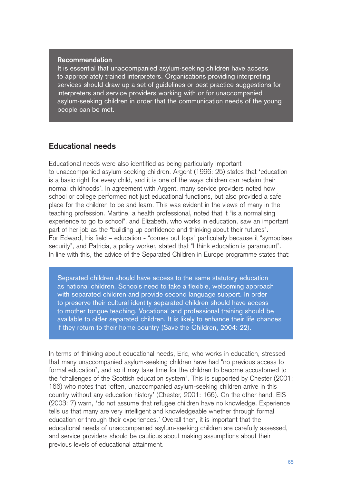#### **Recommendation**

It is essential that unaccompanied asylum-seeking children have access to appropriately trained interpreters. Organisations providing interpreting services should draw up a set of guidelines or best practice suggestions for interpreters and service providers working with or for unaccompanied asylum-seeking children in order that the communication needs of the young people can be met.

#### **Educational needs**

Educational needs were also identified as being particularly important to unaccompanied asylum-seeking children. Argent (1996: 25) states that 'education is a basic right for every child, and it is one of the ways children can reclaim their normal childhoods'. In agreement with Argent, many service providers noted how school or college performed not just educational functions, but also provided a safe place for the children to be and learn. This was evident in the views of many in the teaching profession. Martine, a health professional, noted that it "is a normalising experience to go to school", and Elizabeth, who works in education, saw an important part of her job as the "building up confidence and thinking about their futures". For Edward, his field – education - "comes out tops" particularly because it "symbolises security", and Patricia, a policy worker, stated that "I think education is paramount". In line with this, the advice of the Separated Children in Europe programme states that:

Separated children should have access to the same statutory education as national children. Schools need to take a flexible, welcoming approach with separated children and provide second language support. In order to preserve their cultural identity separated children should have access to mother tongue teaching. Vocational and professional training should be available to older separated children. It is likely to enhance their life chances if they return to their home country (Save the Children, 2004: 22).

In terms of thinking about educational needs, Eric, who works in education, stressed that many unaccompanied asylum-seeking children have had "no previous access to formal education", and so it may take time for the children to become accustomed to the "challenges of the Scottish education system". This is supported by Chester (2001: 166) who notes that 'often, unaccompanied asylum-seeking children arrive in this country without any education history' (Chester, 2001: 166). On the other hand, EIS (2003: 7) warn, 'do not assume that refugee children have no knowledge. Experience tells us that many are very intelligent and knowledgeable whether through formal education or through their experiences.' Overall then, it is important that the educational needs of unaccompanied asylum-seeking children are carefully assessed, and service providers should be cautious about making assumptions about their previous levels of educational attainment.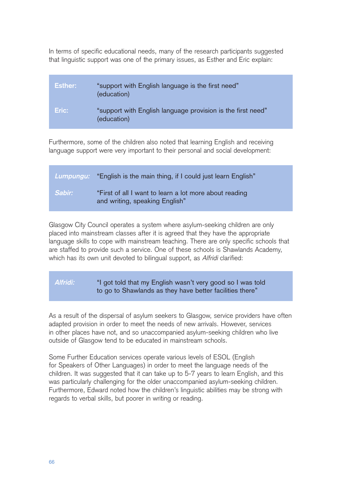In terms of specific educational needs, many of the research participants suggested that linguistic support was one of the primary issues, as Esther and Eric explain:

| <b>Esther:</b> | "support with English language is the first need"<br>(education)           |
|----------------|----------------------------------------------------------------------------|
| Eric:          | "support with English language provision is the first need"<br>(education) |

Furthermore, some of the children also noted that learning English and receiving language support were very important to their personal and social development:

|               | Lumpungu: "English is the main thing, if I could just learn English"                     |
|---------------|------------------------------------------------------------------------------------------|
| <b>Sabir:</b> | "First of all I want to learn a lot more about reading<br>and writing, speaking English" |

Glasgow City Council operates a system where asylum-seeking children are only placed into mainstream classes after it is agreed that they have the appropriate language skills to cope with mainstream teaching. There are only specific schools that are staffed to provide such a service. One of these schools is Shawlands Academy, which has its own unit devoted to bilingual support, as Alfridi clarified:

## **Alfridi:** "I got told that my English wasn't very good so I was told to go to Shawlands as they have better facilities there"

As a result of the dispersal of asylum seekers to Glasgow, service providers have often adapted provision in order to meet the needs of new arrivals. However, services in other places have not, and so unaccompanied asylum-seeking children who live outside of Glasgow tend to be educated in mainstream schools.

Some Further Education services operate various levels of ESOL (English for Speakers of Other Languages) in order to meet the language needs of the children. It was suggested that it can take up to 5-7 years to learn English, and this was particularly challenging for the older unaccompanied asylum-seeking children. Furthermore, Edward noted how the children's linguistic abilities may be strong with regards to verbal skills, but poorer in writing or reading.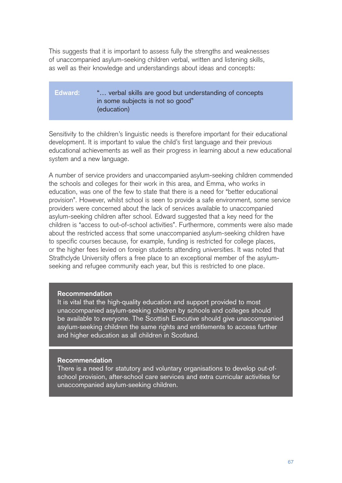This suggests that it is important to assess fully the strengths and weaknesses of unaccompanied asylum-seeking children verbal, written and listening skills, as well as their knowledge and understandings about ideas and concepts:

## **Edward:** "… verbal skills are good but understanding of concepts in some subjects is not so good" (education)

Sensitivity to the children's linguistic needs is therefore important for their educational development. It is important to value the child's first language and their previous educational achievements as well as their progress in learning about a new educational system and a new language.

A number of service providers and unaccompanied asylum-seeking children commended the schools and colleges for their work in this area, and Emma, who works in education, was one of the few to state that there is a need for "better educational provision". However, whilst school is seen to provide a safe environment, some service providers were concerned about the lack of services available to unaccompanied asylum-seeking children after school. Edward suggested that a key need for the children is "access to out-of-school activities". Furthermore, comments were also made about the restricted access that some unaccompanied asylum-seeking children have to specific courses because, for example, funding is restricted for college places, or the higher fees levied on foreign students attending universities. It was noted that Strathclyde University offers a free place to an exceptional member of the asylumseeking and refugee community each year, but this is restricted to one place.

#### **Recommendation**

It is vital that the high-quality education and support provided to most unaccompanied asylum-seeking children by schools and colleges should be available to everyone. The Scottish Executive should give unaccompanied asylum-seeking children the same rights and entitlements to access further and higher education as all children in Scotland.

#### **Recommendation**

There is a need for statutory and voluntary organisations to develop out-ofschool provision, after-school care services and extra curricular activities for unaccompanied asylum-seeking children.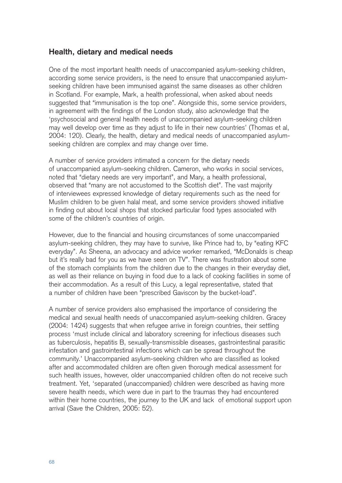# **Health, dietary and medical needs**

One of the most important health needs of unaccompanied asylum-seeking children, according some service providers, is the need to ensure that unaccompanied asylumseeking children have been immunised against the same diseases as other children in Scotland. For example, Mark, a health professional, when asked about needs suggested that "immunisation is the top one". Alongside this, some service providers, in agreement with the findings of the London study, also acknowledge that the 'psychosocial and general health needs of unaccompanied asylum-seeking children may well develop over time as they adjust to life in their new countries' (Thomas et al, 2004: 120). Clearly, the health, dietary and medical needs of unaccompanied asylumseeking children are complex and may change over time.

A number of service providers intimated a concern for the dietary needs of unaccompanied asylum-seeking children. Cameron, who works in social services, noted that "dietary needs are very important", and Mary, a health professional, observed that "many are not accustomed to the Scottish diet". The vast majority of interviewees expressed knowledge of dietary requirements such as the need for Muslim children to be given halal meat, and some service providers showed initiative in finding out about local shops that stocked particular food types associated with some of the children's countries of origin.

However, due to the financial and housing circumstances of some unaccompanied asylum-seeking children, they may have to survive, like Prince had to, by "eating KFC everyday". As Sheena, an advocacy and advice worker remarked, "McDonalds is cheap but it's really bad for you as we have seen on TV". There was frustration about some of the stomach complaints from the children due to the changes in their everyday diet, as well as their reliance on buying in food due to a lack of cooking facilities in some of their accommodation. As a result of this Lucy, a legal representative, stated that a number of children have been "prescribed Gaviscon by the bucket-load".

A number of service providers also emphasised the importance of considering the medical and sexual health needs of unaccompanied asylum-seeking children. Gracey (2004: 1424) suggests that when refugee arrive in foreign countries, their settling process 'must include clinical and laboratory screening for infectious diseases such as tuberculosis, hepatitis B, sexually-transmissible diseases, gastrointestinal parasitic infestation and gastrointestinal infections which can be spread throughout the community.' Unaccompanied asylum-seeking children who are classified as looked after and accommodated children are often given thorough medical assessment for such health issues, however, older unaccompanied children often do not receive such treatment. Yet, 'separated (unaccompanied) children were described as having more severe health needs, which were due in part to the traumas they had encountered within their home countries, the journey to the UK and lack of emotional support upon arrival (Save the Children, 2005: 52).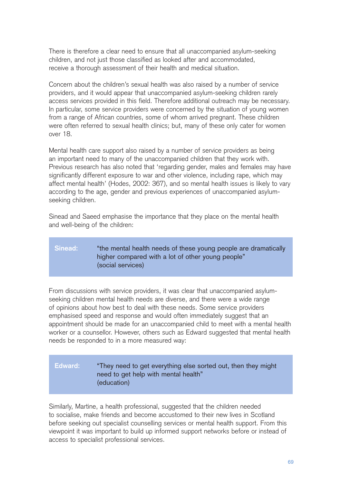There is therefore a clear need to ensure that all unaccompanied asylum-seeking children, and not just those classified as looked after and accommodated, receive a thorough assessment of their health and medical situation.

Concern about the children's sexual health was also raised by a number of service providers, and it would appear that unaccompanied asylum-seeking children rarely access services provided in this field. Therefore additional outreach may be necessary. In particular, some service providers were concerned by the situation of young women from a range of African countries, some of whom arrived pregnant. These children were often referred to sexual health clinics; but, many of these only cater for women over 18.

Mental health care support also raised by a number of service providers as being an important need to many of the unaccompanied children that they work with. Previous research has also noted that 'regarding gender, males and females may have significantly different exposure to war and other violence, including rape, which may affect mental health' (Hodes, 2002: 367), and so mental health issues is likely to vary according to the age, gender and previous experiences of unaccompanied asylumseeking children.

Sinead and Saeed emphasise the importance that they place on the mental health and well-being of the children:

# **Sinead:** "the mental health needs of these young people are dramatically higher compared with a lot of other young people" (social services)

From discussions with service providers, it was clear that unaccompanied asylumseeking children mental health needs are diverse, and there were a wide range of opinions about how best to deal with these needs. Some service providers emphasised speed and response and would often immediately suggest that an appointment should be made for an unaccompanied child to meet with a mental health worker or a counsellor. However, others such as Edward suggested that mental health needs be responded to in a more measured way:

# **Edward:** "They need to get everything else sorted out, then they might need to get help with mental health" (education)

Similarly, Martine, a health professional, suggested that the children needed to socialise, make friends and become accustomed to their new lives in Scotland before seeking out specialist counselling services or mental health support. From this viewpoint it was important to build up informed support networks before or instead of access to specialist professional services.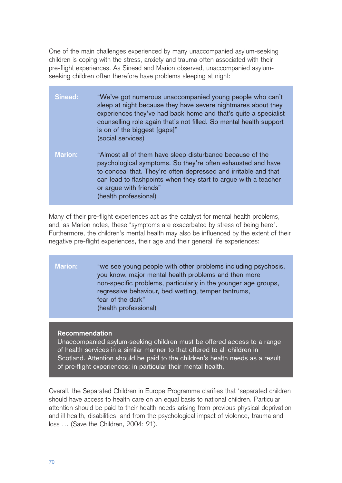One of the main challenges experienced by many unaccompanied asylum-seeking children is coping with the stress, anxiety and trauma often associated with their pre-flight experiences. As Sinead and Marion observed, unaccompanied asylumseeking children often therefore have problems sleeping at night:

| <b>Sinead:</b> | "We've got numerous unaccompanied young people who can't<br>sleep at night because they have severe nightmares about they<br>experiences they've had back home and that's quite a specialist<br>counselling role again that's not filled. So mental health support<br>is on of the biggest [gaps]"<br>(social services) |
|----------------|-------------------------------------------------------------------------------------------------------------------------------------------------------------------------------------------------------------------------------------------------------------------------------------------------------------------------|
| <b>Marion:</b> | "Almost all of them have sleep disturbance because of the<br>psychological symptoms. So they're often exhausted and have<br>to conceal that. They're often depressed and irritable and that<br>can lead to flashpoints when they start to argue with a teacher<br>or argue with friends"<br>(health professional)       |

Many of their pre-flight experiences act as the catalyst for mental health problems, and, as Marion notes, these "symptoms are exacerbated by stress of being here". Furthermore, the children's mental health may also be influenced by the extent of their negative pre-flight experiences, their age and their general life experiences:

## **Marion:** "we see young people with other problems including psychosis, you know, major mental health problems and then more non-specific problems, particularly in the younger age groups, regressive behaviour, bed wetting, temper tantrums, fear of the dark" (health professional)

#### **Recommendation**

Unaccompanied asylum-seeking children must be offered access to a range of health services in a similar manner to that offered to all children in Scotland. Attention should be paid to the children's health needs as a result of pre-flight experiences; in particular their mental health.

Overall, the Separated Children in Europe Programme clarifies that 'separated children should have access to health care on an equal basis to national children. Particular attention should be paid to their health needs arising from previous physical deprivation and ill health, disabilities, and from the psychological impact of violence, trauma and loss … (Save the Children, 2004: 21).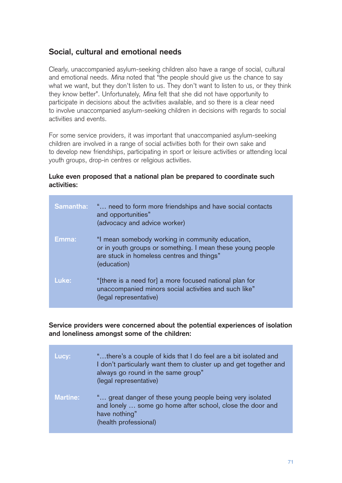# **Social, cultural and emotional needs**

Clearly, unaccompanied asylum-seeking children also have a range of social, cultural and emotional needs. Mina noted that "the people should give us the chance to say what we want, but they don't listen to us. They don't want to listen to us, or they think they know better". Unfortunately, Mina felt that she did not have opportunity to participate in decisions about the activities available, and so there is a clear need to involve unaccompanied asylum-seeking children in decisions with regards to social activities and events.

For some service providers, it was important that unaccompanied asylum-seeking children are involved in a range of social activities both for their own sake and to develop new friendships, participating in sport or leisure activities or attending local youth groups, drop-in centres or religious activities.

## **Luke even proposed that a national plan be prepared to coordinate such activities:**

| <b>Samantha:</b> | " need to form more friendships and have social contacts<br>and opportunities"<br>(advocacy and advice worker)                                                             |
|------------------|----------------------------------------------------------------------------------------------------------------------------------------------------------------------------|
| Emma:            | "I mean somebody working in community education,<br>or in youth groups or something. I mean these young people<br>are stuck in homeless centres and things"<br>(education) |
| Luke:            | "[there is a need for] a more focused national plan for<br>unaccompanied minors social activities and such like"<br>(legal representative)                                 |

**Service providers were concerned about the potential experiences of isolation and loneliness amongst some of the children:**

| Lucy:           | "there's a couple of kids that I do feel are a bit isolated and<br>I don't particularly want them to cluster up and get together and<br>always go round in the same group"<br>(legal representative) |
|-----------------|------------------------------------------------------------------------------------------------------------------------------------------------------------------------------------------------------|
| <b>Martine:</b> | " great danger of these young people being very isolated<br>and lonely  some go home after school, close the door and<br>have nothing"<br>(health professional)                                      |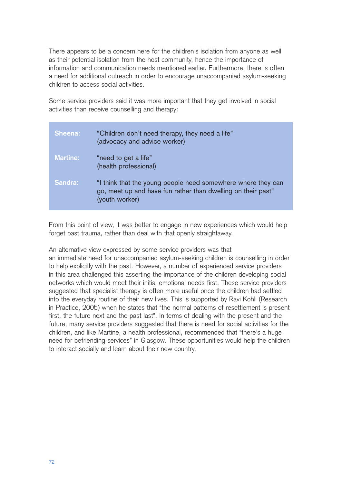There appears to be a concern here for the children's isolation from anyone as well as their potential isolation from the host community, hence the importance of information and communication needs mentioned earlier. Furthermore, there is often a need for additional outreach in order to encourage unaccompanied asylum-seeking children to access social activities.

Some service providers said it was more important that they get involved in social activities than receive counselling and therapy:

| <b>Sheena:</b>  | "Children don't need therapy, they need a life"<br>(advocacy and advice worker)                                                                |
|-----------------|------------------------------------------------------------------------------------------------------------------------------------------------|
| <b>Martine:</b> | "need to get a life"<br>(health professional)                                                                                                  |
| Sandra:         | "I think that the young people need somewhere where they can<br>go, meet up and have fun rather than dwelling on their past"<br>(youth worker) |

From this point of view, it was better to engage in new experiences which would help forget past trauma, rather than deal with that openly straightaway.

An alternative view expressed by some service providers was that

an immediate need for unaccompanied asylum-seeking children is counselling in order to help explicitly with the past. However, a number of experienced service providers in this area challenged this asserting the importance of the children developing social networks which would meet their initial emotional needs first. These service providers suggested that specialist therapy is often more useful once the children had settled into the everyday routine of their new lives. This is supported by Ravi Kohli (Research in Practice, 2005) when he states that "the normal patterns of resettlement is present first, the future next and the past last". In terms of dealing with the present and the future, many service providers suggested that there is need for social activities for the children, and like Martine, a health professional, recommended that "there's a huge need for befriending services" in Glasgow. These opportunities would help the children to interact socially and learn about their new country.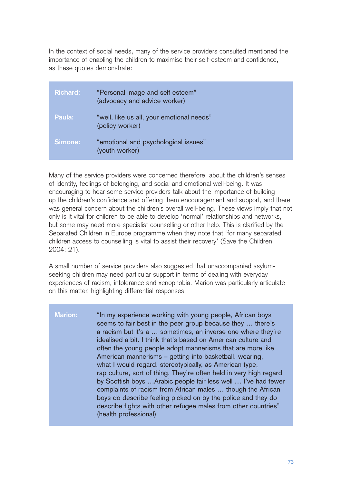In the context of social needs, many of the service providers consulted mentioned the importance of enabling the children to maximise their self-esteem and confidence, as these quotes demonstrate:

| <b>Richard:</b> | "Personal image and self esteem"<br>(advocacy and advice worker) |
|-----------------|------------------------------------------------------------------|
| Paula:          | "well, like us all, your emotional needs"<br>(policy worker)     |
| Simone:         | "emotional and psychological issues"<br>(youth worker)           |

Many of the service providers were concerned therefore, about the children's senses of identity, feelings of belonging, and social and emotional well-being. It was encouraging to hear some service providers talk about the importance of building up the children's confidence and offering them encouragement and support, and there was general concern about the children's overall well-being. These views imply that not only is it vital for children to be able to develop 'normal' relationships and networks, but some may need more specialist counselling or other help. This is clarified by the Separated Children in Europe programme when they note that 'for many separated children access to counselling is vital to assist their recovery' (Save the Children, 2004: 21).

A small number of service providers also suggested that unaccompanied asylumseeking children may need particular support in terms of dealing with everyday experiences of racism, intolerance and xenophobia. Marion was particularly articulate on this matter, highlighting differential responses:

**Marion:** "In my experience working with young people, African boys seems to fair best in the peer group because they … there's a racism but it's a … sometimes, an inverse one where they're idealised a bit. I think that's based on American culture and often the young people adopt mannerisms that are more like American mannerisms – getting into basketball, wearing, what I would regard, stereotypically, as American type, rap culture, sort of thing. They're often held in very high regard by Scottish boys …Arabic people fair less well … I've had fewer complaints of racism from African males … though the African boys do describe feeling picked on by the police and they do describe fights with other refugee males from other countries" (health professional)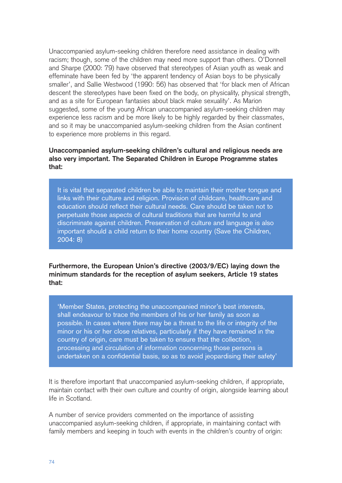Unaccompanied asylum-seeking children therefore need assistance in dealing with racism; though, some of the children may need more support than others. O'Donnell and Sharpe (2000: 79) have observed that stereotypes of Asian youth as weak and effeminate have been fed by 'the apparent tendency of Asian boys to be physically smaller', and Sallie Westwood (1990: 56) has observed that 'for black men of African descent the stereotypes have been fixed on the body, on physicality, physical strength, and as a site for European fantasies about black make sexuality'. As Marion suggested, some of the young African unaccompanied asylum-seeking children may experience less racism and be more likely to be highly regarded by their classmates, and so it may be unaccompanied asylum-seeking children from the Asian continent to experience more problems in this regard.

## **Unaccompanied asylum-seeking children's cultural and religious needs are also very important. The Separated Children in Europe Programme states that:**

It is vital that separated children be able to maintain their mother tongue and links with their culture and religion. Provision of childcare, healthcare and education should reflect their cultural needs. Care should be taken not to perpetuate those aspects of cultural traditions that are harmful to and discriminate against children. Preservation of culture and language is also important should a child return to their home country (Save the Children, 2004: 8)

**Furthermore, the European Union's directive (2003/9/EC) laying down the minimum standards for the reception of asylum seekers, Article 19 states that:**

'Member States, protecting the unaccompanied minor's best interests, shall endeavour to trace the members of his or her family as soon as possible. In cases where there may be a threat to the life or integrity of the minor or his or her close relatives, particularly if they have remained in the country of origin, care must be taken to ensure that the collection, processing and circulation of information concerning those persons is undertaken on a confidential basis, so as to avoid jeopardising their safety'

It is therefore important that unaccompanied asylum-seeking children, if appropriate, maintain contact with their own culture and country of origin, alongside learning about life in Scotland.

A number of service providers commented on the importance of assisting unaccompanied asylum-seeking children, if appropriate, in maintaining contact with family members and keeping in touch with events in the children's country of origin: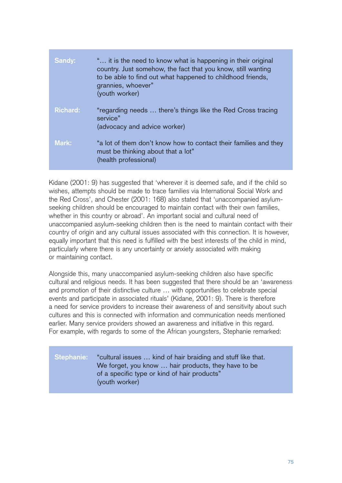| Sandy:          | " it is the need to know what is happening in their original<br>country. Just somehow, the fact that you know, still wanting<br>to be able to find out what happened to childhood friends,<br>grannies, whoever"<br>(youth worker) |
|-----------------|------------------------------------------------------------------------------------------------------------------------------------------------------------------------------------------------------------------------------------|
| <b>Richard:</b> | "regarding needs  there's things like the Red Cross tracing<br>service"<br>(advocacy and advice worker)                                                                                                                            |
| Mark:           | "a lot of them don't know how to contact their families and they<br>must be thinking about that a lot"<br>(health professional)                                                                                                    |

Kidane (2001: 9) has suggested that 'wherever it is deemed safe, and if the child so wishes, attempts should be made to trace families via International Social Work and the Red Cross', and Chester (2001: 168) also stated that 'unaccompanied asylumseeking children should be encouraged to maintain contact with their own families, whether in this country or abroad'. An important social and cultural need of unaccompanied asylum-seeking children then is the need to maintain contact with their country of origin and any cultural issues associated with this connection. It is however, equally important that this need is fulfilled with the best interests of the child in mind, particularly where there is any uncertainty or anxiety associated with making or maintaining contact.

Alongside this, many unaccompanied asylum-seeking children also have specific cultural and religious needs. It has been suggested that there should be an 'awareness and promotion of their distinctive culture … with opportunities to celebrate special events and participate in associated rituals' (Kidane, 2001: 9). There is therefore a need for service providers to increase their awareness of and sensitivity about such cultures and this is connected with information and communication needs mentioned earlier. Many service providers showed an awareness and initiative in this regard. For example, with regards to some of the African youngsters, Stephanie remarked:

# **Stephanie:** "cultural issues … kind of hair braiding and stuff like that. We forget, you know … hair products, they have to be of a specific type or kind of hair products" (youth worker)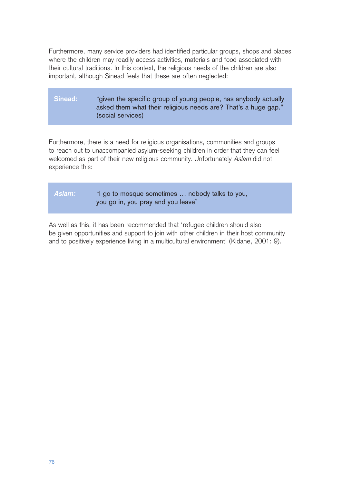Furthermore, many service providers had identified particular groups, shops and places where the children may readily access activities, materials and food associated with their cultural traditions. In this context, the religious needs of the children are also important, although Sinead feels that these are often neglected:

# **Sinead:** "given the specific group of young people, has anybody actually asked them what their religious needs are? That's a huge gap." (social services)

Furthermore, there is a need for religious organisations, communities and groups to reach out to unaccompanied asylum-seeking children in order that they can feel welcomed as part of their new religious community. Unfortunately Aslam did not experience this:

| Aslam: | "I go to mosque sometimes  nobody talks to you, |
|--------|-------------------------------------------------|
|        | you go in, you pray and you leave"              |

As well as this, it has been recommended that 'refugee children should also be given opportunities and support to join with other children in their host community and to positively experience living in a multicultural environment' (Kidane, 2001: 9).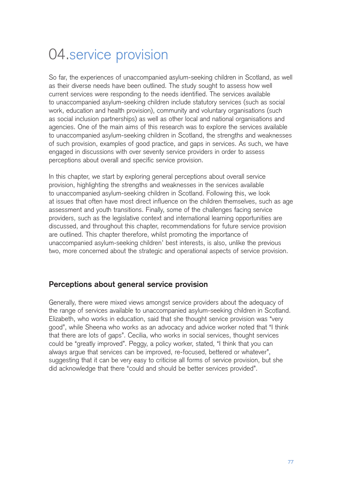# 04.service provision

So far, the experiences of unaccompanied asylum-seeking children in Scotland, as well as their diverse needs have been outlined. The study sought to assess how well current services were responding to the needs identified. The services available to unaccompanied asylum-seeking children include statutory services (such as social work, education and health provision), community and voluntary organisations (such as social inclusion partnerships) as well as other local and national organisations and agencies. One of the main aims of this research was to explore the services available to unaccompanied asylum-seeking children in Scotland, the strengths and weaknesses of such provision, examples of good practice, and gaps in services. As such, we have engaged in discussions with over seventy service providers in order to assess perceptions about overall and specific service provision.

In this chapter, we start by exploring general perceptions about overall service provision, highlighting the strengths and weaknesses in the services available to unaccompanied asylum-seeking children in Scotland. Following this, we look at issues that often have most direct influence on the children themselves, such as age assessment and youth transitions. Finally, some of the challenges facing service providers, such as the legislative context and international learning opportunities are discussed, and throughout this chapter, recommendations for future service provision are outlined. This chapter therefore, whilst promoting the importance of unaccompanied asylum-seeking children' best interests, is also, unlike the previous two, more concerned about the strategic and operational aspects of service provision.

# **Perceptions about general service provision**

Generally, there were mixed views amongst service providers about the adequacy of the range of services available to unaccompanied asylum-seeking children in Scotland. Elizabeth, who works in education, said that she thought service provision was "very good", while Sheena who works as an advocacy and advice worker noted that "I think that there are lots of gaps". Cecilia, who works in social services, thought services could be "greatly improved". Peggy, a policy worker, stated, "I think that you can always argue that services can be improved, re-focused, bettered or whatever", suggesting that it can be very easy to criticise all forms of service provision, but she did acknowledge that there "could and should be better services provided".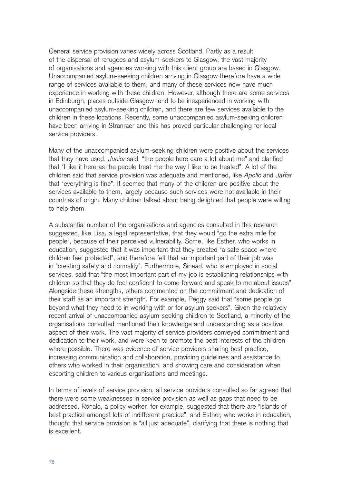General service provision varies widely across Scotland. Partly as a result of the dispersal of refugees and asylum-seekers to Glasgow, the vast majority of organisations and agencies working with this client group are based in Glasgow. Unaccompanied asylum-seeking children arriving in Glasgow therefore have a wide range of services available to them, and many of these services now have much experience in working with these children. However, although there are some services in Edinburgh, places outside Glasgow tend to be inexperienced in working with unaccompanied asylum-seeking children, and there are few services available to the children in these locations. Recently, some unaccompanied asylum-seeking children have been arriving in Stranraer and this has proved particular challenging for local service providers.

Many of the unaccompanied asylum-seeking children were positive about the services that they have used. Junior said, "the people here care a lot about me" and clarified that "I like it here as the people treat me the way I like to be treated". A lot of the children said that service provision was adequate and mentioned, like Apollo and Jaffar that "everything is fine". It seemed that many of the children are positive about the services available to them, largely because such services were not available in their countries of origin. Many children talked about being delighted that people were willing to help them.

A substantial number of the organisations and agencies consulted in this research suggested, like Lisa, a legal representative, that they would "go the extra mile for people", because of their perceived vulnerability. Some, like Esther, who works in education, suggested that it was important that they created "a safe space where children feel protected", and therefore felt that an important part of their job was in "creating safety and normality". Furthermore, Sinead, who is employed in social services, said that "the most important part of my job is establishing relationships with children so that they do feel confident to come forward and speak to me about issues". Alongside these strengths, others commented on the commitment and dedication of their staff as an important strength. For example, Peggy said that "some people go beyond what they need to in working with or for asylum seekers". Given the relatively recent arrival of unaccompanied asylum-seeking children to Scotland, a minority of the organisations consulted mentioned their knowledge and understanding as a positive aspect of their work. The vast majority of service providers conveyed commitment and dedication to their work, and were keen to promote the best interests of the children where possible. There was evidence of service providers sharing best practice, increasing communication and collaboration, providing guidelines and assistance to others who worked in their organisation, and showing care and consideration when escorting children to various organisations and meetings.

In terms of levels of service provision, all service providers consulted so far agreed that there were some weaknesses in service provision as well as gaps that need to be addressed. Ronald, a policy worker, for example, suggested that there are "islands of best practice amongst lots of indifferent practice", and Esther, who works in education, thought that service provision is "all just adequate", clarifying that there is nothing that is excellent.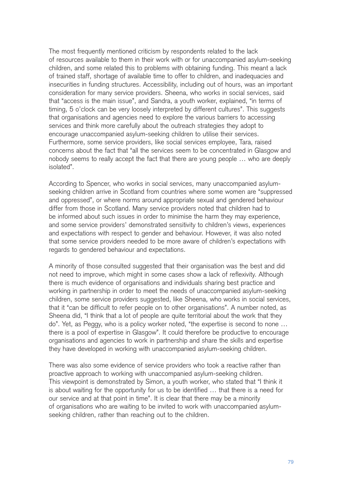The most frequently mentioned criticism by respondents related to the lack of resources available to them in their work with or for unaccompanied asylum-seeking children, and some related this to problems with obtaining funding. This meant a lack of trained staff, shortage of available time to offer to children, and inadequacies and insecurities in funding structures. Accessibility, including out of hours, was an important consideration for many service providers. Sheena, who works in social services, said that "access is the main issue", and Sandra, a youth worker, explained, "in terms of timing, 5 o'clock can be very loosely interpreted by different cultures". This suggests that organisations and agencies need to explore the various barriers to accessing services and think more carefully about the outreach strategies they adopt to encourage unaccompanied asylum-seeking children to utilise their services. Furthermore, some service providers, like social services employee, Tara, raised concerns about the fact that "all the services seem to be concentrated in Glasgow and nobody seems to really accept the fact that there are young people … who are deeply isolated".

According to Spencer, who works in social services, many unaccompanied asylumseeking children arrive in Scotland from countries where some women are "suppressed and oppressed", or where norms around appropriate sexual and gendered behaviour differ from those in Scotland. Many service providers noted that children had to be informed about such issues in order to minimise the harm they may experience, and some service providers' demonstrated sensitivity to children's views, experiences and expectations with respect to gender and behaviour. However, it was also noted that some service providers needed to be more aware of children's expectations with regards to gendered behaviour and expectations.

A minority of those consulted suggested that their organisation was the best and did not need to improve, which might in some cases show a lack of reflexivity. Although there is much evidence of organisations and individuals sharing best practice and working in partnership in order to meet the needs of unaccompanied asylum-seeking children, some service providers suggested, like Sheena, who works in social services, that it "can be difficult to refer people on to other organisations". A number noted, as Sheena did, "I think that a lot of people are quite territorial about the work that they do". Yet, as Peggy, who is a policy worker noted, "the expertise is second to none … there is a pool of expertise in Glasgow". It could therefore be productive to encourage organisations and agencies to work in partnership and share the skills and expertise they have developed in working with unaccompanied asylum-seeking children.

There was also some evidence of service providers who took a reactive rather than proactive approach to working with unaccompanied asylum-seeking children. This viewpoint is demonstrated by Simon, a youth worker, who stated that "I think it is about waiting for the opportunity for us to be identified … that there is a need for our service and at that point in time". It is clear that there may be a minority of organisations who are waiting to be invited to work with unaccompanied asylumseeking children, rather than reaching out to the children.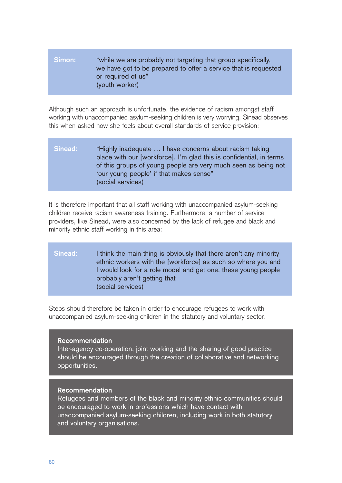## **Simon:** "while we are probably not targeting that group specifically, we have got to be prepared to offer a service that is requested or required of us" (youth worker)

Although such an approach is unfortunate, the evidence of racism amongst staff working with unaccompanied asylum-seeking children is very worrying. Sinead observes this when asked how she feels about overall standards of service provision:

## **Sinead:** "Highly inadequate … I have concerns about racism taking place with our [workforce]. I'm glad this is confidential, in terms of this groups of young people are very much seen as being not 'our young people' if that makes sense" (social services)

It is therefore important that all staff working with unaccompanied asylum-seeking children receive racism awareness training. Furthermore, a number of service providers, like Sinead, were also concerned by the lack of refugee and black and minority ethnic staff working in this area:

## **Sinead:** I think the main thing is obviously that there aren't any minority ethnic workers with the [workforce] as such so where you and I would look for a role model and get one, these young people probably aren't getting that (social services)

Steps should therefore be taken in order to encourage refugees to work with unaccompanied asylum-seeking children in the statutory and voluntary sector.

#### **Recommendation**

Inter-agency co-operation, joint working and the sharing of good practice should be encouraged through the creation of collaborative and networking opportunities.

#### **Recommendation**

Refugees and members of the black and minority ethnic communities should be encouraged to work in professions which have contact with unaccompanied asylum-seeking children, including work in both statutory and voluntary organisations.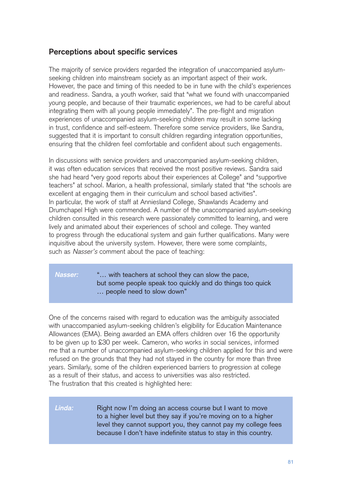# **Perceptions about specific services**

The majority of service providers regarded the integration of unaccompanied asylumseeking children into mainstream society as an important aspect of their work. However, the pace and timing of this needed to be in tune with the child's experiences and readiness. Sandra, a youth worker, said that "what we found with unaccompanied young people, and because of their traumatic experiences, we had to be careful about integrating them with all young people immediately". The pre-flight and migration experiences of unaccompanied asylum-seeking children may result in some lacking in trust, confidence and self-esteem. Therefore some service providers, like Sandra, suggested that it is important to consult children regarding integration opportunities, ensuring that the children feel comfortable and confident about such engagements.

In discussions with service providers and unaccompanied asylum-seeking children, it was often education services that received the most positive reviews. Sandra said she had heard "very good reports about their experiences at College" and "supportive teachers" at school. Marion, a health professional, similarly stated that "the schools are excellent at engaging them in their curriculum and school based activities". In particular, the work of staff at Anniesland College, Shawlands Academy and Drumchapel High were commended. A number of the unaccompanied asylum-seeking children consulted in this research were passionately committed to learning, and were lively and animated about their experiences of school and college. They wanted to progress through the educational system and gain further qualifications. Many were inquisitive about the university system. However, there were some complaints, such as Nasser's comment about the pace of teaching:

## **Nasser:** "… with teachers at school they can slow the pace, but some people speak too quickly and do things too quick … people need to slow down"

One of the concerns raised with regard to education was the ambiguity associated with unaccompanied asylum-seeking children's eligibility for Education Maintenance Allowances (EMA). Being awarded an EMA offers children over 16 the opportunity to be given up to £30 per week. Cameron, who works in social services, informed me that a number of unaccompanied asylum-seeking children applied for this and were refused on the grounds that they had not stayed in the country for more than three years. Similarly, some of the children experienced barriers to progression at college as a result of their status, and access to universities was also restricted. The frustration that this created is highlighted here:

## **Linda:** Right now I'm doing an access course but I want to move to a higher level but they say if you're moving on to a higher level they cannot support you, they cannot pay my college fees because I don't have indefinite status to stay in this country.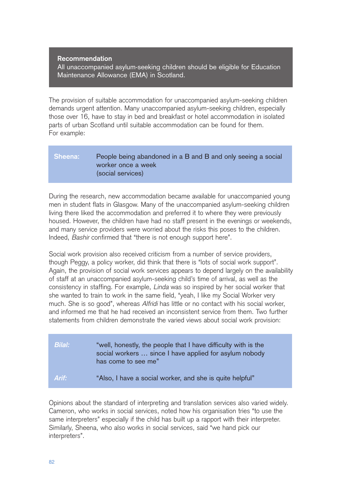#### **Recommendation**

All unaccompanied asylum-seeking children should be eligible for Education Maintenance Allowance (EMA) in Scotland.

The provision of suitable accommodation for unaccompanied asylum-seeking children demands urgent attention. Many unaccompanied asylum-seeking children, especially those over 16, have to stay in bed and breakfast or hotel accommodation in isolated parts of urban Scotland until suitable accommodation can be found for them. For example:

## Sheena: People being abandoned in a B and B and only seeing a social worker once a week (social services)

During the research, new accommodation became available for unaccompanied young men in student flats in Glasgow. Many of the unaccompanied asylum-seeking children living there liked the accommodation and preferred it to where they were previously housed. However, the children have had no staff present in the evenings or weekends, and many service providers were worried about the risks this poses to the children. Indeed, Bashir confirmed that "there is not enough support here".

Social work provision also received criticism from a number of service providers, though Peggy, a policy worker, did think that there is "lots of social work support". Again, the provision of social work services appears to depend largely on the availability of staff at an unaccompanied asylum-seeking child's time of arrival, as well as the consistency in staffing. For example, Linda was so inspired by her social worker that she wanted to train to work in the same field, "yeah, I like my Social Worker very much. She is so good", whereas Alfridi has little or no contact with his social worker, and informed me that he had received an inconsistent service from them. Two further statements from children demonstrate the varied views about social work provision:

| Bilal: | "well, honestly, the people that I have difficulty with is the<br>social workers  since I have applied for asylum nobody<br>has come to see me" |
|--------|-------------------------------------------------------------------------------------------------------------------------------------------------|
| Arif:  | "Also, I have a social worker, and she is quite helpful"                                                                                        |

Opinions about the standard of interpreting and translation services also varied widely. Cameron, who works in social services, noted how his organisation tries "to use the same interpreters" especially if the child has built up a rapport with their interpreter. Similarly, Sheena, who also works in social services, said "we hand pick our interpreters".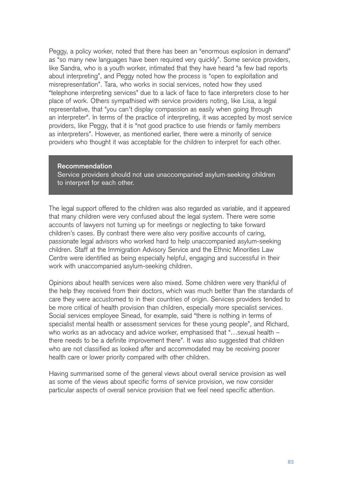Peggy, a policy worker, noted that there has been an "enormous explosion in demand" as "so many new languages have been required very quickly". Some service providers, like Sandra, who is a youth worker, intimated that they have heard "a few bad reports about interpreting", and Peggy noted how the process is "open to exploitation and misrepresentation". Tara, who works in social services, noted how they used "telephone interpreting services" due to a lack of face to face interpreters close to her place of work. Others sympathised with service providers noting, like Lisa, a legal representative, that "you can't display compassion as easily when going through an interpreter". In terms of the practice of interpreting, it was accepted by most service providers, like Peggy, that it is "not good practice to use friends or family members as interpreters". However, as mentioned earlier, there were a minority of service providers who thought it was acceptable for the children to interpret for each other.

#### **Recommendation**

Service providers should not use unaccompanied asylum-seeking children to interpret for each other.

The legal support offered to the children was also regarded as variable, and it appeared that many children were very confused about the legal system. There were some accounts of lawyers not turning up for meetings or neglecting to take forward children's cases. By contrast there were also very positive accounts of caring, passionate legal advisors who worked hard to help unaccompanied asylum-seeking children. Staff at the Immigration Advisory Service and the Ethnic Minorities Law Centre were identified as being especially helpful, engaging and successful in their work with unaccompanied asylum-seeking children.

Opinions about health services were also mixed. Some children were very thankful of the help they received from their doctors, which was much better than the standards of care they were accustomed to in their countries of origin. Services providers tended to be more critical of health provision than children, especially more specialist services. Social services employee Sinead, for example, said "there is nothing in terms of specialist mental health or assessment services for these young people", and Richard, who works as an advocacy and advice worker, emphasised that "...sexual health there needs to be a definite improvement there". It was also suggested that children who are not classified as looked after and accommodated may be receiving poorer health care or lower priority compared with other children.

Having summarised some of the general views about overall service provision as well as some of the views about specific forms of service provision, we now consider particular aspects of overall service provision that we feel need specific attention.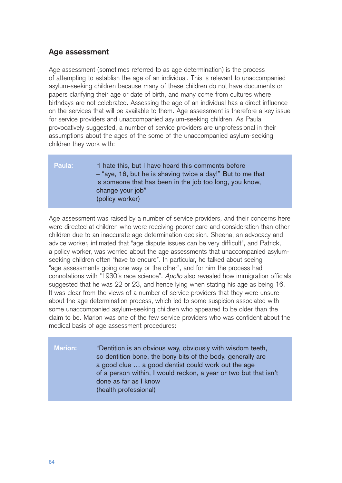# **Age assessment**

Age assessment (sometimes referred to as age determination) is the process of attempting to establish the age of an individual. This is relevant to unaccompanied asylum-seeking children because many of these children do not have documents or papers clarifying their age or date of birth, and many come from cultures where birthdays are not celebrated. Assessing the age of an individual has a direct influence on the services that will be available to them. Age assessment is therefore a key issue for service providers and unaccompanied asylum-seeking children. As Paula provocatively suggested, a number of service providers are unprofessional in their assumptions about the ages of the some of the unaccompanied asylum-seeking children they work with:

| <b>Paula:</b> | "I hate this, but I have heard this comments before        |
|---------------|------------------------------------------------------------|
|               | - "aye, 16, but he is shaving twice a day!" But to me that |
|               | is someone that has been in the job too long, you know,    |
|               | change your job"                                           |
|               | (policy worker)                                            |

Age assessment was raised by a number of service providers, and their concerns here were directed at children who were receiving poorer care and consideration than other children due to an inaccurate age determination decision. Sheena, an advocacy and advice worker, intimated that "age dispute issues can be very difficult", and Patrick, a policy worker, was worried about the age assessments that unaccompanied asylumseeking children often "have to endure". In particular, he talked about seeing "age assessments going one way or the other", and for him the process had connotations with "1930's race science". Apollo also revealed how immigration officials suggested that he was 22 or 23, and hence lying when stating his age as being 16. It was clear from the views of a number of service providers that they were unsure about the age determination process, which led to some suspicion associated with some unaccompanied asylum-seeking children who appeared to be older than the claim to be. Marion was one of the few service providers who was confident about the medical basis of age assessment procedures:

**Marion:** "Dentition is an obvious way, obviously with wisdom teeth, so dentition bone, the bony bits of the body, generally are a good clue … a good dentist could work out the age of a person within, I would reckon, a year or two but that isn't done as far as I know (health professional)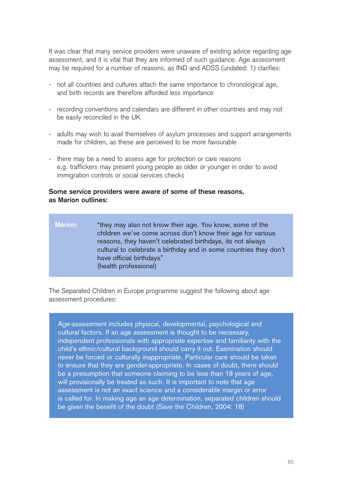It was clear that many service providers were unaware of existing advice regarding age assessment, and it is vital that they are informed of such guidance. Age assessment may be required for a number of reasons, as IND and ADSS (undated: 1) clarifies:

- not all countries and cultures attach the same importance to chronological age, and birth records are therefore afforded less importance
- recording conventions and calendars are different in other countries and may not be easily reconciled in the UK
- adults may wish to avail themselves of asylum processes and support arrangements made for children, as these are perceived to be more favourable
- there may be a need to assess age for protection or care reasons e.g. traffickers may present young people as older or younger in order to avoid immigration controls or social services checks

#### **Some service providers were aware of some of these reasons, as Marion outlines:**

**Marion:** "they may also not know their age. You know, some of the children we've come across don't know their age for various reasons, they haven't celebrated birthdays, its not always cultural to celebrate a birthday and in some countries they don't have official birthdays" (health professional)

The Separated Children in Europe programme suggest the following about age assessment procedures:

Age-assessment includes physical, developmental, psychological and cultural factors. If an age assessment is thought to be necessary, independent professionals with appropriate expertise and familiarity with the child's ethnic/cultural background should carry it out. Examination should never be forced or culturally inappropriate. Particular care should be taken to ensure that they are gender-appropriate. In cases of doubt, there should be a presumption that someone claiming to be less than 18 years of age, will provisionally be treated as such. It is important to note that age assessment is not an exact science and a considerable margin or error is called for. In making age an age determination, separated children should be given the benefit of the doubt (Save the Children, 2004: 18)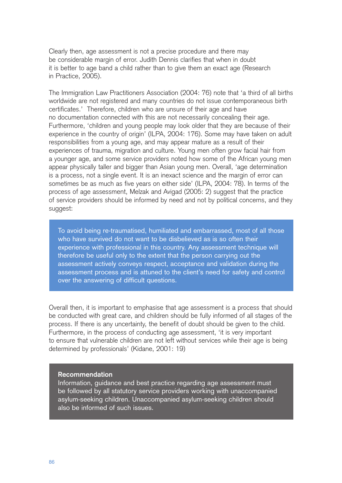Clearly then, age assessment is not a precise procedure and there may be considerable margin of error. Judith Dennis clarifies that when in doubt it is better to age band a child rather than to give them an exact age (Research in Practice, 2005).

The Immigration Law Practitioners Association (2004: 76) note that 'a third of all births worldwide are not registered and many countries do not issue contemporaneous birth certificates.' Therefore, children who are unsure of their age and have no documentation connected with this are not necessarily concealing their age. Furthermore, 'children and young people may look older that they are because of their experience in the country of origin' (ILPA, 2004: 176). Some may have taken on adult responsibilities from a young age, and may appear mature as a result of their experiences of trauma, migration and culture. Young men often grow facial hair from a younger age, and some service providers noted how some of the African young men appear physically taller and bigger than Asian young men. Overall, 'age determination is a process, not a single event. It is an inexact science and the margin of error can sometimes be as much as five years on either side' (ILPA, 2004: 78). In terms of the process of age assessment, Melzak and Avigad (2005: 2) suggest that the practice of service providers should be informed by need and not by political concerns, and they suggest:

To avoid being re-traumatised, humiliated and embarrassed, most of all those who have survived do not want to be disbelieved as is so often their experience with professional in this country. Any assessment technique will therefore be useful only to the extent that the person carrying out the assessment actively conveys respect, acceptance and validation during the assessment process and is attuned to the client's need for safety and control over the answering of difficult questions.

Overall then, it is important to emphasise that age assessment is a process that should be conducted with great care, and children should be fully informed of all stages of the process. If there is any uncertainty, the benefit of doubt should be given to the child. Furthermore, in the process of conducting age assessment, 'it is very important to ensure that vulnerable children are not left without services while their age is being determined by professionals' (Kidane, 2001: 19)

#### **Recommendation**

Information, guidance and best practice regarding age assessment must be followed by all statutory service providers working with unaccompanied asylum-seeking children. Unaccompanied asylum-seeking children should also be informed of such issues.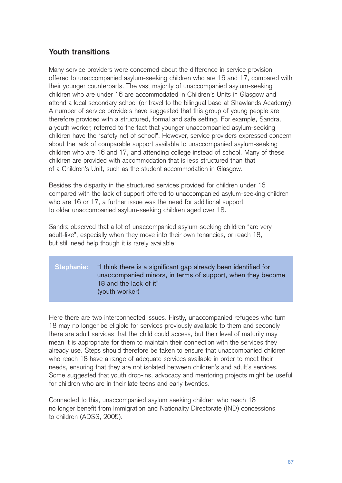# **Youth transitions**

Many service providers were concerned about the difference in service provision offered to unaccompanied asylum-seeking children who are 16 and 17, compared with their younger counterparts. The vast majority of unaccompanied asylum-seeking children who are under 16 are accommodated in Children's Units in Glasgow and attend a local secondary school (or travel to the bilingual base at Shawlands Academy). A number of service providers have suggested that this group of young people are therefore provided with a structured, formal and safe setting. For example, Sandra, a youth worker, referred to the fact that younger unaccompanied asylum-seeking children have the "safety net of school". However, service providers expressed concern about the lack of comparable support available to unaccompanied asylum-seeking children who are 16 and 17, and attending college instead of school. Many of these children are provided with accommodation that is less structured than that of a Children's Unit, such as the student accommodation in Glasgow.

Besides the disparity in the structured services provided for children under 16 compared with the lack of support offered to unaccompanied asylum-seeking children who are 16 or 17, a further issue was the need for additional support to older unaccompanied asylum-seeking children aged over 18.

Sandra observed that a lot of unaccompanied asylum-seeking children "are very adult-like", especially when they move into their own tenancies, or reach 18, but still need help though it is rarely available:

## **Stephanie:** "I think there is a significant gap already been identified for unaccompanied minors, in terms of support, when they become 18 and the lack of it" (youth worker)

Here there are two interconnected issues. Firstly, unaccompanied refugees who turn 18 may no longer be eligible for services previously available to them and secondly there are adult services that the child could access, but their level of maturity may mean it is appropriate for them to maintain their connection with the services they already use. Steps should therefore be taken to ensure that unaccompanied children who reach 18 have a range of adequate services available in order to meet their needs, ensuring that they are not isolated between children's and adult's services. Some suggested that youth drop-ins, advocacy and mentoring projects might be useful for children who are in their late teens and early twenties.

Connected to this, unaccompanied asylum seeking children who reach 18 no longer benefit from Immigration and Nationality Directorate (IND) concessions to children (ADSS, 2005).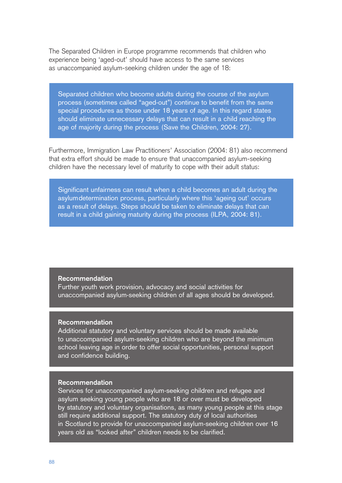The Separated Children in Europe programme recommends that children who experience being 'aged-out' should have access to the same services as unaccompanied asylum-seeking children under the age of 18:

Separated children who become adults during the course of the asylum process (sometimes called "aged-out") continue to benefit from the same special procedures as those under 18 years of age. In this regard states should eliminate unnecessary delays that can result in a child reaching the age of majority during the process (Save the Children, 2004: 27).

Furthermore, Immigration Law Practitioners' Association (2004: 81) also recommend that extra effort should be made to ensure that unaccompanied asylum-seeking children have the necessary level of maturity to cope with their adult status:

Significant unfairness can result when a child becomes an adult during the asylumdetermination process, particularly where this 'ageing out' occurs as a result of delays. Steps should be taken to eliminate delays that can result in a child gaining maturity during the process (ILPA, 2004: 81).

#### **Recommendation**

Further youth work provision, advocacy and social activities for unaccompanied asylum-seeking children of all ages should be developed.

#### **Recommendation**

Additional statutory and voluntary services should be made available to unaccompanied asylum-seeking children who are beyond the minimum school leaving age in order to offer social opportunities, personal support and confidence building.

#### **Recommendation**

Services for unaccompanied asylum-seeking children and refugee and asylum seeking young people who are 18 or over must be developed by statutory and voluntary organisations, as many young people at this stage still require additional support. The statutory duty of local authorities in Scotland to provide for unaccompanied asylum-seeking children over 16 years old as "looked after" children needs to be clarified.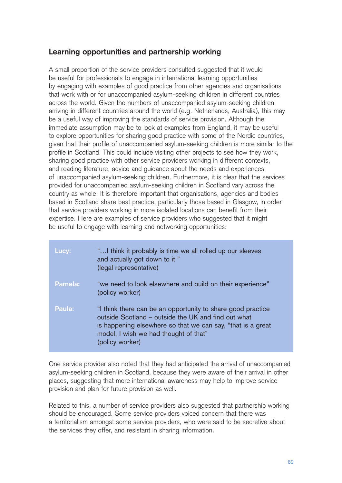# **Learning opportunities and partnership working**

A small proportion of the service providers consulted suggested that it would be useful for professionals to engage in international learning opportunities by engaging with examples of good practice from other agencies and organisations that work with or for unaccompanied asylum-seeking children in different countries across the world. Given the numbers of unaccompanied asylum-seeking children arriving in different countries around the world (e.g. Netherlands, Australia), this may be a useful way of improving the standards of service provision. Although the immediate assumption may be to look at examples from England, it may be useful to explore opportunities for sharing good practice with some of the Nordic countries, given that their profile of unaccompanied asylum-seeking children is more similar to the profile in Scotland. This could include visiting other projects to see how they work, sharing good practice with other service providers working in different contexts, and reading literature, advice and guidance about the needs and experiences of unaccompanied asylum-seeking children. Furthermore, it is clear that the services provided for unaccompanied asylum-seeking children in Scotland vary across the country as whole. It is therefore important that organisations, agencies and bodies based in Scotland share best practice, particularly those based in Glasgow, in order that service providers working in more isolated locations can benefit from their expertise. Here are examples of service providers who suggested that it might be useful to engage with learning and networking opportunities:

| Lucy:   | " I think it probably is time we all rolled up our sleeves<br>and actually got down to it "<br>(legal representative)                                                                                                                         |
|---------|-----------------------------------------------------------------------------------------------------------------------------------------------------------------------------------------------------------------------------------------------|
| Pamela: | "we need to look elsewhere and build on their experience"<br>(policy worker)                                                                                                                                                                  |
| Paula:  | "I think there can be an opportunity to share good practice<br>outside Scotland – outside the UK and find out what<br>is happening elsewhere so that we can say, "that is a great<br>model, I wish we had thought of that"<br>(policy worker) |

One service provider also noted that they had anticipated the arrival of unaccompanied asylum-seeking children in Scotland, because they were aware of their arrival in other places, suggesting that more international awareness may help to improve service provision and plan for future provision as well.

Related to this, a number of service providers also suggested that partnership working should be encouraged. Some service providers voiced concern that there was a territorialism amongst some service providers, who were said to be secretive about the services they offer, and resistant in sharing information.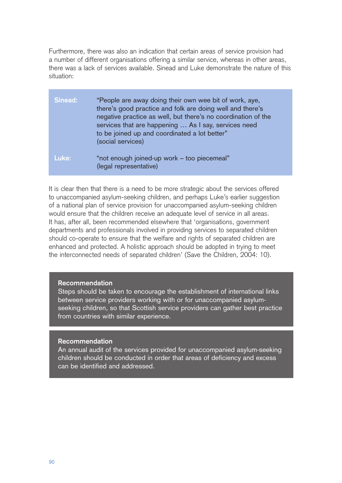Furthermore, there was also an indication that certain areas of service provision had a number of different organisations offering a similar service, whereas in other areas, there was a lack of services available. Sinead and Luke demonstrate the nature of this situation:

| Sinead: | "People are away doing their own wee bit of work, aye,<br>there's good practice and folk are doing well and there's<br>negative practice as well, but there's no coordination of the<br>services that are happening  As I say, services need<br>to be joined up and coordinated a lot better"<br>(social services) |
|---------|--------------------------------------------------------------------------------------------------------------------------------------------------------------------------------------------------------------------------------------------------------------------------------------------------------------------|
| Luke:   | "not enough joined-up work - too piecemeal"<br>(legal representative)                                                                                                                                                                                                                                              |

It is clear then that there is a need to be more strategic about the services offered to unaccompanied asylum-seeking children, and perhaps Luke's earlier suggestion of a national plan of service provision for unaccompanied asylum-seeking children would ensure that the children receive an adequate level of service in all areas. It has, after all, been recommended elsewhere that 'organisations, government departments and professionals involved in providing services to separated children should co-operate to ensure that the welfare and rights of separated children are enhanced and protected. A holistic approach should be adopted in trying to meet the interconnected needs of separated children' (Save the Children, 2004: 10).

#### **Recommendation**

Steps should be taken to encourage the establishment of international links between service providers working with or for unaccompanied asylumseeking children, so that Scottish service providers can gather best practice from countries with similar experience.

#### **Recommendation**

An annual audit of the services provided for unaccompanied asylum-seeking children should be conducted in order that areas of deficiency and excess can be identified and addressed.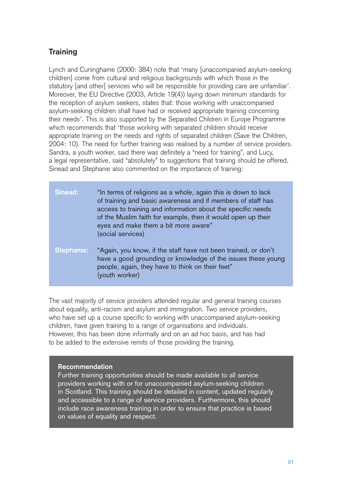# **Training**

Lynch and Cuninghame (2000: 384) note that 'many [unaccompanied asylum-seeking children] come from cultural and religious backgrounds with which those in the statutory [and other] services who will be responsible for providing care are unfamiliar'. Moreover, the EU Directive (2003, Article 19(4)) laying down minimum standards for the reception of asylum seekers, states that: those working with unaccompanied asylum-seeking children shall have had or received appropriate training concerning their needs'. This is also supported by the Separated Children in Europe Programme which recommends that 'those working with separated children should receive appropriate training on the needs and rights of separated children (Save the Children, 2004: 10). The need for further training was realised by a number of service providers. Sandra, a youth worker, said there was definitely a "need for training", and Lucy, a legal representative, said "absolutely" to suggestions that training should be offered. Sinead and Stephanie also commented on the importance of training:

| Sinead:    | "In terms of religions as a whole, again this is down to lack<br>of training and basic awareness and if members of staff has<br>access to training and information about the specific needs<br>of the Muslim faith for example, then it would open up their<br>eyes and make them a bit more aware"<br>(social services) |
|------------|--------------------------------------------------------------------------------------------------------------------------------------------------------------------------------------------------------------------------------------------------------------------------------------------------------------------------|
| Stephanie: | "Again, you know, if the staff have not been trained, or don't<br>have a good grounding or knowledge of the issues these young<br>people, again, they have to think on their feet"<br>(youth worker)                                                                                                                     |

The vast majority of service providers attended regular and general training courses about equality, anti-racism and asylum and immigration. Two service providers, who have set up a course specific to working with unaccompanied asylum-seeking children, have given training to a range of organisations and individuals. However, this has been done informally and on an ad hoc basis, and has had to be added to the extensive remits of those providing the training.

#### **Recommendation**

Further training opportunities should be made available to all service providers working with or for unaccompanied asylum-seeking children in Scotland. This training should be detailed in content, updated regularly and accessible to a range of service providers. Furthermore, this should include race awareness training in order to ensure that practice is based on values of equality and respect.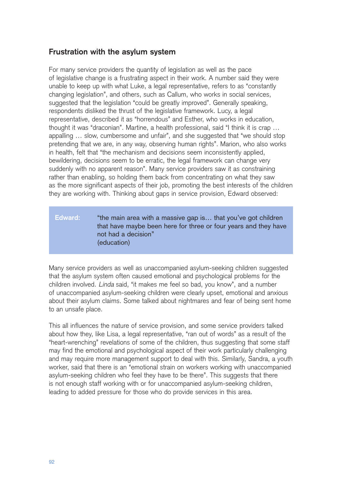# **Frustration with the asylum system**

For many service providers the quantity of legislation as well as the pace of legislative change is a frustrating aspect in their work. A number said they were unable to keep up with what Luke, a legal representative, refers to as "constantly changing legislation", and others, such as Callum, who works in social services, suggested that the legislation "could be greatly improved". Generally speaking, respondents disliked the thrust of the legislative framework. Lucy, a legal representative, described it as "horrendous" and Esther, who works in education, thought it was "draconian". Martine, a health professional, said "I think it is crap … appalling … slow, cumbersome and unfair", and she suggested that "we should stop pretending that we are, in any way, observing human rights". Marion, who also works in health, felt that "the mechanism and decisions seem inconsistently applied, bewildering, decisions seem to be erratic, the legal framework can change very suddenly with no apparent reason". Many service providers saw it as constraining rather than enabling, so holding them back from concentrating on what they saw as the more significant aspects of their job, promoting the best interests of the children they are working with. Thinking about gaps in service provision, Edward observed:

## **Edward:** "the main area with a massive gap is… that you've got children that have maybe been here for three or four years and they have not had a decision" (education)

Many service providers as well as unaccompanied asylum-seeking children suggested that the asylum system often caused emotional and psychological problems for the children involved. Linda said, "it makes me feel so bad, you know", and a number of unaccompanied asylum-seeking children were clearly upset, emotional and anxious about their asylum claims. Some talked about nightmares and fear of being sent home to an unsafe place.

This all influences the nature of service provision, and some service providers talked about how they, like Lisa, a legal representative, "ran out of words" as a result of the "heart-wrenching" revelations of some of the children, thus suggesting that some staff may find the emotional and psychological aspect of their work particularly challenging and may require more management support to deal with this. Similarly, Sandra, a youth worker, said that there is an "emotional strain on workers working with unaccompanied asylum-seeking children who feel they have to be there". This suggests that there is not enough staff working with or for unaccompanied asylum-seeking children, leading to added pressure for those who do provide services in this area.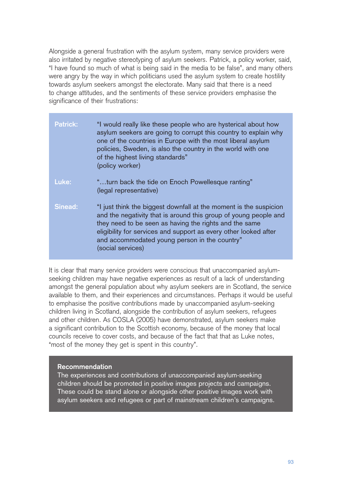Alongside a general frustration with the asylum system, many service providers were also irritated by negative stereotyping of asylum seekers. Patrick, a policy worker, said, "I have found so much of what is being said in the media to be false", and many others were angry by the way in which politicians used the asylum system to create hostility towards asylum seekers amongst the electorate. Many said that there is a need to change attitudes, and the sentiments of these service providers emphasise the significance of their frustrations:

| <b>Patrick:</b> | "I would really like these people who are hysterical about how<br>asylum seekers are going to corrupt this country to explain why<br>one of the countries in Europe with the most liberal asylum<br>policies, Sweden, is also the country in the world with one<br>of the highest living standards"<br>(policy worker)                    |
|-----------------|-------------------------------------------------------------------------------------------------------------------------------------------------------------------------------------------------------------------------------------------------------------------------------------------------------------------------------------------|
| Luke:           | "turn back the tide on Enoch Powellesque ranting"<br>(legal representative)                                                                                                                                                                                                                                                               |
| <b>Sinead:</b>  | "I just think the biggest downfall at the moment is the suspicion<br>and the negativity that is around this group of young people and<br>they need to be seen as having the rights and the same<br>eligibility for services and support as every other looked after<br>and accommodated young person in the country"<br>(social services) |

It is clear that many service providers were conscious that unaccompanied asylumseeking children may have negative experiences as result of a lack of understanding amongst the general population about why asylum seekers are in Scotland, the service available to them, and their experiences and circumstances. Perhaps it would be useful to emphasise the positive contributions made by unaccompanied asylum-seeking children living in Scotland, alongside the contribution of asylum seekers, refugees and other children. As COSLA (2005) have demonstrated, asylum seekers make a significant contribution to the Scottish economy, because of the money that local councils receive to cover costs, and because of the fact that that as Luke notes, "most of the money they get is spent in this country".

## **Recommendation**

The experiences and contributions of unaccompanied asylum-seeking children should be promoted in positive images projects and campaigns. These could be stand alone or alongside other positive images work with asylum seekers and refugees or part of mainstream children's campaigns.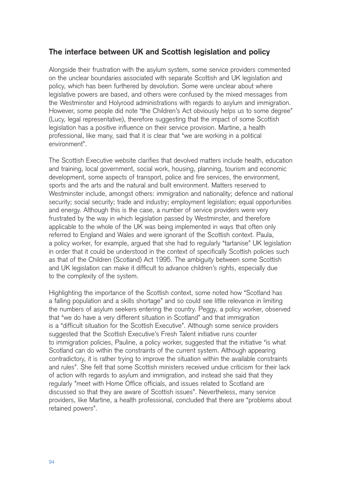# **The interface between UK and Scottish legislation and policy**

Alongside their frustration with the asylum system, some service providers commented on the unclear boundaries associated with separate Scottish and UK legislation and policy, which has been furthered by devolution. Some were unclear about where legislative powers are based, and others were confused by the mixed messages from the Westminster and Holyrood administrations with regards to asylum and immigration. However, some people did note "the Children's Act obviously helps us to some degree" (Lucy, legal representative), therefore suggesting that the impact of some Scottish legislation has a positive influence on their service provision. Martine, a health professional, like many, said that it is clear that "we are working in a political environment".

The Scottish Executive website clarifies that devolved matters include health, education and training, local government, social work, housing, planning, tourism and economic development, some aspects of transport, police and fire services, the environment, sports and the arts and the natural and built environment. Matters reserved to Westminster include, amongst others: immigration and nationality; defence and national security; social security; trade and industry; employment legislation; equal opportunities and energy. Although this is the case, a number of service providers were very frustrated by the way in which legislation passed by Westminster, and therefore applicable to the whole of the UK was being implemented in ways that often only referred to England and Wales and were ignorant of the Scottish context. Paula, a policy worker, for example, argued that she had to regularly "tartanise" UK legislation in order that it could be understood in the context of specifically Scottish policies such as that of the Children (Scotland) Act 1995. The ambiguity between some Scottish and UK legislation can make it difficult to advance children's rights, especially due to the complexity of the system.

Highlighting the importance of the Scottish context, some noted how "Scotland has a falling population and a skills shortage" and so could see little relevance in limiting the numbers of asylum seekers entering the country. Peggy, a policy worker, observed that "we do have a very different situation in Scotland" and that immigration is a "difficult situation for the Scottish Executive". Although some service providers suggested that the Scottish Executive's Fresh Talent initiative runs counter to immigration policies, Pauline, a policy worker, suggested that the initiative "is what Scotland can do within the constraints of the current system. Although appearing contradictory, it is rather trying to improve the situation within the available constraints and rules". She felt that some Scottish ministers received undue criticism for their lack of action with regards to asylum and immigration, and instead she said that they regularly "meet with Home Office officials, and issues related to Scotland are discussed so that they are aware of Scottish issues". Nevertheless, many service providers, like Martine, a health professional, concluded that there are "problems about retained powers".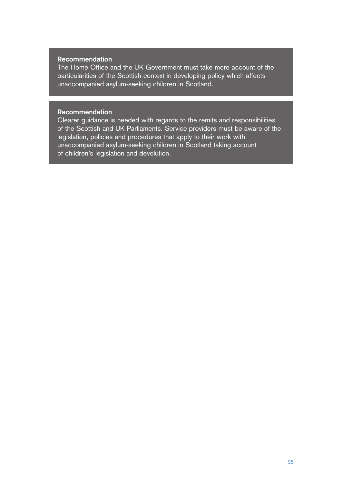#### **Recommendation**

The Home Office and the UK Government must take more account of the particularities of the Scottish context in developing policy which affects unaccompanied asylum-seeking children in Scotland.

#### **Recommendation**

Clearer guidance is needed with regards to the remits and responsibilities of the Scottish and UK Parliaments. Service providers must be aware of the legislation, policies and procedures that apply to their work with unaccompanied asylum-seeking children in Scotland taking account of children's legislation and devolution.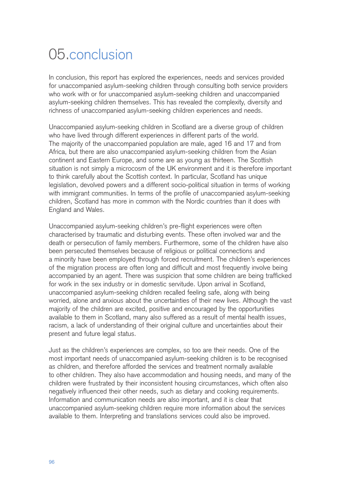# 05.conclusion

In conclusion, this report has explored the experiences, needs and services provided for unaccompanied asylum-seeking children through consulting both service providers who work with or for unaccompanied asylum-seeking children and unaccompanied asylum-seeking children themselves. This has revealed the complexity, diversity and richness of unaccompanied asylum-seeking children experiences and needs.

Unaccompanied asylum-seeking children in Scotland are a diverse group of children who have lived through different experiences in different parts of the world. The majority of the unaccompanied population are male, aged 16 and 17 and from Africa, but there are also unaccompanied asylum-seeking children from the Asian continent and Eastern Europe, and some are as young as thirteen. The Scottish situation is not simply a microcosm of the UK environment and it is therefore important to think carefully about the Scottish context. In particular, Scotland has unique legislation, devolved powers and a different socio-political situation in terms of working with immigrant communities. In terms of the profile of unaccompanied asylum-seeking children, Scotland has more in common with the Nordic countries than it does with England and Wales.

Unaccompanied asylum-seeking children's pre-flight experiences were often characterised by traumatic and disturbing events. These often involved war and the death or persecution of family members. Furthermore, some of the children have also been persecuted themselves because of religious or political connections and a minority have been employed through forced recruitment. The children's experiences of the migration process are often long and difficult and most frequently involve being accompanied by an agent. There was suspicion that some children are being trafficked for work in the sex industry or in domestic servitude. Upon arrival in Scotland, unaccompanied asylum-seeking children recalled feeling safe, along with being worried, alone and anxious about the uncertainties of their new lives. Although the vast majority of the children are excited, positive and encouraged by the opportunities available to them in Scotland, many also suffered as a result of mental health issues, racism, a lack of understanding of their original culture and uncertainties about their present and future legal status.

Just as the children's experiences are complex, so too are their needs. One of the most important needs of unaccompanied asylum-seeking children is to be recognised as children, and therefore afforded the services and treatment normally available to other children. They also have accommodation and housing needs, and many of the children were frustrated by their inconsistent housing circumstances, which often also negatively influenced their other needs, such as dietary and cooking requirements. Information and communication needs are also important, and it is clear that unaccompanied asylum-seeking children require more information about the services available to them. Interpreting and translations services could also be improved.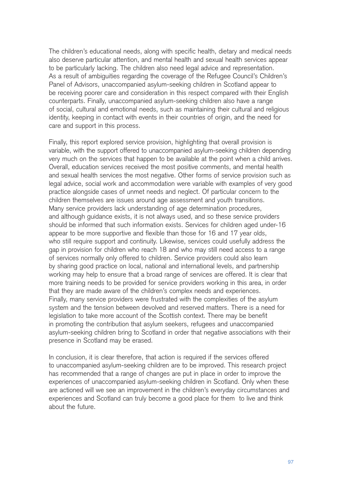The children's educational needs, along with specific health, dietary and medical needs also deserve particular attention, and mental health and sexual health services appear to be particularly lacking. The children also need legal advice and representation. As a result of ambiguities regarding the coverage of the Refugee Council's Children's Panel of Advisors, unaccompanied asylum-seeking children in Scotland appear to be receiving poorer care and consideration in this respect compared with their English counterparts. Finally, unaccompanied asylum-seeking children also have a range of social, cultural and emotional needs, such as maintaining their cultural and religious identity, keeping in contact with events in their countries of origin, and the need for care and support in this process.

Finally, this report explored service provision, highlighting that overall provision is variable, with the support offered to unaccompanied asylum-seeking children depending very much on the services that happen to be available at the point when a child arrives. Overall, education services received the most positive comments, and mental health and sexual health services the most negative. Other forms of service provision such as legal advice, social work and accommodation were variable with examples of very good practice alongside cases of unmet needs and neglect. Of particular concern to the children themselves are issues around age assessment and youth transitions. Many service providers lack understanding of age determination procedures, and although guidance exists, it is not always used, and so these service providers should be informed that such information exists. Services for children aged under-16 appear to be more supportive and flexible than those for 16 and 17 year olds, who still require support and continuity. Likewise, services could usefully address the gap in provision for children who reach 18 and who may still need access to a range of services normally only offered to children. Service providers could also learn by sharing good practice on local, national and international levels, and partnership working may help to ensure that a broad range of services are offered. It is clear that more training needs to be provided for service providers working in this area, in order that they are made aware of the children's complex needs and experiences. Finally, many service providers were frustrated with the complexities of the asylum system and the tension between devolved and reserved matters. There is a need for legislation to take more account of the Scottish context. There may be benefit in promoting the contribution that asylum seekers, refugees and unaccompanied asylum-seeking children bring to Scotland in order that negative associations with their presence in Scotland may be erased.

In conclusion, it is clear therefore, that action is required if the services offered to unaccompanied asylum-seeking children are to be improved. This research project has recommended that a range of changes are put in place in order to improve the experiences of unaccompanied asylum-seeking children in Scotland. Only when these are actioned will we see an improvement in the children's everyday circumstances and experiences and Scotland can truly become a good place for them to live and think about the future.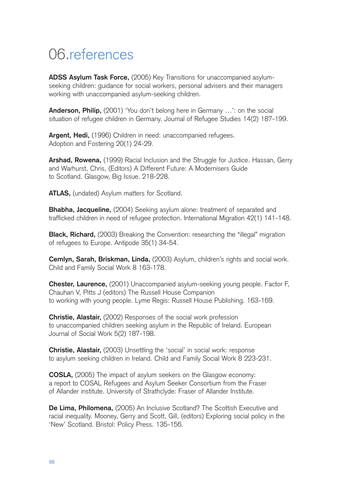# 06.references

**ADSS Asylum Task Force,** (2005) Key Transitions for unaccompanied asylumseeking children: guidance for social workers, personal advisers and their managers working with unaccompanied asylum-seeking children.

**Anderson, Philip,** (2001) 'You don't belong here in Germany …': on the social situation of refugee children in Germany. Journal of Refugee Studies 14(2) 187-199.

**Argent, Hedi,** (1996) Children in need: unaccompanied refugees. Adoption and Fostering 20(1) 24-29.

**Arshad, Rowena,** (1999) Racial Inclusion and the Struggle for Justice. Hassan, Gerry and Warhurst, Chris, (Editors) A Different Future: A Modernisers Guide to Scotland. Glasgow, Big Issue. 218-228.

**ATLAS,** (undated) Asylum matters for Scotland.

**Bhabha, Jacqueline,** (2004) Seeking asylum alone: treatment of separated and trafficked children in need of refugee protection. International Migration 42(1) 141-148.

**Black, Richard,** (2003) Breaking the Convention: researching the "illegal" migration of refugees to Europe. Antipode 35(1) 34-54.

**Cemlyn, Sarah, Briskman, Linda,** (2003) Asylum, children's rights and social work. Child and Family Social Work 8 163-178.

**Chester, Laurence,** (2001) Unaccompanied asylum-seeking young people. Factor F, Chauhan V, Pitts J (editors) The Russell House Companion to working with young people. Lyme Regis: Russell House Publishing. 163-169.

**Christie, Alastair,** (2002) Responses of the social work profession to unaccompanied children seeking asylum in the Republic of Ireland. European Journal of Social Work 5(2) 187-198.

**Christie, Alastair,** (2003) Unsettling the 'social' in social work: response to asylum seeking children in Ireland. Child and Family Social Work 8 223-231.

**COSLA,** (2005) The impact of asylum seekers on the Glasgow economy: a report to COSAL Refugees and Asylum Seeker Consortium from the Fraser of Allander institute. University of Strathclyde: Fraser of Allander Institute.

**De Lima, Philomena,** (2005) An Inclusive Scotland? The Scottish Executive and racial inequality. Mooney, Gerry and Scott, Gill, (editors) Exploring social policy in the 'New' Scotland. Bristol: Policy Press. 135-156.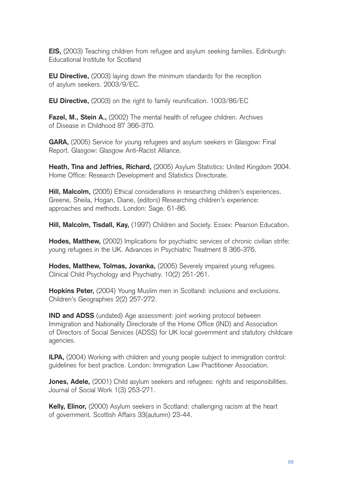**EIS,** (2003) Teaching children from refugee and asylum seeking families. Edinburgh: Educational Institute for Scotland

**EU Directive,** (2003) laying down the minimum standards for the reception of asylum seekers. 2003/9/EC.

**EU Directive,** (2003) on the right to family reunification. 1003/86/EC

**Fazel, M., Stein A.,** (2002) The mental health of refugee children. Archives of Disease in Childhood 87 366-370.

**GARA,** (2005) Service for young refugees and asylum seekers in Glasgow: Final Report. Glasgow: Glasgow Anti-Racist Alliance.

**Heath, Tina and Jeffries, Richard,** (2005) Asylum Statistics: United Kingdom 2004. Home Office: Research Development and Statistics Directorate.

**Hill, Malcolm,** (2005) Ethical considerations in researching children's experiences. Greene, Sheila, Hogan, Diane, (editors) Researching children's experience: approaches and methods. London: Sage. 61-86.

**Hill, Malcolm, Tisdall, Kay,** (1997) Children and Society. Essex: Pearson Education.

**Hodes, Matthew,** (2002) Implications for psychiatric services of chronic civilian strife: young refugees in the UK. Advances in Psychiatric Treatment 8 366-376.

**Hodes, Matthew, Tolmas, Jovanka,** (2005) Severely impaired young refugees. Clinical Child Psychology and Psychiatry. 10(2) 251-261.

**Hopkins Peter,** (2004) Young Muslim men in Scotland: inclusions and exclusions. Children's Geographies 2(2) 257-272.

**IND and ADSS** (undated) Age assessment: joint working protocol between Immigration and Nationality Directorate of the Home Office (IND) and Association of Directors of Social Services (ADSS) for UK local government and statutory childcare agencies.

**ILPA,** (2004) Working with children and young people subject to immigration control: guidelines for best practice. London: Immigration Law Practitioner Association.

**Jones, Adele,** (2001) Child asylum seekers and refugees: rights and responsibilities. Journal of Social Work 1(3) 253-271.

**Kelly, Elinor,** (2000) Asylum seekers in Scotland: challenging racism at the heart of government. Scottish Affairs 33(autumn) 23-44.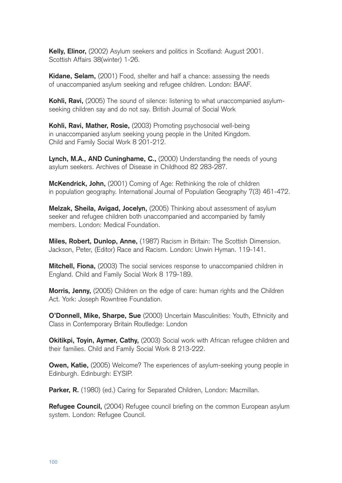**Kelly, Elinor,** (2002) Asylum seekers and politics in Scotland: August 2001. Scottish Affairs 38(winter) 1-26.

**Kidane, Selam,** (2001) Food, shelter and half a chance: assessing the needs of unaccompanied asylum seeking and refugee children. London: BAAF.

**Kohli, Ravi,** (2005) The sound of silence: listening to what unaccompanied asylumseeking children say and do not say. British Journal of Social Work

**Kohli, Ravi, Mather, Rosie,** (2003) Promoting psychosocial well-being in unaccompanied asylum seeking young people in the United Kingdom. Child and Family Social Work 8 201-212.

**Lynch, M.A., AND Cuninghame, C.,** (2000) Understanding the needs of young asylum seekers. Archives of Disease in Childhood 82 283-287.

**McKendrick, John,** (2001) Coming of Age: Rethinking the role of children in population geography. International Journal of Population Geography 7(3) 461-472.

**Melzak, Sheila, Avigad, Jocelyn,** (2005) Thinking about assessment of asylum seeker and refugee children both unaccompanied and accompanied by family members. London: Medical Foundation.

**Miles, Robert, Dunlop, Anne,** (1987) Racism in Britain: The Scottish Dimension. Jackson, Peter, (Editor) Race and Racism. London: Unwin Hyman. 119-141.

**Mitchell, Fiona,** (2003) The social services response to unaccompanied children in England. Child and Family Social Work 8 179-189.

**Morris, Jenny,** (2005) Children on the edge of care: human rights and the Children Act. York: Joseph Rowntree Foundation.

**O'Donnell, Mike, Sharpe, Sue** (2000) Uncertain Masculinities: Youth, Ethnicity and Class in Contemporary Britain Routledge: London

**Okitikpi, Toyin, Aymer, Cathy,** (2003) Social work with African refugee children and their families. Child and Family Social Work 8 213-222.

**Owen, Katie,** (2005) Welcome? The experiences of asylum-seeking young people in Edinburgh. Edinburgh: EYSIP.

Parker, R. (1980) (ed.) Caring for Separated Children, London: Macmillan.

**Refugee Council,** (2004) Refugee council briefing on the common European asylum system. London: Refugee Council.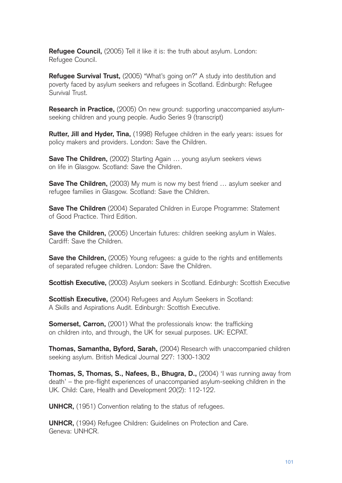**Refugee Council,** (2005) Tell it like it is: the truth about asylum. London: Refugee Council.

**Refugee Survival Trust,** (2005) "What's going on?" A study into destitution and poverty faced by asylum seekers and refugees in Scotland. Edinburgh: Refugee Survival Trust.

**Research in Practice,** (2005) On new ground: supporting unaccompanied asylumseeking children and young people. Audio Series 9 (transcript)

**Rutter, Jill and Hyder, Tina,** (1998) Refugee children in the early years: issues for policy makers and providers. London: Save the Children.

**Save The Children,** (2002) Starting Again ... young asylum seekers views on life in Glasgow. Scotland: Save the Children.

**Save The Children,** (2003) My mum is now my best friend ... asylum seeker and refugee families in Glasgow. Scotland: Save the Children.

**Save The Children** (2004) Separated Children in Europe Programme: Statement of Good Practice. Third Edition.

**Save the Children,** (2005) Uncertain futures: children seeking asylum in Wales. Cardiff: Save the Children.

**Save the Children,** (2005) Young refugees: a guide to the rights and entitlements of separated refugee children. London: Save the Children.

**Scottish Executive,** (2003) Asylum seekers in Scotland. Edinburgh: Scottish Executive

**Scottish Executive,** (2004) Refugees and Asylum Seekers in Scotland: A Skills and Aspirations Audit. Edinburgh: Scottish Executive.

**Somerset, Carron,** (2001) What the professionals know: the trafficking on children into, and through, the UK for sexual purposes. UK: ECPAT.

**Thomas, Samantha, Byford, Sarah,** (2004) Research with unaccompanied children seeking asylum. British Medical Journal 227: 1300-1302

**Thomas, S, Thomas, S., Nafees, B., Bhugra, D., (2004) 'I was running away from** death' – the pre-flight experiences of unaccompanied asylum-seeking children in the UK. Child: Care, Health and Development 20(2): 112-122.

**UNHCR,** (1951) Convention relating to the status of refugees.

**UNHCR,** (1994) Refugee Children: Guidelines on Protection and Care. Geneva: UNHCR.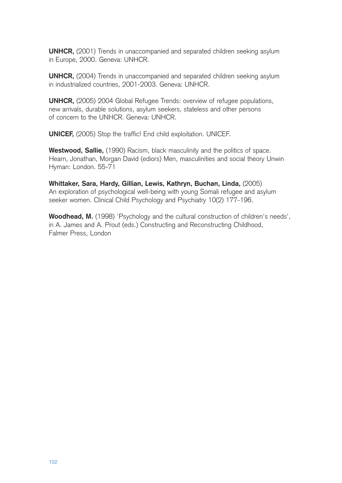**UNHCR,** (2001) Trends in unaccompanied and separated children seeking asylum in Europe, 2000. Geneva: UNHCR.

**UNHCR,** (2004) Trends in unaccompanied and separated children seeking asylum in industrialized countries, 2001-2003. Geneva: UNHCR.

**UNHCR,** (2005) 2004 Global Refugee Trends: overview of refugee populations, new arrivals, durable solutions, asylum seekers, stateless and other persons of concern to the UNHCR. Geneva: UNHCR.

**UNICEF,** (2005) Stop the traffic! End child exploitation. UNICEF.

**Westwood, Sallie,** (1990) Racism, black masculinity and the politics of space. Hearn, Jonathan, Morgan David (ediors) Men, masculinities and social theory Unwin Hyman: London. 55-71

**Whittaker, Sara, Hardy, Gillian, Lewis, Kathryn, Buchan, Linda,** (2005) An exploration of psychological well-being with young Somali refugee and asylum seeker women. Clinical Child Psychology and Psychiatry 10(2) 177-196.

**Woodhead, M.** (1998) 'Psychology and the cultural construction of children's needs', in A. James and A. Prout (eds.) Constructing and Reconstructing Childhood, Falmer Press, London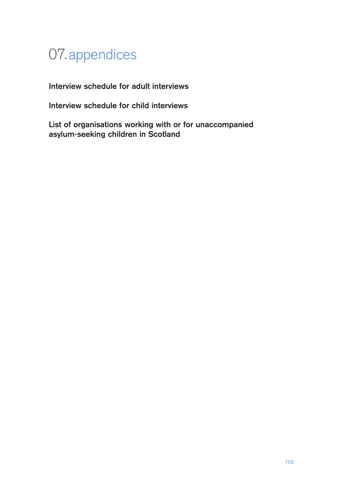# 07.appendices

**Interview schedule for adult interviews**

**Interview schedule for child interviews**

**List of organisations working with or for unaccompanied asylum-seeking children in Scotland**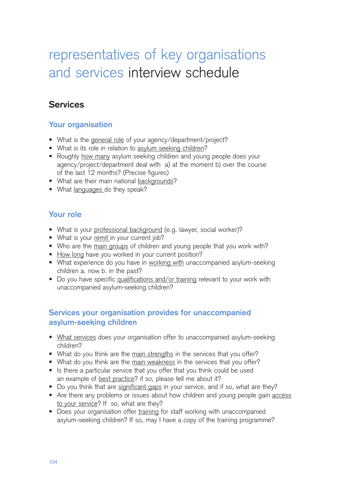# representatives of key organisations and services interview schedule

## **Services**

### **Your organisation**

- What is the general role of your agency/department/project?
- What is its role in relation to asylum seeking children?
- Roughly how many asylum seeking children and young people does your agency/project/department deal with a) at the moment b) over the course of the last 12 months? (Precise figures)
- What are their main national backgrounds?
- What languages do they speak?

#### **Your role**

- What is your professional background (e.g. lawyer, social worker)?
- What is your remit in your current job?
- Who are the main groups of children and young people that you work with?
- How long have you worked in your current position?
- What experience do you have in working with unaccompanied asylum-seeking children a. now b. in the past?
- Do you have specific qualifications and/or training relevant to your work with unaccompanied asylum-seeking children?

### **Services your organisation provides for unaccompanied asylum-seeking children**

- What services does your organisation offer to unaccompanied asylum-seeking children?
- What do you think are the main strengths in the services that you offer?
- What do you think are the main weakness in the services that you offer?
- Is there a particular service that you offer that you think could be used an example of best practice? if so, please tell me about it?
- Do you think that are significant gaps in your service, and if so, what are they?
- Are there any problems or issues about how children and young people gain access to your service? If so, what are they?
- Does your organisation offer training for staff working with unaccompanied asylum-seeking children? If so, may I have a copy of the training programme?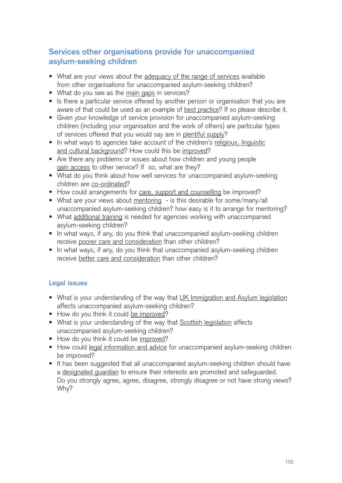## **Services other organisations provide for unaccompanied asylum-seeking children**

- What are your views about the adequacy of the range of services available from other organisations for unaccompanied asylum-seeking children?
- What do you see as the main gaps in services?
- Is there a particular service offered by another person or organisation that you are aware of that could be used as an example of best practice? If so please describe it.
- Given your knowledge of service provision for unaccompanied asylum-seeking children (including your organisation and the work of others) are particular types of services offered that you would say are in plentiful supply?
- In what ways to agencies take account of the children's religious, linguistic and cultural background? How could this be improved?
- Are there any problems or issues about how children and young people gain access to other service? If so, what are they?
- What do you think about how well services for unaccompanied asylum-seeking children are co-ordinated?
- How could arrangements for care, support and counselling be improved?
- What are your views about mentoring is this desirable for some/many/all unaccompanied asylum-seeking children? how easy is it to arrange for mentoring?
- What additional training is needed for agencies working with unaccompanied asylum-seeking children?
- In what ways, if any, do you think that unaccompanied asylum-seeking children receive poorer care and consideration than other children?
- In what ways, if any, do you think that unaccompanied asylum-seeking children receive better care and consideration than other children?

#### **Legal issues**

- What is your understanding of the way that UK Immigration and Asylum legislation affects unaccompanied asylum-seeking children?
- How do you think it could be improved?
- What is your understanding of the way that Scottish legislation affects unaccompanied asylum-seeking children?
- How do you think it could be improved?
- How could legal information and advice for unaccompanied asylum-seeking children be improved?
- It has been suggested that all unaccompanied asylum-seeking children should have a designated guardian to ensure their interests are promoted and safeguarded. Do you strongly agree, agree, disagree, strongly disagree or not have strong views? Why?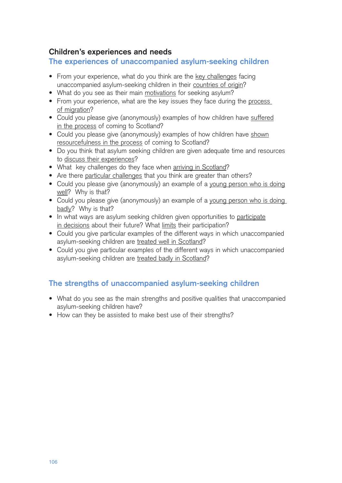#### **Children's experiences and needs**

**The experiences of unaccompanied asylum-seeking children**

- From your experience, what do you think are the key challenges facing unaccompanied asylum-seeking children in their countries of origin?
- What do you see as their main motivations for seeking asylum?
- From your experience, what are the key issues they face during the process of migration?
- Could you please give (anonymously) examples of how children have suffered in the process of coming to Scotland?
- Could you please give (anonymously) examples of how children have shown resourcefulness in the process of coming to Scotland?
- Do you think that asylum seeking children are given adequate time and resources to discuss their experiences?
- What key challenges do they face when arriving in Scotland?
- Are there particular challenges that you think are greater than others?
- Could you please give (anonymously) an example of a young person who is doing well? Why is that?
- Could you please give (anonymously) an example of a young person who is doing badly? Why is that?
- In what ways are asylum seeking children given opportunities to participate in decisions about their future? What limits their participation?
- Could you give particular examples of the different ways in which unaccompanied asylum-seeking children are treated well in Scotland?
- Could you give particular examples of the different ways in which unaccompanied asylum-seeking children are treated badly in Scotland?

## **The strengths of unaccompanied asylum-seeking children**

- What do you see as the main strengths and positive qualities that unaccompanied asylum-seeking children have?
- How can they be assisted to make best use of their strengths?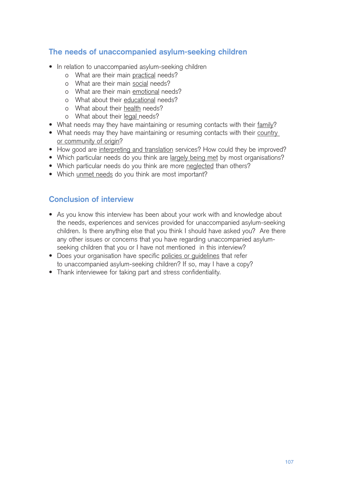## **The needs of unaccompanied asylum-seeking children**

- In relation to unaccompanied asylum-seeking children
	- o What are their main practical needs?
	- o What are their main social needs?
	- o What are their main emotional needs?
	- o What about their educational needs?
	- o What about their health needs?
	- o What about their legal needs?
- What needs may they have maintaining or resuming contacts with their family?
- What needs may they have maintaining or resuming contacts with their country or community of origin?
- How good are interpreting and translation services? How could they be improved?
- Which particular needs do you think are largely being met by most organisations?
- Which particular needs do you think are more neglected than others?
- Which unmet needs do you think are most important?

#### **Conclusion of interview**

- As you know this interview has been about your work with and knowledge about the needs, experiences and services provided for unaccompanied asylum-seeking children. Is there anything else that you think I should have asked you? Are there any other issues or concerns that you have regarding unaccompanied asylumseeking children that you or I have not mentioned in this interview?
- Does your organisation have specific policies or guidelines that refer to unaccompanied asylum-seeking children? If so, may I have a copy?
- Thank interviewee for taking part and stress confidentiality.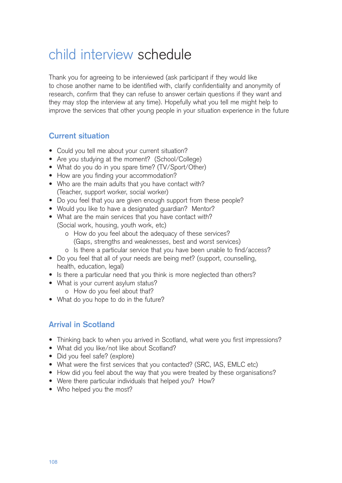## child interview schedule

Thank you for agreeing to be interviewed (ask participant if they would like to chose another name to be identified with, clarify confidentiality and anonymity of research, confirm that they can refuse to answer certain questions if they want and they may stop the interview at any time). Hopefully what you tell me might help to improve the services that other young people in your situation experience in the future

#### **Current situation**

- Could you tell me about your current situation?
- Are you studying at the moment? (School/College)
- What do you do in you spare time? (TV/Sport/Other)
- How are you finding your accommodation?
- Who are the main adults that you have contact with? (Teacher, support worker, social worker)
- Do you feel that you are given enough support from these people?
- Would you like to have a designated guardian? Mentor?
- What are the main services that you have contact with? (Social work, housing, youth work, etc)
	- o How do you feel about the adequacy of these services? (Gaps, strengths and weaknesses, best and worst services)
	- o Is there a particular service that you have been unable to find/access?
- Do you feel that all of your needs are being met? (support, counselling, health, education, legal)
- Is there a particular need that you think is more neglected than others?
- What is your current asylum status?
	- o How do you feel about that?
- What do you hope to do in the future?

## **Arrival in Scotland**

- Thinking back to when you arrived in Scotland, what were you first impressions?
- What did you like/not like about Scotland?
- Did you feel safe? (explore)
- What were the first services that you contacted? (SRC, IAS, EMLC etc)
- How did you feel about the way that you were treated by these organisations?
- Were there particular individuals that helped you? How?
- Who helped you the most?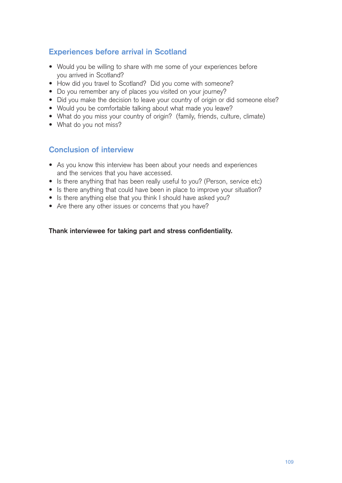## **Experiences before arrival in Scotland**

- Would you be willing to share with me some of your experiences before you arrived in Scotland?
- How did you travel to Scotland? Did you come with someone?
- Do you remember any of places you visited on your journey?
- Did you make the decision to leave your country of origin or did someone else?
- Would you be comfortable talking about what made you leave?
- What do you miss your country of origin? (family, friends, culture, climate)
- What do you not miss?

#### **Conclusion of interview**

- As you know this interview has been about your needs and experiences and the services that you have accessed.
- Is there anything that has been really useful to you? (Person, service etc)
- Is there anything that could have been in place to improve your situation?
- Is there anything else that you think I should have asked you?
- Are there any other issues or concerns that you have?

#### **Thank interviewee for taking part and stress confidentiality.**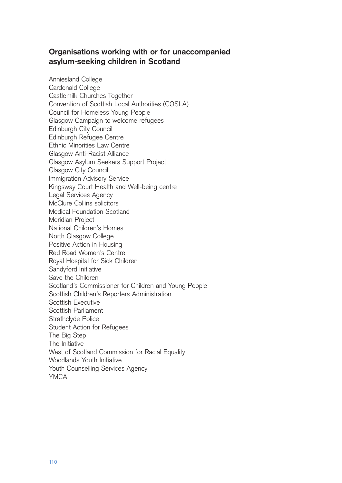#### **Organisations working with or for unaccompanied asylum-seeking children in Scotland**

Anniesland College Cardonald College Castlemilk Churches Together Convention of Scottish Local Authorities (COSLA) Council for Homeless Young People Glasgow Campaign to welcome refugees Edinburgh City Council Edinburgh Refugee Centre Ethnic Minorities Law Centre Glasgow Anti-Racist Alliance Glasgow Asylum Seekers Support Project Glasgow City Council Immigration Advisory Service Kingsway Court Health and Well-being centre Legal Services Agency McClure Collins solicitors Medical Foundation Scotland Meridian Project National Children's Homes North Glasgow College Positive Action in Housing Red Road Women's Centre Royal Hospital for Sick Children Sandyford Initiative Save the Children Scotland's Commissioner for Children and Young People Scottish Children's Reporters Administration Scottish Executive Scottish Parliament Strathclyde Police Student Action for Refugees The Big Step The Initiative West of Scotland Commission for Racial Equality Woodlands Youth Initiative Youth Counselling Services Agency YMCA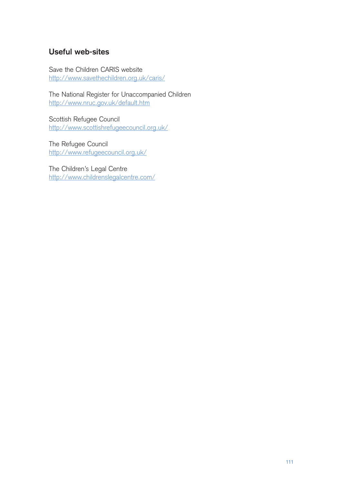#### **Useful web-sites**

Save the Children CARIS website http://www.savethechildren.org.uk/caris/

The National Register for Unaccompanied Children http://www.nruc.gov.uk/default.htm

Scottish Refugee Council http://www.scottishrefugeecouncil.org.uk/

The Refugee Council http://www.refugeecouncil.org.uk/

The Children's Legal Centre http://www.childrenslegalcentre.com/